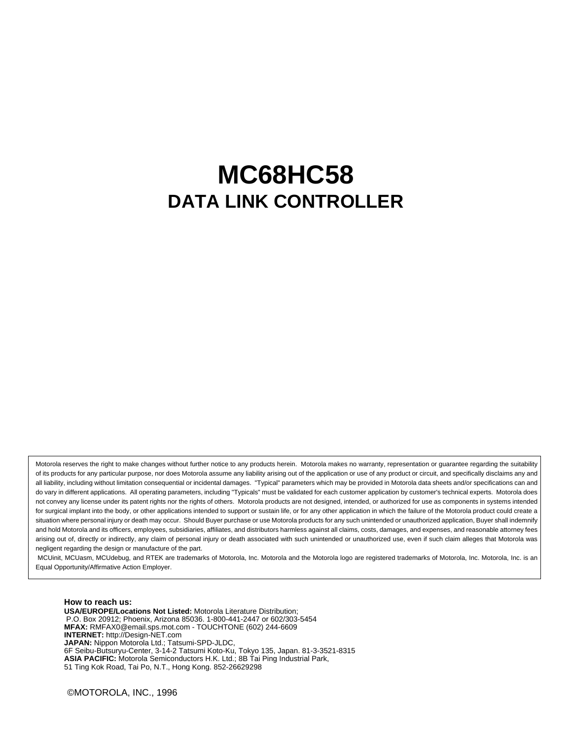# **MC68HC58 DATA LINK CONTROLLER**

Motorola reserves the right to make changes without further notice to any products herein. Motorola makes no warranty, representation or guarantee regarding the suitability of its products for any particular purpose, nor does Motorola assume any liability arising out of the application or use of any product or circuit, and specifically disclaims any and all liability, including without limitation consequential or incidental damages. "Typical" parameters which may be provided in Motorola data sheets and/or specifications can and do vary in different applications. All operating parameters, including "Typicals" must be validated for each customer application by customer's technical experts. Motorola does not convey any license under its patent rights nor the rights of others. Motorola products are not designed, intended, or authorized for use as components in systems intended for surgical implant into the body, or other applications intended to support or sustain life, or for any other application in which the failure of the Motorola product could create a situation where personal injury or death may occur. Should Buyer purchase or use Motorola products for any such unintended or unauthorized application, Buyer shall indemnify and hold Motorola and its officers, employees, subsidiaries, affiliates, and distributors harmless against all claims, costs, damages, and expenses, and reasonable attorney fees arising out of, directly or indirectly, any claim of personal injury or death associated with such unintended or unauthorized use, even if such claim alleges that Motorola was negligent regarding the design or manufacture of the part.

MCUinit, MCUasm, MCUdebug, and RTEK are trademarks of Motorola, Inc. Motorola and the Motorola logo are registered trademarks of Motorola, Inc. Motorola, Inc. is an Equal Opportunity/Affirmative Action Employer.

**How to reach us: USA/EUROPE/Locations Not Listed:** Motorola Literature Distribution; P.O. Box 20912; Phoenix, Arizona 85036. 1-800-441-2447 or 602/303-5454 **MFAX:** RMFAX0@email.sps.mot.com - TOUCHTONE (602) 244-6609 **INTERNET:** http://Design-NET.com **JAPAN:** Nippon Motorola Ltd.; Tatsumi-SPD-JLDC, 6F Seibu-Butsuryu-Center, 3-14-2 Tatsumi Koto-Ku, Tokyo 135, Japan. 81-3-3521-8315 **ASIA PACIFIC:** Motorola Semiconductors H.K. Ltd.; 8B Tai Ping Industrial Park, 51 Ting Kok Road, Tai Po, N.T., Hong Kong. 852-26629298

©MOTOROLA, INC., 1996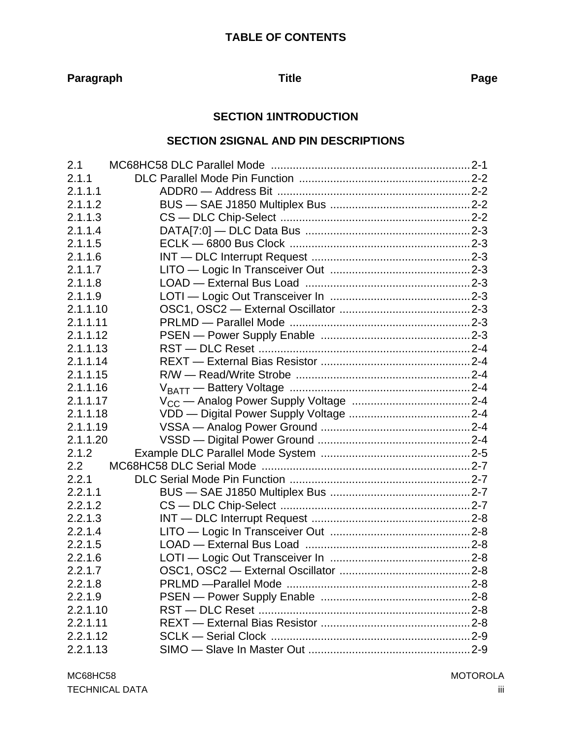# **[SECTION 1INTRODUCTION](#page-12-0)**

# **[SECTION 2SIGNAL AND PIN DESCRIPTIONS](#page-16-0)**

| 2.1.1<br>2.1.1.1<br>2.1.1.2<br>2.1.1.3<br>2.1.1.4<br>2.1.1.5<br>2.1.1.6<br>2.1.1.7<br>2.1.1.8<br>2.1.1.9<br>2.1.1.10<br>2.1.1.11<br>2.1.1.12<br>2.1.1.13<br>2.1.1.14<br>2.1.1.15<br>2.1.1.16<br>2.1.1.17<br>2.1.1.18<br>2.1.1.19<br>2.1.1.20<br>2.1.2<br>2.2<br>2.2.1<br>2.2.1.1<br>2.2.1.2<br>2.2.1.3<br>2.2.1.4<br>2.2.1.5<br>2.2.1.6<br>2.2.1.7<br>2.2.1.8<br>2.2.1.9<br>2.2.1.10<br>2.2.1.11<br>2.2.1.12<br>2.2.1.13 | 2.1 |  |
|--------------------------------------------------------------------------------------------------------------------------------------------------------------------------------------------------------------------------------------------------------------------------------------------------------------------------------------------------------------------------------------------------------------------------|-----|--|
|                                                                                                                                                                                                                                                                                                                                                                                                                          |     |  |
|                                                                                                                                                                                                                                                                                                                                                                                                                          |     |  |
|                                                                                                                                                                                                                                                                                                                                                                                                                          |     |  |
|                                                                                                                                                                                                                                                                                                                                                                                                                          |     |  |
|                                                                                                                                                                                                                                                                                                                                                                                                                          |     |  |
|                                                                                                                                                                                                                                                                                                                                                                                                                          |     |  |
|                                                                                                                                                                                                                                                                                                                                                                                                                          |     |  |
|                                                                                                                                                                                                                                                                                                                                                                                                                          |     |  |
|                                                                                                                                                                                                                                                                                                                                                                                                                          |     |  |
|                                                                                                                                                                                                                                                                                                                                                                                                                          |     |  |
|                                                                                                                                                                                                                                                                                                                                                                                                                          |     |  |
|                                                                                                                                                                                                                                                                                                                                                                                                                          |     |  |
|                                                                                                                                                                                                                                                                                                                                                                                                                          |     |  |
|                                                                                                                                                                                                                                                                                                                                                                                                                          |     |  |
|                                                                                                                                                                                                                                                                                                                                                                                                                          |     |  |
|                                                                                                                                                                                                                                                                                                                                                                                                                          |     |  |
|                                                                                                                                                                                                                                                                                                                                                                                                                          |     |  |
|                                                                                                                                                                                                                                                                                                                                                                                                                          |     |  |
|                                                                                                                                                                                                                                                                                                                                                                                                                          |     |  |
|                                                                                                                                                                                                                                                                                                                                                                                                                          |     |  |
|                                                                                                                                                                                                                                                                                                                                                                                                                          |     |  |
|                                                                                                                                                                                                                                                                                                                                                                                                                          |     |  |
|                                                                                                                                                                                                                                                                                                                                                                                                                          |     |  |
|                                                                                                                                                                                                                                                                                                                                                                                                                          |     |  |
|                                                                                                                                                                                                                                                                                                                                                                                                                          |     |  |
|                                                                                                                                                                                                                                                                                                                                                                                                                          |     |  |
|                                                                                                                                                                                                                                                                                                                                                                                                                          |     |  |
|                                                                                                                                                                                                                                                                                                                                                                                                                          |     |  |
|                                                                                                                                                                                                                                                                                                                                                                                                                          |     |  |
|                                                                                                                                                                                                                                                                                                                                                                                                                          |     |  |
|                                                                                                                                                                                                                                                                                                                                                                                                                          |     |  |
|                                                                                                                                                                                                                                                                                                                                                                                                                          |     |  |
|                                                                                                                                                                                                                                                                                                                                                                                                                          |     |  |
|                                                                                                                                                                                                                                                                                                                                                                                                                          |     |  |
|                                                                                                                                                                                                                                                                                                                                                                                                                          |     |  |
|                                                                                                                                                                                                                                                                                                                                                                                                                          |     |  |
|                                                                                                                                                                                                                                                                                                                                                                                                                          |     |  |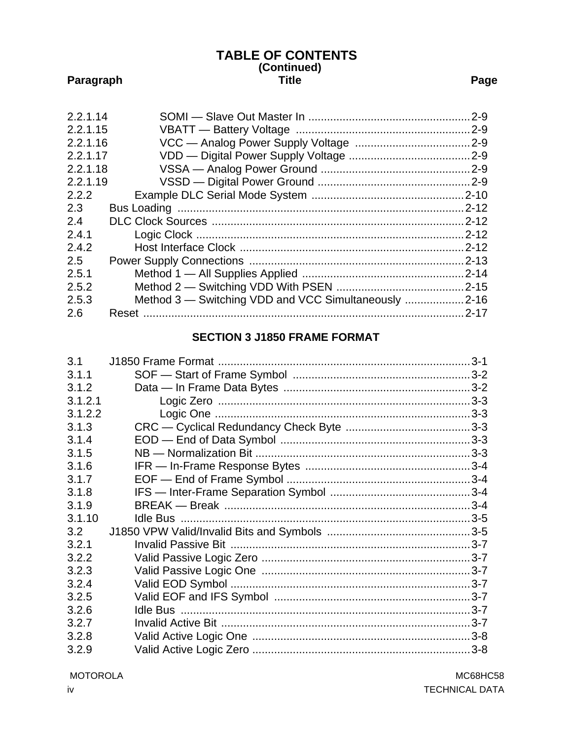# TABLE OF CONTENTS<br>(Continued) **Title**

Paragraph

| 2.2.1.14 |                                                      | $2 - 9$   |
|----------|------------------------------------------------------|-----------|
| 2.2.1.15 |                                                      |           |
| 2.2.1.16 |                                                      |           |
| 2.2.1.17 |                                                      |           |
| 2.2.1.18 |                                                      |           |
| 2.2.1.19 |                                                      |           |
| 2.2.2    |                                                      |           |
| 2.3      |                                                      | $.2 - 12$ |
| 24       |                                                      |           |
| 2.4.1    |                                                      | $2 - 12$  |
| 2.4.2    |                                                      |           |
| 2.5      |                                                      |           |
| 2.5.1    |                                                      | $.2 - 14$ |
| 2.5.2    |                                                      |           |
| 2.5.3    | Method 3 – Switching VDD and VCC Simultaneously 2-16 |           |
| 2.6      |                                                      |           |
|          |                                                      |           |

#### **SECTION 3 J1850 FRAME FORMAT**

| 3.1     |  |
|---------|--|
| 3.1.1   |  |
| 3.1.2   |  |
| 3.1.2.1 |  |
| 3.1.2.2 |  |
| 3.1.3   |  |
| 3.1.4   |  |
| 3.1.5   |  |
| 3.1.6   |  |
| 3.1.7   |  |
| 3.1.8   |  |
| 3.1.9   |  |
| 3.1.10  |  |
| 3.2     |  |
| 3.2.1   |  |
| 3.2.2   |  |
| 3.2.3   |  |
| 3.2.4   |  |
| 3.2.5   |  |
| 3.2.6   |  |
| 3.2.7   |  |
| 3.2.8   |  |
| 3.2.9   |  |

#### **MOTOROLA**

Page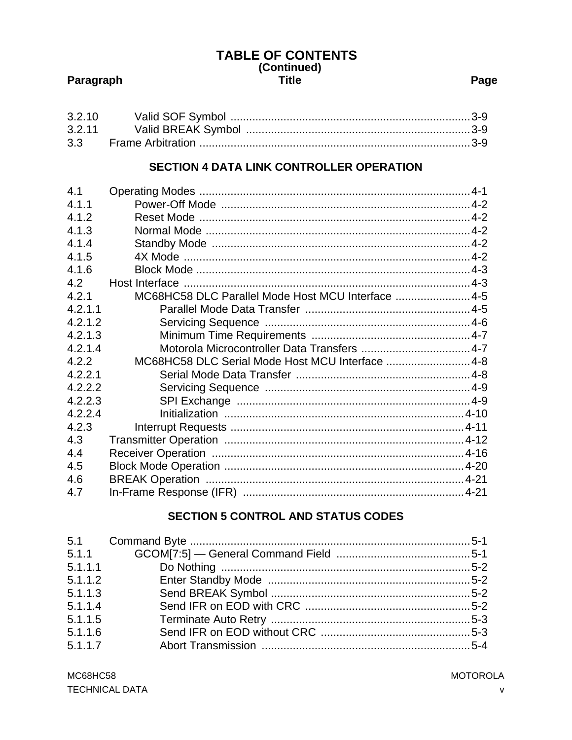# TABLE OF CONTENTS<br>(Continued) **Title**

# Paragraph

| 3.3 |  |
|-----|--|

# **SECTION 4 DATA LINK CONTROLLER OPERATION**

| 4.1     |                                                    |  |
|---------|----------------------------------------------------|--|
| 4.1.1   |                                                    |  |
| 4.1.2   |                                                    |  |
| 4.1.3   |                                                    |  |
| 4.1.4   |                                                    |  |
| 4.1.5   |                                                    |  |
| 4.1.6   |                                                    |  |
| 4.2     |                                                    |  |
| 4.2.1   | MC68HC58 DLC Parallel Mode Host MCU Interface  4-5 |  |
| 4.2.1.1 |                                                    |  |
| 4.2.1.2 |                                                    |  |
| 4.2.1.3 |                                                    |  |
| 4.2.1.4 |                                                    |  |
| 4.2.2   | MC68HC58 DLC Serial Mode Host MCU Interface  4-8   |  |
| 4.2.2.1 |                                                    |  |
| 4.2.2.2 |                                                    |  |
| 4.2.2.3 |                                                    |  |
| 4.2.2.4 |                                                    |  |
| 4.2.3   |                                                    |  |
| 4.3     |                                                    |  |
| 4.4     |                                                    |  |
| 4.5     |                                                    |  |
| 4.6     |                                                    |  |
| 4.7     |                                                    |  |

# **SECTION 5 CONTROL AND STATUS CODES**

**MOTOROLA**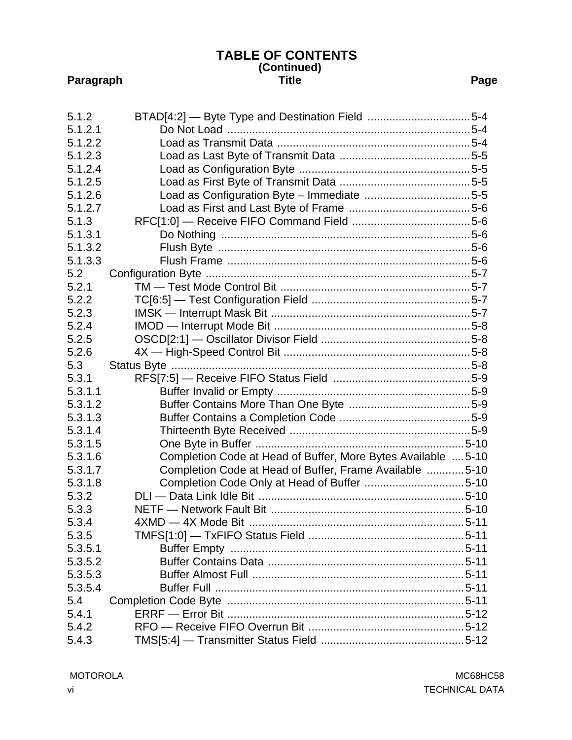#### **(Continued) Paragraph Title Page TABLE OF CONTENTS**

| BTAD[4:2] - Byte Type and Destination Field 5-4<br>Completion Code at Head of Buffer, More Bytes Available  5-10<br>Completion Code at Head of Buffer, Frame Available 5-10 |
|-----------------------------------------------------------------------------------------------------------------------------------------------------------------------------|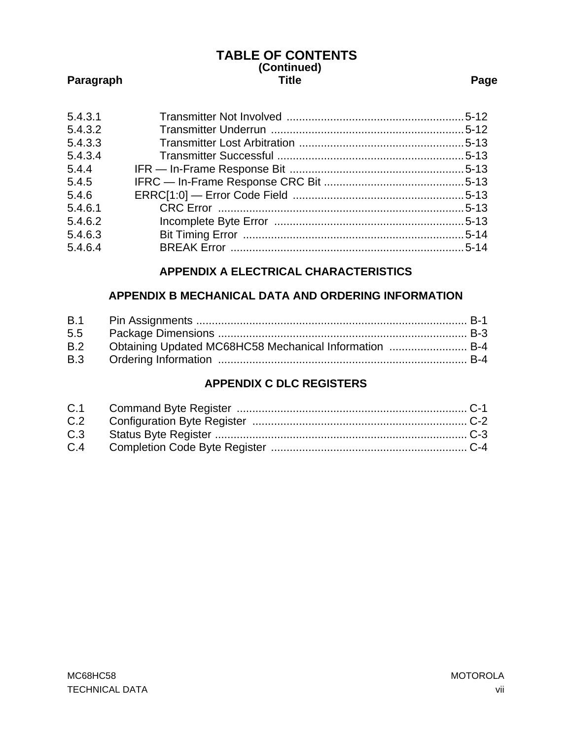#### **(Continued)** Paragraph **Paragraph Page TABLE OF CONTENTS**

#### [5.4.3.1 Transmitter Not Involved .........................................................5-12](#page-77-0) [5.4.3.2 Transmitter Underrun ..............................................................5-12](#page-77-0) [5.4.3.3 Transmitter Lost Arbitration .....................................................5-13](#page-78-0) [5.4.3.4 Transmitter Successful ............................................................5-13](#page-78-0) [5.4.4 IFR — In-Frame Response Bit ........................................................5-13](#page-78-0) [5.4.5 IFRC — In-Frame Response CRC Bit .............................................5-13](#page-78-0) [5.4.6 ERRC\[1:0\] — Error Code Field .......................................................5-13](#page-78-0) [5.4.6.1 CRC Error ...............................................................................5-13](#page-78-0) [5.4.6.2 Incomplete Byte Error .............................................................5-13](#page-78-0) [5.4.6.3 Bit Timing Error .......................................................................5-14](#page-79-0) [5.4.6.4 BREAK Error ...........................................................................5-14](#page-79-0)

# **[APPENDIX A ELECTRICAL CHARACTERISTICS](#page-80-0)**

### **[APPENDIX B MECHANICAL DATA AND ORDERING INFORMATION](#page-90-0)**

| B.2 Obtaining Updated MC68HC58 Mechanical Information  B-4 |  |
|------------------------------------------------------------|--|
|                                                            |  |
|                                                            |  |

# **[APPENDIX C DLC REGISTERS](#page-94-0)**

| C.3 |  |
|-----|--|
| C.4 |  |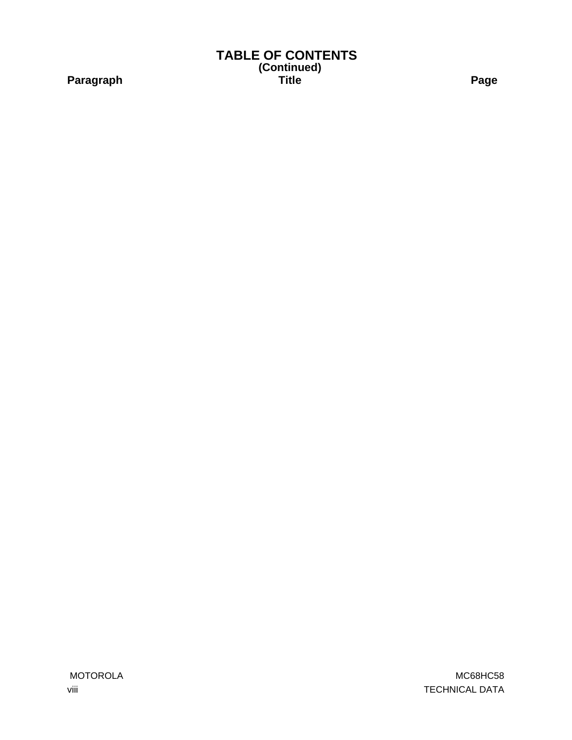#### **(Continued) Paragraph Title Page TABLE OF CONTENTS**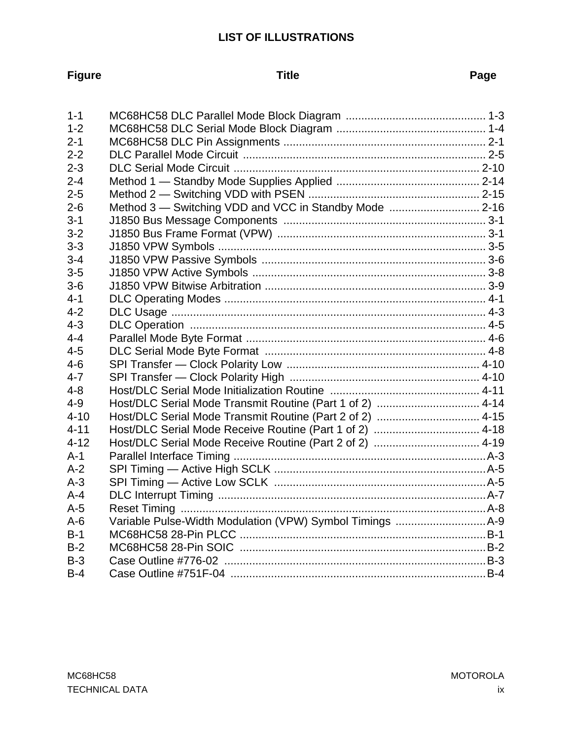# **LIST OF ILLUSTRATIONS**

#### **Figure Title Page**

| $1 - 1$  |                                                           |
|----------|-----------------------------------------------------------|
| $1 - 2$  |                                                           |
| $2 - 1$  |                                                           |
| $2 - 2$  |                                                           |
| $2 - 3$  |                                                           |
| $2 - 4$  |                                                           |
| $2 - 5$  |                                                           |
| $2 - 6$  | Method 3 - Switching VDD and VCC in Standby Mode  2-16    |
| $3 - 1$  |                                                           |
| $3 - 2$  |                                                           |
| $3 - 3$  |                                                           |
| $3 - 4$  |                                                           |
| $3-5$    |                                                           |
| $3-6$    |                                                           |
| $4 - 1$  |                                                           |
| $4 - 2$  |                                                           |
| $4 - 3$  |                                                           |
| $4 - 4$  |                                                           |
| $4 - 5$  |                                                           |
| $4 - 6$  |                                                           |
| $4 - 7$  |                                                           |
| $4 - 8$  |                                                           |
| $4 - 9$  | Host/DLC Serial Mode Transmit Routine (Part 1 of 2)  4-14 |
| $4 - 10$ | Host/DLC Serial Mode Transmit Routine (Part 2 of 2)  4-15 |
| $4 - 11$ |                                                           |
| $4 - 12$ |                                                           |
| $A-1$    |                                                           |
| $A-2$    |                                                           |
| $A-3$    |                                                           |
| $A - 4$  |                                                           |
| $A-5$    |                                                           |
| $A-6$    |                                                           |
| $B-1$    |                                                           |
| $B-2$    |                                                           |
| $B-3$    |                                                           |
| $B-4$    |                                                           |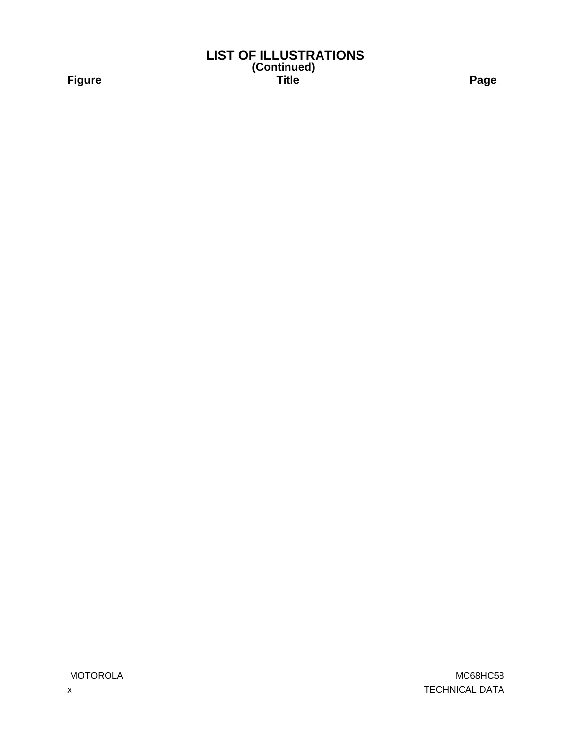#### **(Continued) Figure Title Page LIST OF ILLUSTRATIONS**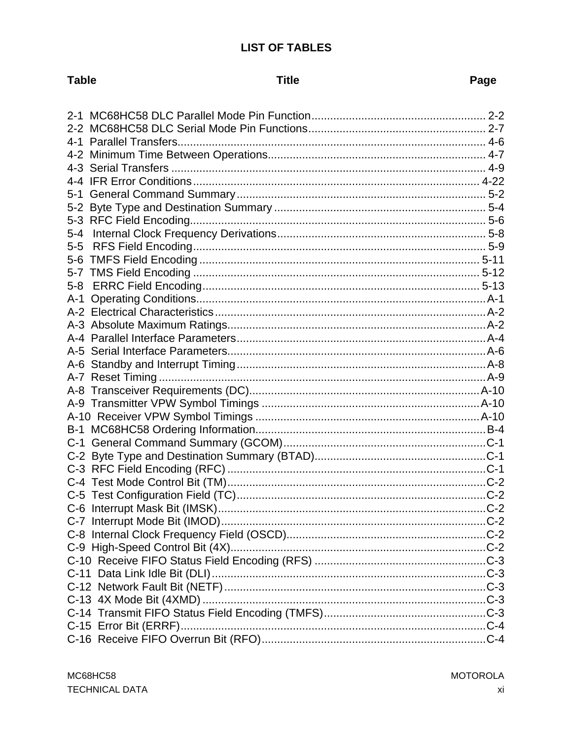# **LIST OF TABLES**

| <b>Title</b>           |  |  |  |
|------------------------|--|--|--|
|                        |  |  |  |
| . Function<br>unctions |  |  |  |

| $5 - 4$ |  |
|---------|--|
| $5-5$   |  |
|         |  |
|         |  |
|         |  |
| $A-1$   |  |
|         |  |
|         |  |
|         |  |
|         |  |
|         |  |
|         |  |
|         |  |
|         |  |
|         |  |
|         |  |
|         |  |
|         |  |
|         |  |
|         |  |
|         |  |
|         |  |
|         |  |
|         |  |
|         |  |
|         |  |
|         |  |
|         |  |
|         |  |
|         |  |
|         |  |
|         |  |

**Table** 

**MOTOROLA** 

Page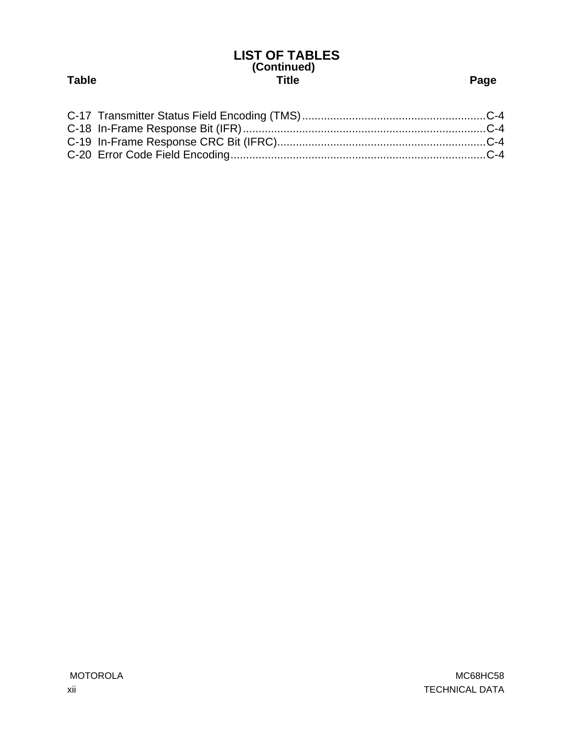#### **(Continued) Table Title Page LIST OF TABLES**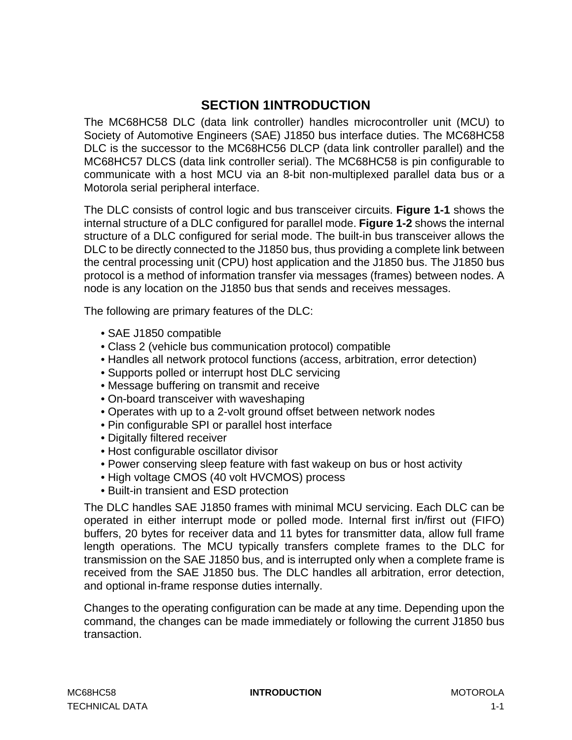# **SECTION 1INTRODUCTION**

<span id="page-12-0"></span>The MC68HC58 DLC (data link controller) handles microcontroller unit (MCU) to Society of Automotive Engineers (SAE) J1850 bus interface duties. The MC68HC58 DLC is the successor to the MC68HC56 DLCP (data link controller parallel) and the MC68HC57 DLCS (data link controller serial). The MC68HC58 is pin configurable to communicate with a host MCU via an 8-bit non-multiplexed parallel data bus or a Motorola serial peripheral interface.

The DLC consists of control logic and bus transceiver circuits. **[Figure 1-1](#page-14-0)** shows the internal structure of a DLC configured for parallel mode. **[Figure 1-2](#page-15-0)** shows the internal structure of a DLC configured for serial mode. The built-in bus transceiver allows the DLC to be directly connected to the J1850 bus, thus providing a complete link between the central processing unit (CPU) host application and the J1850 bus. The J1850 bus protocol is a method of information transfer via messages (frames) between nodes. A node is any location on the J1850 bus that sends and receives messages.

The following are primary features of the DLC:

- SAE J1850 compatible
- Class 2 (vehicle bus communication protocol) compatible
- Handles all network protocol functions (access, arbitration, error detection)
- Supports polled or interrupt host DLC servicing
- Message buffering on transmit and receive
- On-board transceiver with waveshaping
- Operates with up to a 2-volt ground offset between network nodes
- Pin configurable SPI or parallel host interface
- Digitally filtered receiver
- Host configurable oscillator divisor
- Power conserving sleep feature with fast wakeup on bus or host activity
- High voltage CMOS (40 volt HVCMOS) process
- Built-in transient and ESD protection

The DLC handles SAE J1850 frames with minimal MCU servicing. Each DLC can be operated in either interrupt mode or polled mode. Internal first in/first out (FIFO) buffers, 20 bytes for receiver data and 11 bytes for transmitter data, allow full frame length operations. The MCU typically transfers complete frames to the DLC for transmission on the SAE J1850 bus, and is interrupted only when a complete frame is received from the SAE J1850 bus. The DLC handles all arbitration, error detection, and optional in-frame response duties internally.

Changes to the operating configuration can be made at any time. Depending upon the command, the changes can be made immediately or following the current J1850 bus transaction.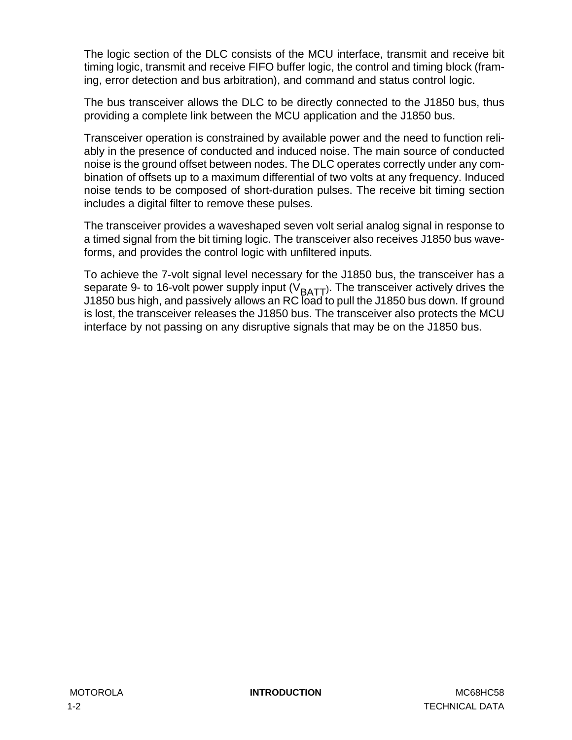The logic section of the DLC consists of the MCU interface, transmit and receive bit timing logic, transmit and receive FIFO buffer logic, the control and timing block (framing, error detection and bus arbitration), and command and status control logic.

The bus transceiver allows the DLC to be directly connected to the J1850 bus, thus providing a complete link between the MCU application and the J1850 bus.

Transceiver operation is constrained by available power and the need to function reliably in the presence of conducted and induced noise. The main source of conducted noise is the ground offset between nodes. The DLC operates correctly under any combination of offsets up to a maximum differential of two volts at any frequency. Induced noise tends to be composed of short-duration pulses. The receive bit timing section includes a digital filter to remove these pulses.

The transceiver provides a waveshaped seven volt serial analog signal in response to a timed signal from the bit timing logic. The transceiver also receives J1850 bus waveforms, and provides the control logic with unfiltered inputs.

To achieve the 7-volt signal level necessary for the J1850 bus, the transceiver has a separate 9- to 16-volt power supply input  $(V_{BATT})$ . The transceiver actively drives the J1850 bus high, and passively allows an RC load to pull the J1850 bus down. If ground is lost, the transceiver releases the J1850 bus. The transceiver also protects the MCU interface by not passing on any disruptive signals that may be on the J1850 bus.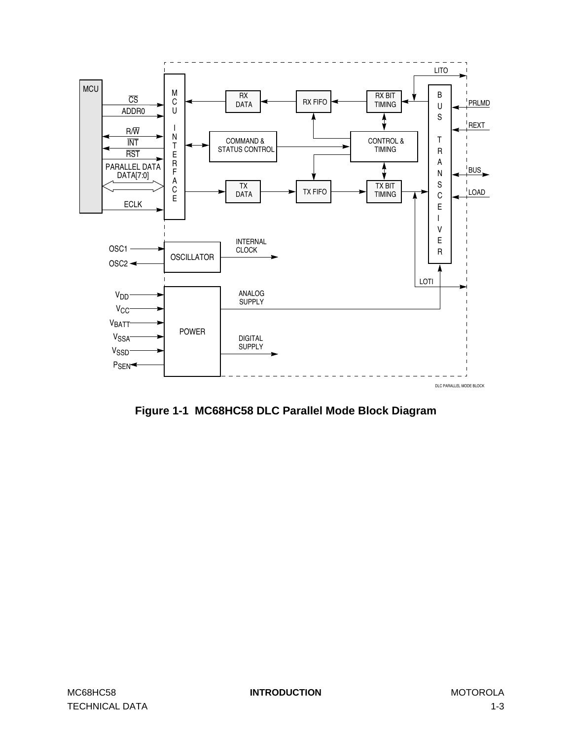<span id="page-14-0"></span>

**Figure 1-1 MC68HC58 DLC Parallel Mode Block Diagram**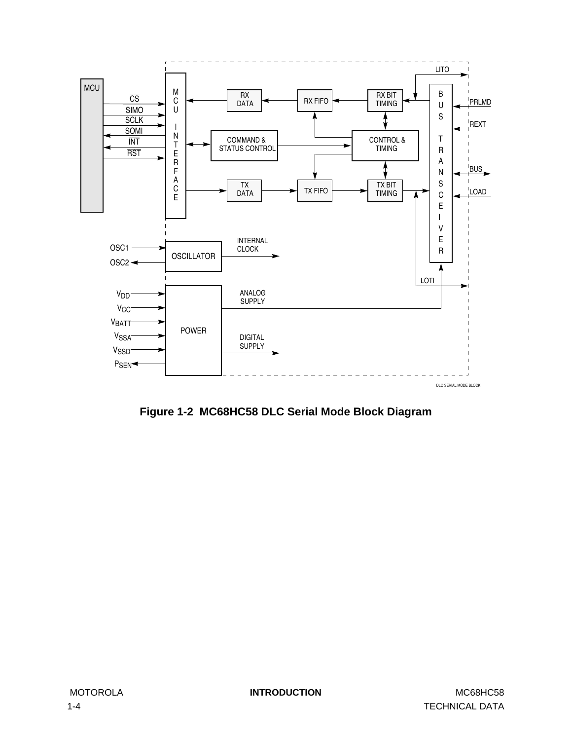<span id="page-15-0"></span>

**Figure 1-2 MC68HC58 DLC Serial Mode Block Diagram**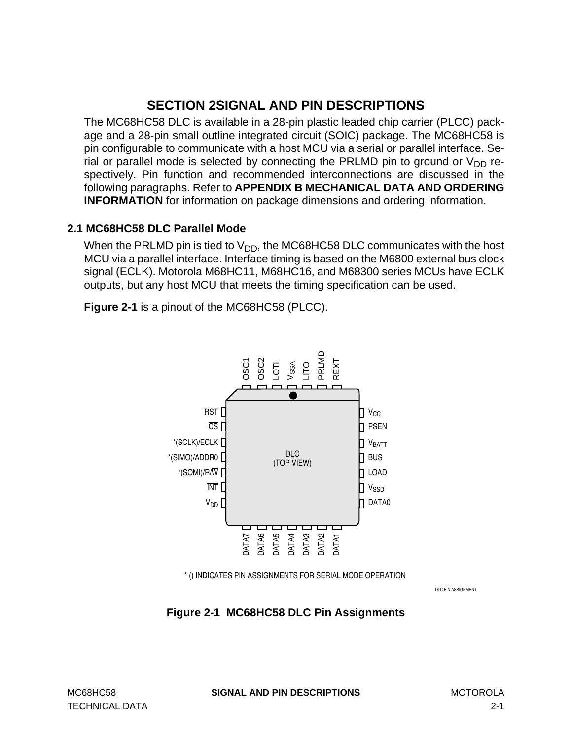# **SECTION 2SIGNAL AND PIN DESCRIPTIONS**

<span id="page-16-0"></span>The MC68HC58 DLC is available in a 28-pin plastic leaded chip carrier (PLCC) package and a 28-pin small outline integrated circuit (SOIC) package. The MC68HC58 is pin configurable to communicate with a host MCU via a serial or parallel interface. Serial or parallel mode is selected by connecting the PRLMD pin to ground or  $V_{DD}$  respectively. Pin function and recommended interconnections are discussed in the following paragraphs. Refer to **[APPENDIX B MECHANICAL DATA AND ORDERING](#page-90-0) [INFORMATION](#page-90-0)** for information on package dimensions and ordering information.

# **2.1 MC68HC58 DLC Parallel Mode**

When the PRLMD pin is tied to  $V_{DD}$ , the MC68HC58 DLC communicates with the host MCU via a parallel interface. Interface timing is based on the M6800 external bus clock signal (ECLK). Motorola M68HC11, M68HC16, and M68300 series MCUs have ECLK outputs, but any host MCU that meets the timing specification can be used.

**Figure 2-1** is a pinout of the MC68HC58 (PLCC).



DLC PIN ASSIGNMENT

# **Figure 2-1 MC68HC58 DLC Pin Assignments**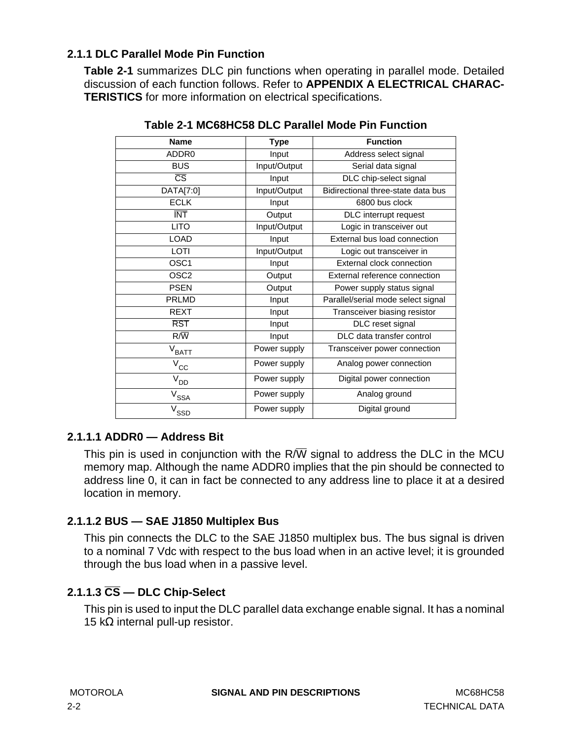# <span id="page-17-0"></span>**2.1.1 DLC Parallel Mode Pin Function**

**Table 2-1** summarizes DLC pin functions when operating in parallel mode. Detailed discussion of each function follows. Refer to **[APPENDIX A ELECTRICAL CHARAC-](#page-80-0)[TERISTICS](#page-80-0)** for more information on electrical specifications.

| <b>Name</b>            | <b>Type</b>  | <b>Function</b>                    |
|------------------------|--------------|------------------------------------|
| ADDR0                  | Input        | Address select signal              |
| <b>BUS</b>             | Input/Output | Serial data signal                 |
| $\overline{\text{CS}}$ | Input        | DLC chip-select signal             |
| DATA[7:0]              | Input/Output | Bidirectional three-state data bus |
| <b>ECLK</b>            | Input        | 6800 bus clock                     |
| <b>INT</b>             | Output       | DLC interrupt request              |
| <b>LITO</b>            | Input/Output | Logic in transceiver out           |
| <b>LOAD</b>            | Input        | External bus load connection       |
| LOTI                   | Input/Output | Logic out transceiver in           |
| OSC <sub>1</sub>       | Input        | External clock connection          |
| OSC <sub>2</sub>       | Output       | External reference connection      |
| <b>PSEN</b>            | Output       | Power supply status signal         |
| <b>PRLMD</b>           | Input        | Parallel/serial mode select signal |
| <b>REXT</b>            | Input        | Transceiver biasing resistor       |
| <b>RST</b>             | Input        | DLC reset signal                   |
| $R/\overline{W}$       | Input        | DLC data transfer control          |
| $\rm V_{BAT}$          | Power supply | Transceiver power connection       |
| $V_{\rm CC}$           | Power supply | Analog power connection            |
| V <sub>DD</sub>        | Power supply | Digital power connection           |
| $V_{SSA}$              | Power supply | Analog ground                      |
| $V_{\text{SSD}}$       | Power supply | Digital ground                     |

**Table 2-1 MC68HC58 DLC Parallel Mode Pin Function**

# **2.1.1.1 ADDR0 — Address Bit**

This pin is used in conjunction with the  $R/\overline{W}$  signal to address the DLC in the MCU memory map. Although the name ADDR0 implies that the pin should be connected to address line 0, it can in fact be connected to any address line to place it at a desired location in memory.

# **2.1.1.2 BUS — SAE J1850 Multiplex Bus**

This pin connects the DLC to the SAE J1850 multiplex bus. The bus signal is driven to a nominal 7 Vdc with respect to the bus load when in an active level; it is grounded through the bus load when in a passive level.

# **2.1.1.3 CS — DLC Chip-Select**

This pin is used to input the DLC parallel data exchange enable signal. It has a nominal 15 kΩ internal pull-up resistor.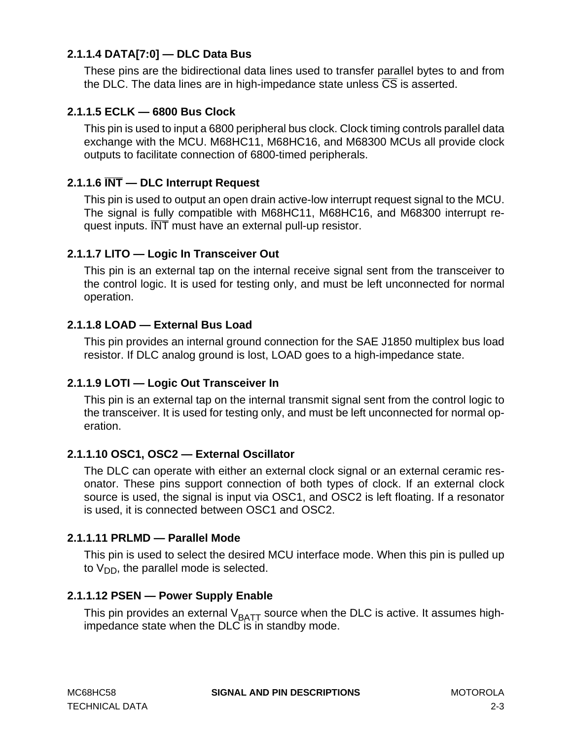# <span id="page-18-0"></span>**2.1.1.4 DATA[7:0] — DLC Data Bus**

These pins are the bidirectional data lines used to transfer parallel bytes to and from the DLC. The data lines are in high-impedance state unless  $\overline{CS}$  is asserted.

#### **2.1.1.5 ECLK — 6800 Bus Clock**

This pin is used to input a 6800 peripheral bus clock. Clock timing controls parallel data exchange with the MCU. M68HC11, M68HC16, and M68300 MCUs all provide clock outputs to facilitate connection of 6800-timed peripherals.

### **2.1.1.6 INT — DLC Interrupt Request**

This pin is used to output an open drain active-low interrupt request signal to the MCU. The signal is fully compatible with M68HC11, M68HC16, and M68300 interrupt request inputs. INT must have an external pull-up resistor.

#### **2.1.1.7 LITO — Logic In Transceiver Out**

This pin is an external tap on the internal receive signal sent from the transceiver to the control logic. It is used for testing only, and must be left unconnected for normal operation.

#### **2.1.1.8 LOAD — External Bus Load**

This pin provides an internal ground connection for the SAE J1850 multiplex bus load resistor. If DLC analog ground is lost, LOAD goes to a high-impedance state.

# **2.1.1.9 LOTI — Logic Out Transceiver In**

This pin is an external tap on the internal transmit signal sent from the control logic to the transceiver. It is used for testing only, and must be left unconnected for normal operation.

### **2.1.1.10 OSC1, OSC2 — External Oscillator**

The DLC can operate with either an external clock signal or an external ceramic resonator. These pins support connection of both types of clock. If an external clock source is used, the signal is input via OSC1, and OSC2 is left floating. If a resonator is used, it is connected between OSC1 and OSC2.

#### **2.1.1.11 PRLMD — Parallel Mode**

This pin is used to select the desired MCU interface mode. When this pin is pulled up to  $V_{DD}$ , the parallel mode is selected.

#### **2.1.1.12 PSEN — Power Supply Enable**

This pin provides an external  $V_{\text{BAT}}$  source when the DLC is active. It assumes highimpedance state when the DLC is in standby mode.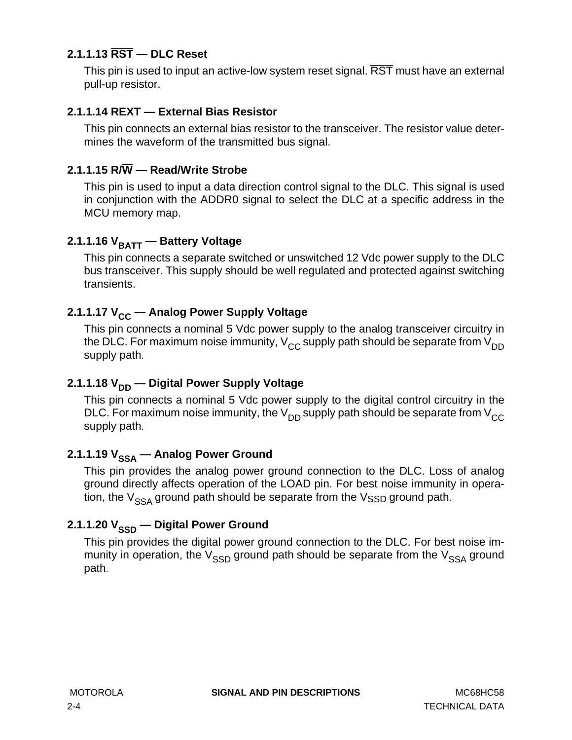# <span id="page-19-0"></span>**2.1.1.13 RST — DLC Reset**

This pin is used to input an active-low system reset signal. RST must have an external pull-up resistor.

# **2.1.1.14 REXT — External Bias Resistor**

This pin connects an external bias resistor to the transceiver. The resistor value determines the waveform of the transmitted bus signal.

# **2.1.1.15 R/W — Read/Write Strobe**

This pin is used to input a data direction control signal to the DLC. This signal is used in conjunction with the ADDR0 signal to select the DLC at a specific address in the MCU memory map.

# 2.1.1.16 V<sub>BATT</sub> — Battery Voltage

This pin connects a separate switched or unswitched 12 Vdc power supply to the DLC bus transceiver. This supply should be well regulated and protected against switching transients.

# 2.1.1.17 V<sub>CC</sub> — Analog Power Supply Voltage

This pin connects a nominal 5 Vdc power supply to the analog transceiver circuitry in the DLC. For maximum noise immunity,  $V_{CC}$  supply path should be separate from  $V_{DD}$ supply path.

# 2.1.1.18 V<sub>DD</sub> — Digital Power Supply Voltage

This pin connects a nominal 5 Vdc power supply to the digital control circuitry in the DLC. For maximum noise immunity, the  $V_{DD}$  supply path should be separate from  $V_{CC}$ supply path.

# 2.1.1.19 V<sub>SSA</sub> — Analog Power Ground

This pin provides the analog power ground connection to the DLC. Loss of analog ground directly affects operation of the LOAD pin. For best noise immunity in operation, the  $V_{SSA}$  ground path should be separate from the  $V_{SSD}$  ground path.

# 2.1.1.20 V<sub>SSD</sub> — Digital Power Ground

This pin provides the digital power ground connection to the DLC. For best noise immunity in operation, the  $V_{\text{SSD}}$  ground path should be separate from the  $V_{\text{SSA}}$  ground path.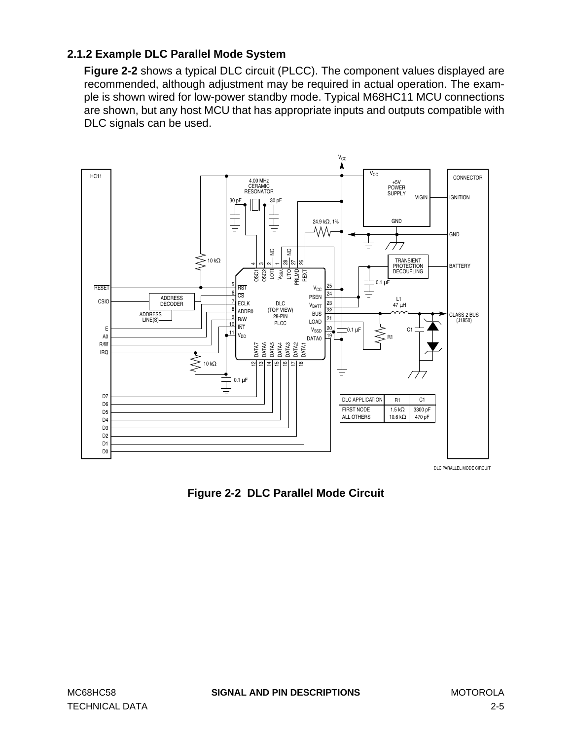# <span id="page-20-0"></span>**2.1.2 Example DLC Parallel Mode System**

**Figure 2-2** shows a typical DLC circuit (PLCC). The component values displayed are recommended, although adjustment may be required in actual operation. The example is shown wired for low-power standby mode. Typical M68HC11 MCU connections are shown, but any host MCU that has appropriate inputs and outputs compatible with DLC signals can be used.



DLC PARALLEL MODE CIRCUIT

**Figure 2-2 DLC Parallel Mode Circuit**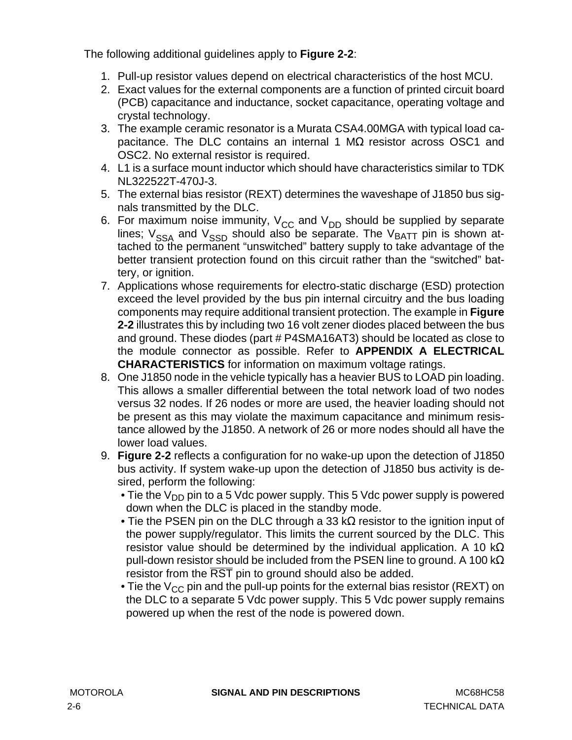The following additional guidelines apply to **[Figure 2-2](#page-20-0)**:

- 1. Pull-up resistor values depend on electrical characteristics of the host MCU.
- 2. Exact values for the external components are a function of printed circuit board (PCB) capacitance and inductance, socket capacitance, operating voltage and crystal technology.
- 3. The example ceramic resonator is a Murata CSA4.00MGA with typical load capacitance. The DLC contains an internal 1 MΩ resistor across OSC1 and OSC2. No external resistor is required.
- 4. L1 is a surface mount inductor which should have characteristics similar to TDK NL322522T-470J-3.
- 5. The external bias resistor (REXT) determines the waveshape of J1850 bus signals transmitted by the DLC.
- 6. For maximum noise immunity,  $V_{CC}$  and  $V_{DD}$  should be supplied by separate lines;  $V_{SSA}$  and  $V_{SSD}$  should also be separate. The  $V_{BATT}$  pin is shown attached to the permanent "unswitched" battery supply to take advantage of the better transient protection found on this circuit rather than the "switched" battery, or ignition.
- 7. Applications whose requirements for electro-static discharge (ESD) protection exceed the level provided by the bus pin internal circuitry and the bus loading components may require additional transient protection. The example in **[Figure](#page-20-0) [2-2](#page-20-0)** illustrates this by including two 16 volt zener diodes placed between the bus and ground. These diodes (part # P4SMA16AT3) should be located as close to the module connector as possible. Refer to **[APPENDIX A ELECTRICAL](#page-80-0) [CHARACTERISTICS](#page-80-0)** for information on maximum voltage ratings.
- 8. One J1850 node in the vehicle typically has a heavier BUS to LOAD pin loading. This allows a smaller differential between the total network load of two nodes versus 32 nodes. If 26 nodes or more are used, the heavier loading should not be present as this may violate the maximum capacitance and minimum resistance allowed by the J1850. A network of 26 or more nodes should all have the lower load values.
- 9. **[Figure 2-2](#page-20-0)** reflects a configuration for no wake-up upon the detection of J1850 bus activity. If system wake-up upon the detection of J1850 bus activity is desired, perform the following:
	- Tie the  $V_{DD}$  pin to a 5 Vdc power supply. This 5 Vdc power supply is powered down when the DLC is placed in the standby mode.
	- Tie the PSEN pin on the DLC through a 33 kΩ resistor to the ignition input of the power supply/regulator. This limits the current sourced by the DLC. This resistor value should be determined by the individual application. A 10 k $\Omega$ pull-down resistor should be included from the PSEN line to ground. A 100 k $\Omega$ resistor from the RST pin to ground should also be added.
	- Tie the  $V_{CC}$  pin and the pull-up points for the external bias resistor (REXT) on the DLC to a separate 5 Vdc power supply. This 5 Vdc power supply remains powered up when the rest of the node is powered down.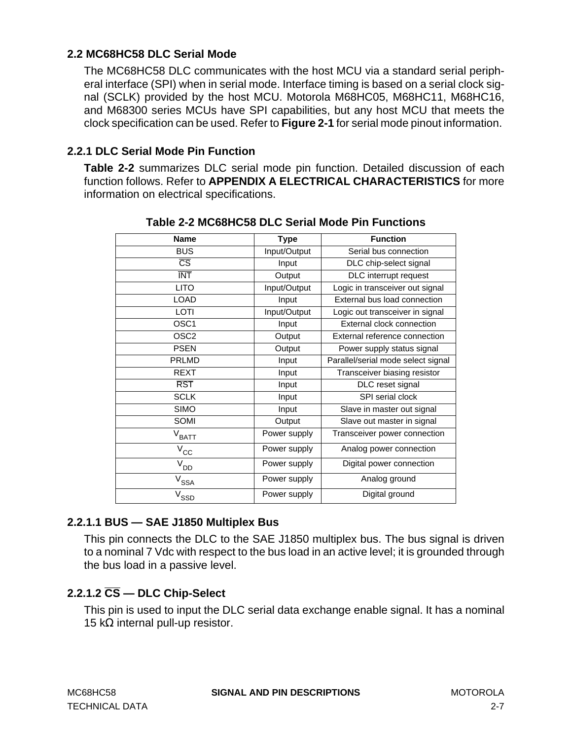## <span id="page-22-0"></span>**2.2 MC68HC58 DLC Serial Mode**

The MC68HC58 DLC communicates with the host MCU via a standard serial peripheral interface (SPI) when in serial mode. Interface timing is based on a serial clock signal (SCLK) provided by the host MCU. Motorola M68HC05, M68HC11, M68HC16, and M68300 series MCUs have SPI capabilities, but any host MCU that meets the clock specification can be used. Refer to **[Figure 2-1](#page-16-0)** for serial mode pinout information.

### **2.2.1 DLC Serial Mode Pin Function**

**Table 2-2** summarizes DLC serial mode pin function. Detailed discussion of each function follows. Refer to **[APPENDIX A ELECTRICAL CHARACTERISTICS](#page-80-0)** for more information on electrical specifications.

| <b>Name</b>                 | <b>Type</b>  | <b>Function</b>                    |
|-----------------------------|--------------|------------------------------------|
| <b>BUS</b>                  | Input/Output | Serial bus connection              |
| $\overline{\text{CS}}$      | Input        | DLC chip-select signal             |
| <b>INT</b>                  | Output       | DLC interrupt request              |
| <b>LITO</b>                 | Input/Output | Logic in transceiver out signal    |
| <b>LOAD</b>                 | Input        | External bus load connection       |
| LOTI                        | Input/Output | Logic out transceiver in signal    |
| OSC <sub>1</sub>            | Input        | External clock connection          |
| OSC <sub>2</sub>            | Output       | External reference connection      |
| <b>PSEN</b>                 | Output       | Power supply status signal         |
| <b>PRLMD</b>                | Input        | Parallel/serial mode select signal |
| <b>REXT</b>                 | Input        | Transceiver biasing resistor       |
| <b>RST</b>                  | Input        | DLC reset signal                   |
| <b>SCLK</b>                 | Input        | SPI serial clock                   |
| <b>SIMO</b>                 | Input        | Slave in master out signal         |
| SOMI                        | Output       | Slave out master in signal         |
| $\rm V_{BAT}$               | Power supply | Transceiver power connection       |
| $V_{\rm CC}$                | Power supply | Analog power connection            |
| $V_{DD}$                    | Power supply | Digital power connection           |
| $\mathsf{V}_{\mathsf{SSA}}$ | Power supply | Analog ground                      |
| $V_{\tt SSD}$               | Power supply | Digital ground                     |

**Table 2-2 MC68HC58 DLC Serial Mode Pin Functions**

# **2.2.1.1 BUS — SAE J1850 Multiplex Bus**

This pin connects the DLC to the SAE J1850 multiplex bus. The bus signal is driven to a nominal 7 Vdc with respect to the bus load in an active level; it is grounded through the bus load in a passive level.

# **2.2.1.2 CS — DLC Chip-Select**

This pin is used to input the DLC serial data exchange enable signal. It has a nominal 15 kΩ internal pull-up resistor.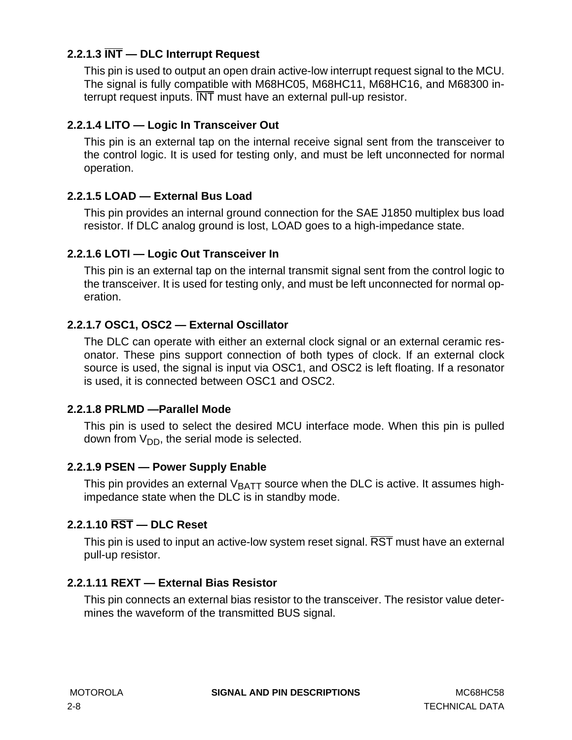# <span id="page-23-0"></span>**2.2.1.3 INT — DLC Interrupt Request**

This pin is used to output an open drain active-low interrupt request signal to the MCU. The signal is fully compatible with M68HC05, M68HC11, M68HC16, and M68300 interrupt request inputs.  $\overline{\text{INT}}$  must have an external pull-up resistor.

## **2.2.1.4 LITO — Logic In Transceiver Out**

This pin is an external tap on the internal receive signal sent from the transceiver to the control logic. It is used for testing only, and must be left unconnected for normal operation.

### **2.2.1.5 LOAD — External Bus Load**

This pin provides an internal ground connection for the SAE J1850 multiplex bus load resistor. If DLC analog ground is lost, LOAD goes to a high-impedance state.

### **2.2.1.6 LOTI — Logic Out Transceiver In**

This pin is an external tap on the internal transmit signal sent from the control logic to the transceiver. It is used for testing only, and must be left unconnected for normal operation.

### **2.2.1.7 OSC1, OSC2 — External Oscillator**

The DLC can operate with either an external clock signal or an external ceramic resonator. These pins support connection of both types of clock. If an external clock source is used, the signal is input via OSC1, and OSC2 is left floating. If a resonator is used, it is connected between OSC1 and OSC2.

#### **2.2.1.8 PRLMD —Parallel Mode**

This pin is used to select the desired MCU interface mode. When this pin is pulled down from  $V_{DD}$ , the serial mode is selected.

# **2.2.1.9 PSEN — Power Supply Enable**

This pin provides an external  $V_{\text{BATT}}$  source when the DLC is active. It assumes highimpedance state when the DLC is in standby mode.

# **2.2.1.10 RST — DLC Reset**

This pin is used to input an active-low system reset signal. RST must have an external pull-up resistor.

#### **2.2.1.11 REXT — External Bias Resistor**

This pin connects an external bias resistor to the transceiver. The resistor value determines the waveform of the transmitted BUS signal.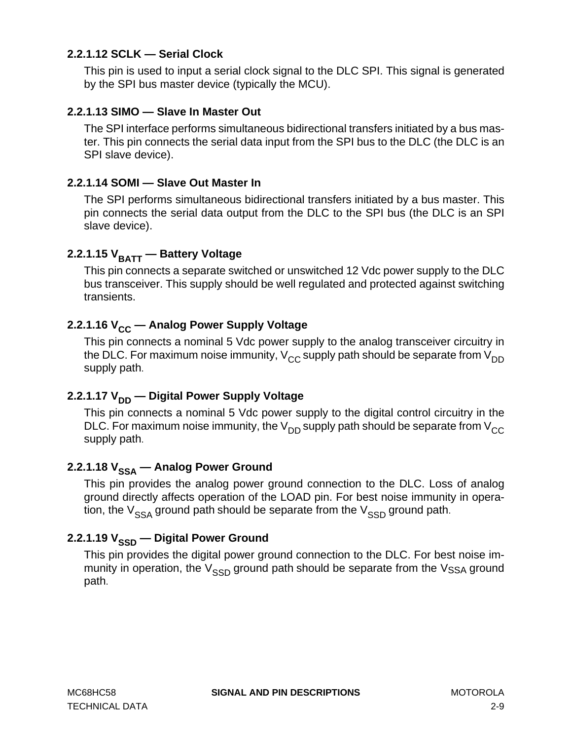### <span id="page-24-0"></span>**2.2.1.12 SCLK — Serial Clock**

This pin is used to input a serial clock signal to the DLC SPI. This signal is generated by the SPI bus master device (typically the MCU).

#### **2.2.1.13 SIMO — Slave In Master Out**

The SPI interface performs simultaneous bidirectional transfers initiated by a bus master. This pin connects the serial data input from the SPI bus to the DLC (the DLC is an SPI slave device).

#### **2.2.1.14 SOMI — Slave Out Master In**

The SPI performs simultaneous bidirectional transfers initiated by a bus master. This pin connects the serial data output from the DLC to the SPI bus (the DLC is an SPI slave device).

# 2.2.1.15 V<sub>BATT</sub> - Battery Voltage

This pin connects a separate switched or unswitched 12 Vdc power supply to the DLC bus transceiver. This supply should be well regulated and protected against switching transients.

### 2.2.1.16 V<sub>CC</sub> — Analog Power Supply Voltage

This pin connects a nominal 5 Vdc power supply to the analog transceiver circuitry in the DLC. For maximum noise immunity,  $V_{CC}$  supply path should be separate from  $V_{DD}$ supply path.

# 2.2.1.17 V<sub>DD</sub> — Digital Power Supply Voltage

This pin connects a nominal 5 Vdc power supply to the digital control circuitry in the DLC. For maximum noise immunity, the  $V_{DD}$  supply path should be separate from  $V_{CC}$ supply path.

#### 2.2.1.18 V<sub>SSA</sub> — Analog Power Ground

This pin provides the analog power ground connection to the DLC. Loss of analog ground directly affects operation of the LOAD pin. For best noise immunity in operation, the  $V_{SSA}$  ground path should be separate from the  $V_{SSD}$  ground path.

#### 2.2.1.19 V<sub>SSD</sub> — Digital Power Ground

This pin provides the digital power ground connection to the DLC. For best noise immunity in operation, the  $V_{SSD}$  ground path should be separate from the  $V_{SSA}$  ground path.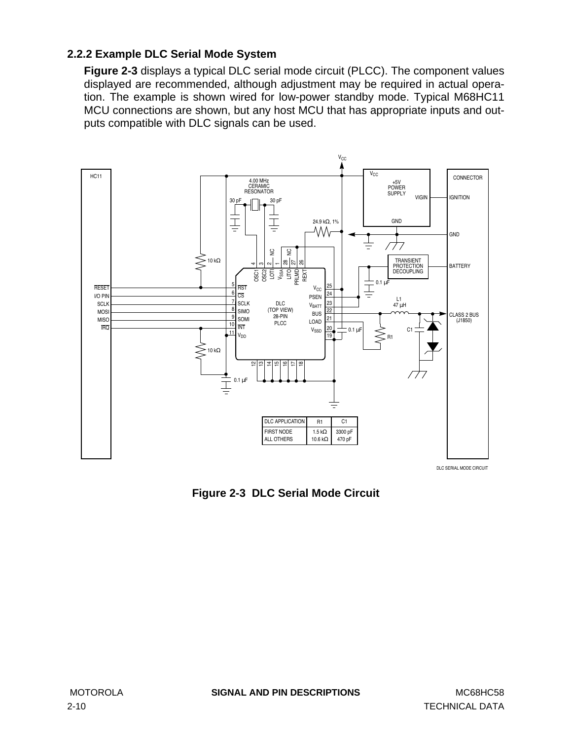# <span id="page-25-0"></span>**2.2.2 Example DLC Serial Mode System**

**Figure 2-3** displays a typical DLC serial mode circuit (PLCC). The component values displayed are recommended, although adjustment may be required in actual operation. The example is shown wired for low-power standby mode. Typical M68HC11 MCU connections are shown, but any host MCU that has appropriate inputs and outputs compatible with DLC signals can be used.



DLC SERIAL MODE CIRCUIT

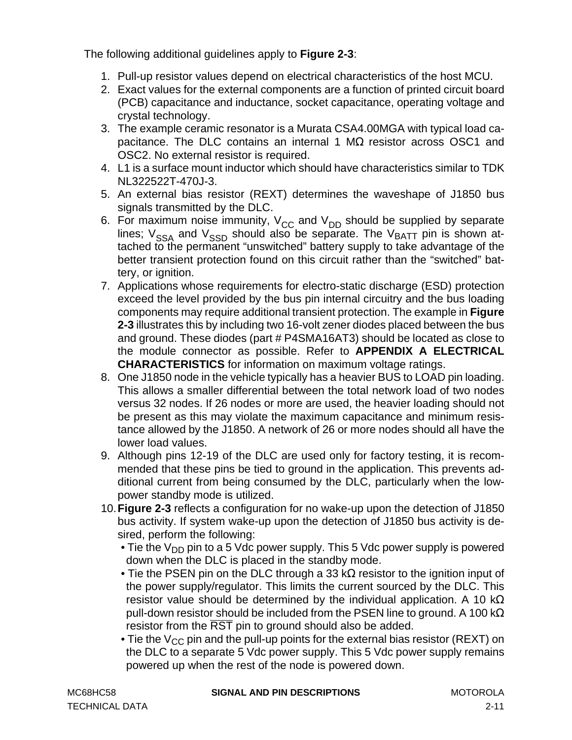The following additional guidelines apply to **[Figure 2-3](#page-25-0)**:

- 1. Pull-up resistor values depend on electrical characteristics of the host MCU.
- 2. Exact values for the external components are a function of printed circuit board (PCB) capacitance and inductance, socket capacitance, operating voltage and crystal technology.
- 3. The example ceramic resonator is a Murata CSA4.00MGA with typical load capacitance. The DLC contains an internal 1  $M\Omega$  resistor across OSC1 and OSC2. No external resistor is required.
- 4. L1 is a surface mount inductor which should have characteristics similar to TDK NL322522T-470J-3.
- 5. An external bias resistor (REXT) determines the waveshape of J1850 bus signals transmitted by the DLC.
- 6. For maximum noise immunity,  $V_{CC}$  and  $V_{DD}$  should be supplied by separate lines;  $V<sub>SSA</sub>$  and  $V<sub>SSD</sub>$  should also be separate. The  $V<sub>BATT</sub>$  pin is shown attached to the permanent "unswitched" battery supply to take advantage of the better transient protection found on this circuit rather than the "switched" battery, or ignition.
- 7. Applications whose requirements for electro-static discharge (ESD) protection exceed the level provided by the bus pin internal circuitry and the bus loading components may require additional transient protection. The example in **[Figure](#page-25-0) [2-3](#page-25-0)** illustrates this by including two 16-volt zener diodes placed between the bus and ground. These diodes (part # P4SMA16AT3) should be located as close to the module connector as possible. Refer to **[APPENDIX A ELECTRICAL](#page-80-0) [CHARACTERISTICS](#page-80-0)** for information on maximum voltage ratings.
- 8. One J1850 node in the vehicle typically has a heavier BUS to LOAD pin loading. This allows a smaller differential between the total network load of two nodes versus 32 nodes. If 26 nodes or more are used, the heavier loading should not be present as this may violate the maximum capacitance and minimum resistance allowed by the J1850. A network of 26 or more nodes should all have the lower load values.
- 9. Although pins 12-19 of the DLC are used only for factory testing, it is recommended that these pins be tied to ground in the application. This prevents additional current from being consumed by the DLC, particularly when the lowpower standby mode is utilized.
- 10.**[Figure 2-3](#page-25-0)** reflects a configuration for no wake-up upon the detection of J1850 bus activity. If system wake-up upon the detection of J1850 bus activity is desired, perform the following:
	- Tie the  $V_{DD}$  pin to a 5 Vdc power supply. This 5 Vdc power supply is powered down when the DLC is placed in the standby mode.
	- Tie the PSEN pin on the DLC through a 33 k $\Omega$  resistor to the ignition input of the power supply/regulator. This limits the current sourced by the DLC. This resistor value should be determined by the individual application. A 10 k $\Omega$ pull-down resistor should be included from the PSEN line to ground. A 100 k $\Omega$ resistor from the RST pin to ground should also be added.
	- Tie the  $V_{CC}$  pin and the pull-up points for the external bias resistor (REXT) on the DLC to a separate 5 Vdc power supply. This 5 Vdc power supply remains powered up when the rest of the node is powered down.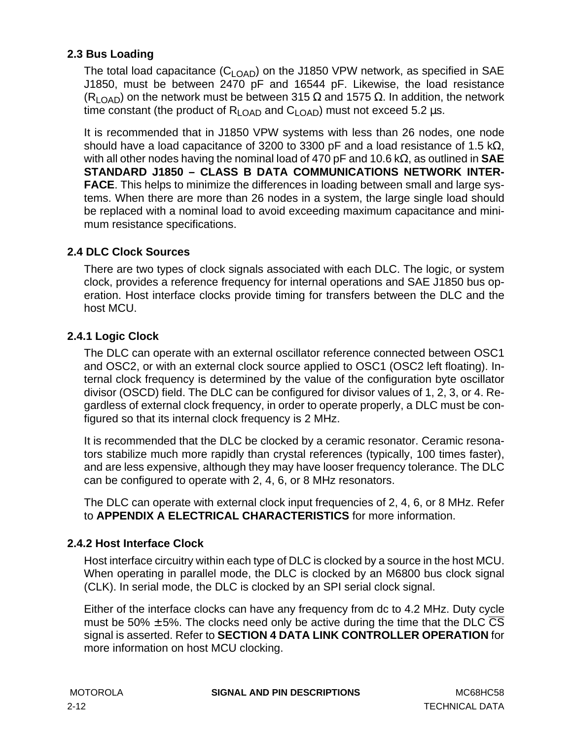# <span id="page-27-0"></span>**2.3 Bus Loading**

The total load capacitance  $(C<sub>LOAD</sub>)$  on the J1850 VPW network, as specified in SAE J1850, must be between 2470 pF and 16544 pF. Likewise, the load resistance (R<sub>LOAD</sub>) on the network must be between 315 Ω and 1575 Ω. In addition, the network time constant (the product of  $R_{\text{LOAD}}$  and  $C_{\text{LOAD}}$ ) must not exceed 5.2 µs.

It is recommended that in J1850 VPW systems with less than 26 nodes, one node should have a load capacitance of 3200 to 3300 pF and a load resistance of 1.5 k $\Omega$ , with all other nodes having the nominal load of 470 pF and 10.6 kΩ, as outlined in **SAE STANDARD J1850 – CLASS B DATA COMMUNICATIONS NETWORK INTER-FACE**. This helps to minimize the differences in loading between small and large systems. When there are more than 26 nodes in a system, the large single load should be replaced with a nominal load to avoid exceeding maximum capacitance and minimum resistance specifications.

# **2.4 DLC Clock Sources**

There are two types of clock signals associated with each DLC. The logic, or system clock, provides a reference frequency for internal operations and SAE J1850 bus operation. Host interface clocks provide timing for transfers between the DLC and the host MCU.

# **2.4.1 Logic Clock**

The DLC can operate with an external oscillator reference connected between OSC1 and OSC2, or with an external clock source applied to OSC1 (OSC2 left floating). Internal clock frequency is determined by the value of the configuration byte oscillator divisor (OSCD) field. The DLC can be configured for divisor values of 1, 2, 3, or 4. Regardless of external clock frequency, in order to operate properly, a DLC must be configured so that its internal clock frequency is 2 MHz.

It is recommended that the DLC be clocked by a ceramic resonator. Ceramic resonators stabilize much more rapidly than crystal references (typically, 100 times faster), and are less expensive, although they may have looser frequency tolerance. The DLC can be configured to operate with 2, 4, 6, or 8 MHz resonators.

The DLC can operate with external clock input frequencies of 2, 4, 6, or 8 MHz. Refer to **[APPENDIX A ELECTRICAL CHARACTERISTICS](#page-80-0)** for more information.

# **2.4.2 Host Interface Clock**

Host interface circuitry within each type of DLC is clocked by a source in the host MCU. When operating in parallel mode, the DLC is clocked by an M6800 bus clock signal (CLK). In serial mode, the DLC is clocked by an SPI serial clock signal.

Either of the interface clocks can have any frequency from dc to 4.2 MHz. Duty cycle must be 50%  $\pm$  5%. The clocks need only be active during the time that the DLC  $\overline{CS}$ signal is asserted. Refer to **[SECTION 4 DATA LINK CONTROLLER OPERATION](#page-44-0)** for more information on host MCU clocking.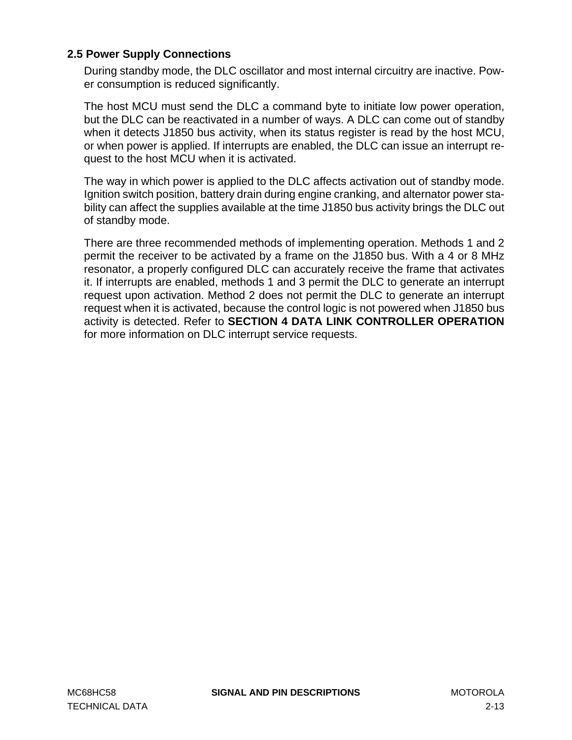## <span id="page-28-0"></span>**2.5 Power Supply Connections**

During standby mode, the DLC oscillator and most internal circuitry are inactive. Power consumption is reduced significantly.

The host MCU must send the DLC a command byte to initiate low power operation, but the DLC can be reactivated in a number of ways. A DLC can come out of standby when it detects J1850 bus activity, when its status register is read by the host MCU, or when power is applied. If interrupts are enabled, the DLC can issue an interrupt request to the host MCU when it is activated.

The way in which power is applied to the DLC affects activation out of standby mode. Ignition switch position, battery drain during engine cranking, and alternator power stability can affect the supplies available at the time J1850 bus activity brings the DLC out of standby mode.

There are three recommended methods of implementing operation. Methods 1 and 2 permit the receiver to be activated by a frame on the J1850 bus. With a 4 or 8 MHz resonator, a properly configured DLC can accurately receive the frame that activates it. If interrupts are enabled, methods 1 and 3 permit the DLC to generate an interrupt request upon activation. Method 2 does not permit the DLC to generate an interrupt request when it is activated, because the control logic is not powered when J1850 bus activity is detected. Refer to **[SECTION 4 DATA LINK CONTROLLER OPERATION](#page-44-0)** for more information on DLC interrupt service requests.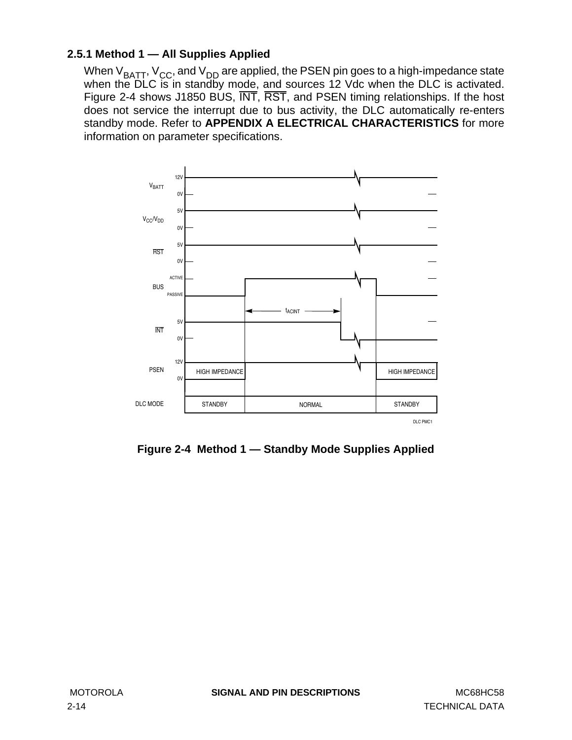# <span id="page-29-0"></span>**2.5.1 Method 1 — All Supplies Applied**

When  $\vee_{\mathsf{BATT}}, \vee_{\mathsf{CC}},$  and  $\vee_{\mathsf{DD}}$  are applied, the PSEN pin goes to a high-impedance state when the DLC is in standby mode, and sources 12 Vdc when the DLC is activated. Figure 2-4 shows J1850 BUS,  $\overline{INT}$ ,  $\overline{RST}$ , and PSEN timing relationships. If the host does not service the interrupt due to bus activity, the DLC automatically re-enters standby mode. Refer to **[APPENDIX A ELECTRICAL CHARACTERISTICS](#page-80-0)** for more information on parameter specifications.



**Figure 2-4 Method 1 — Standby Mode Supplies Applied**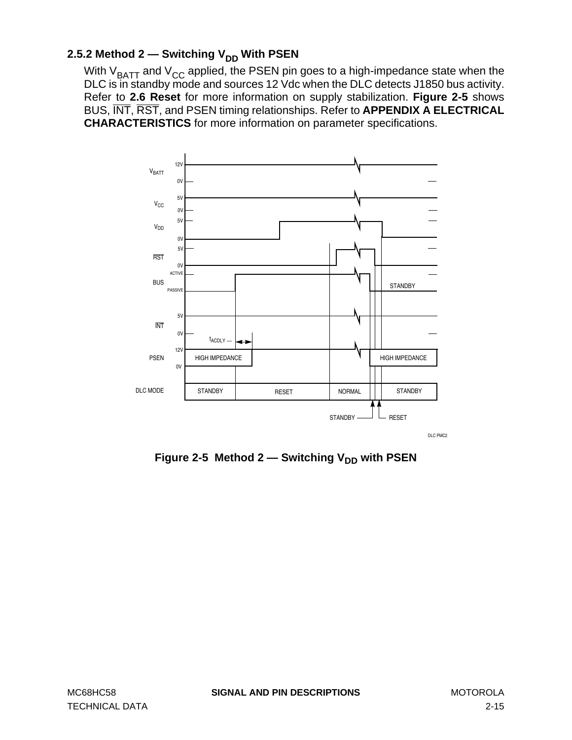# <span id="page-30-0"></span>**2.5.2 Method 2 — Switching V<sub>DD</sub> With PSEN**

With  $V_{\text{BAT}}$  and  $V_{\text{CC}}$  applied, the PSEN pin goes to a high-impedance state when the DLC is in standby mode and sources 12 Vdc when the DLC detects J1850 bus activity. Refer to **[2.6 Reset](#page-32-0)** for more information on supply stabilization. **Figure 2-5** shows BUS, INT, RST, and PSEN timing relationships. Refer to **[APPENDIX A ELECTRICAL](#page-80-0) [CHARACTERISTICS](#page-80-0)** for more information on parameter specifications.



Figure 2-5 Method 2 — Switching V<sub>DD</sub> with PSEN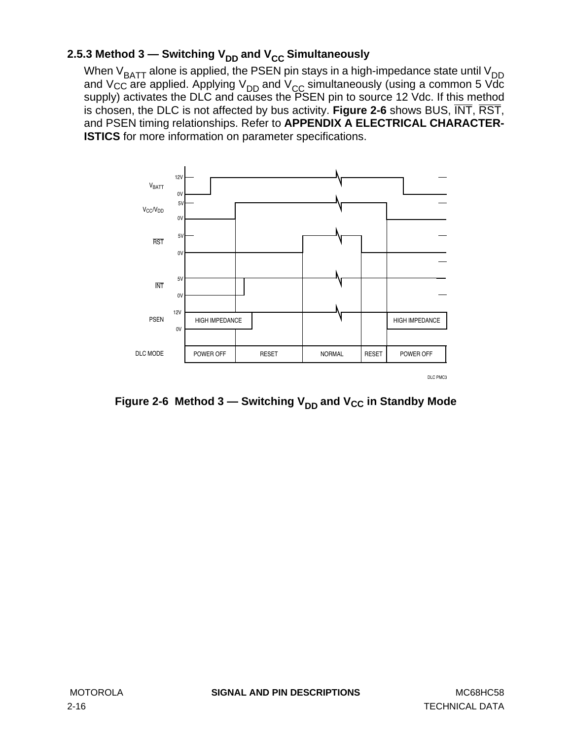# <span id="page-31-0"></span>2.5.3 Method 3 – Switching V<sub>DD</sub> and V<sub>CC</sub> Simultaneously

When  $V_{\text{BAT}}$  alone is applied, the PSEN pin stays in a high-impedance state until  $V_{\text{DD}}$ and V<sub>CC</sub> are applied. Applying V<sub>DD</sub> and V<sub>CC</sub> simultaneously (using a common 5 Vdc supply) activates the DLC and causes the PSEN pin to source 12 Vdc. If this method is chosen, the DLC is not affected by bus activity. **Figure 2-6** shows BUS, INT, RST, and PSEN timing relationships. Refer to **[APPENDIX A ELECTRICAL CHARACTER-](#page-80-0)[ISTICS](#page-80-0)** for more information on parameter specifications.



Figure 2-6 Method 3 – Switching V<sub>DD</sub> and V<sub>CC</sub> in Standby Mode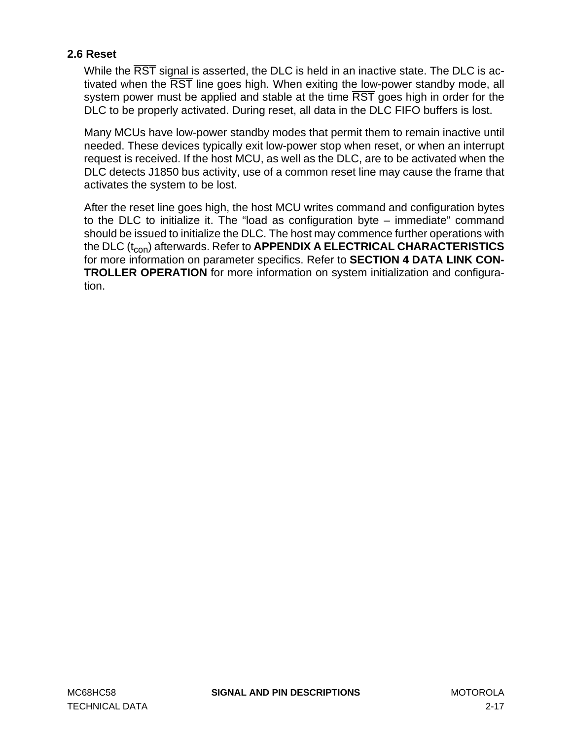# <span id="page-32-0"></span>**2.6 Reset**

While the  $\overline{\text{RST}}$  signal is asserted, the DLC is held in an inactive state. The DLC is activated when the RST line goes high. When exiting the low-power standby mode, all system power must be applied and stable at the time  $\overline{\text{RST}}$  goes high in order for the DLC to be properly activated. During reset, all data in the DLC FIFO buffers is lost.

Many MCUs have low-power standby modes that permit them to remain inactive until needed. These devices typically exit low-power stop when reset, or when an interrupt request is received. If the host MCU, as well as the DLC, are to be activated when the DLC detects J1850 bus activity, use of a common reset line may cause the frame that activates the system to be lost.

After the reset line goes high, the host MCU writes command and configuration bytes to the DLC to initialize it. The "load as configuration byte – immediate" command should be issued to initialize the DLC. The host may commence further operations with the DLC (t<sub>con</sub>) afterwards. Refer to **[APPENDIX A ELECTRICAL CHARACTERISTICS](#page-80-0)** for more information on parameter specifics. Refer to **[SECTION 4 DATA LINK CON-](#page-44-0)[TROLLER OPERATION](#page-44-0)** for more information on system initialization and configuration.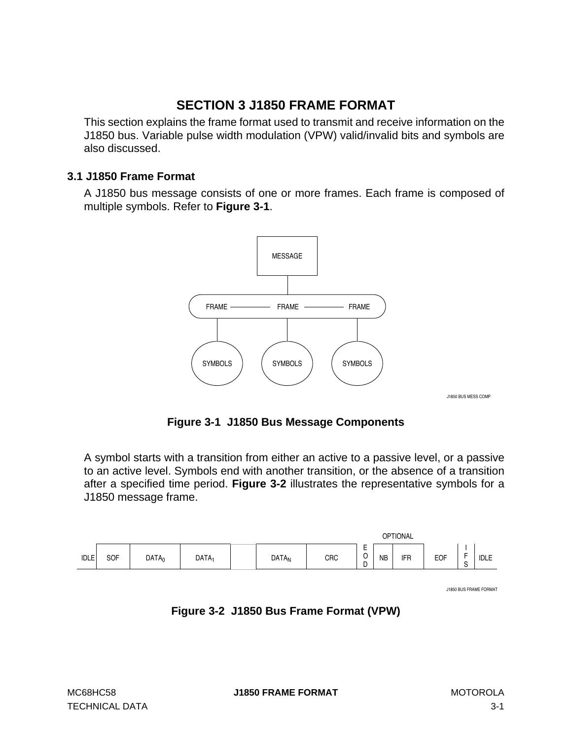# **SECTION 3 J1850 FRAME FORMAT**

<span id="page-34-0"></span>This section explains the frame format used to transmit and receive information on the J1850 bus. Variable pulse width modulation (VPW) valid/invalid bits and symbols are also discussed.

### **3.1 J1850 Frame Format**

A J1850 bus message consists of one or more frames. Each frame is composed of multiple symbols. Refer to **Figure 3-1**.



**Figure 3-1 J1850 Bus Message Components**

A symbol starts with a transition from either an active to a passive level, or a passive to an active level. Symbols end with another transition, or the absence of a transition after a specified time period. **Figure 3-2** illustrates the representative symbols for a J1850 message frame.



J1850 BUS FRAME FORMAT

**Figure 3-2 J1850 Bus Frame Format (VPW)**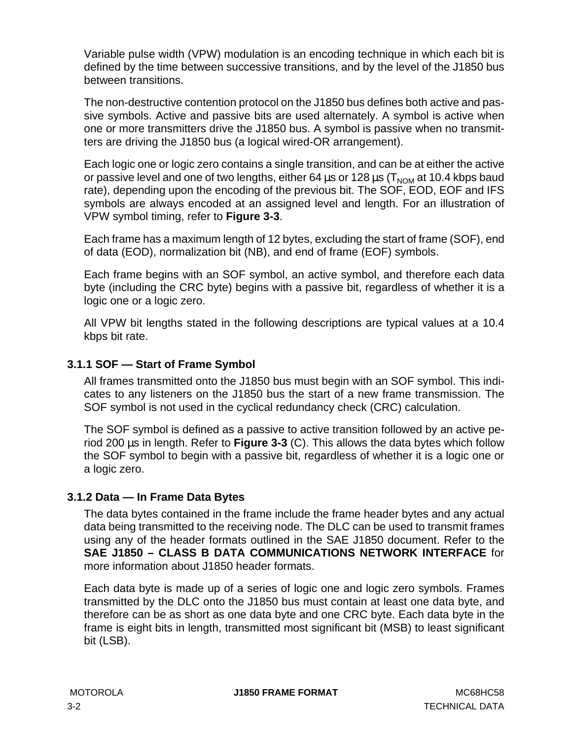<span id="page-35-0"></span>Variable pulse width (VPW) modulation is an encoding technique in which each bit is defined by the time between successive transitions, and by the level of the J1850 bus between transitions.

The non-destructive contention protocol on the J1850 bus defines both active and passive symbols. Active and passive bits are used alternately. A symbol is active when one or more transmitters drive the J1850 bus. A symbol is passive when no transmitters are driving the J1850 bus (a logical wired-OR arrangement).

Each logic one or logic zero contains a single transition, and can be at either the active or passive level and one of two lengths, either 64  $\mu$ s or 128  $\mu$ s (T<sub>NOM</sub> at 10.4 kbps baud rate), depending upon the encoding of the previous bit. The SOF, EOD, EOF and IFS symbols are always encoded at an assigned level and length. For an illustration of VPW symbol timing, refer to **[Figure 3-3](#page-38-0)**.

Each frame has a maximum length of 12 bytes, excluding the start of frame (SOF), end of data (EOD), normalization bit (NB), and end of frame (EOF) symbols.

Each frame begins with an SOF symbol, an active symbol, and therefore each data byte (including the CRC byte) begins with a passive bit, regardless of whether it is a logic one or a logic zero.

All VPW bit lengths stated in the following descriptions are typical values at a 10.4 kbps bit rate.

# **3.1.1 SOF — Start of Frame Symbol**

All frames transmitted onto the J1850 bus must begin with an SOF symbol. This indicates to any listeners on the J1850 bus the start of a new frame transmission. The SOF symbol is not used in the cyclical redundancy check (CRC) calculation.

The SOF symbol is defined as a passive to active transition followed by an active period 200 µs in length. Refer to **[Figure 3-3](#page-38-0)** (C). This allows the data bytes which follow the SOF symbol to begin with a passive bit, regardless of whether it is a logic one or a logic zero.

# **3.1.2 Data — In Frame Data Bytes**

The data bytes contained in the frame include the frame header bytes and any actual data being transmitted to the receiving node. The DLC can be used to transmit frames using any of the header formats outlined in the SAE J1850 document. Refer to the **SAE J1850 – CLASS B DATA COMMUNICATIONS NETWORK INTERFACE** for more information about J1850 header formats.

Each data byte is made up of a series of logic one and logic zero symbols. Frames transmitted by the DLC onto the J1850 bus must contain at least one data byte, and therefore can be as short as one data byte and one CRC byte. Each data byte in the frame is eight bits in length, transmitted most significant bit (MSB) to least significant bit (LSB).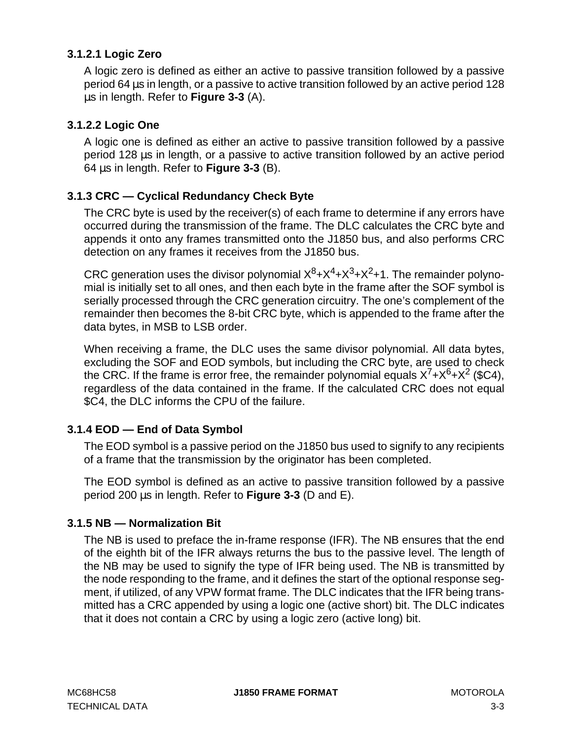### **3.1.2.1 Logic Zero**

A logic zero is defined as either an active to passive transition followed by a passive period 64 µs in length, or a passive to active transition followed by an active period 128 µs in length. Refer to **[Figure 3-3](#page-38-0)** (A).

### **3.1.2.2 Logic One**

A logic one is defined as either an active to passive transition followed by a passive period 128 µs in length, or a passive to active transition followed by an active period 64 µs in length. Refer to **[Figure 3-3](#page-38-0)** (B).

## **3.1.3 CRC — Cyclical Redundancy Check Byte**

The CRC byte is used by the receiver(s) of each frame to determine if any errors have occurred during the transmission of the frame. The DLC calculates the CRC byte and appends it onto any frames transmitted onto the J1850 bus, and also performs CRC detection on any frames it receives from the J1850 bus.

CRC generation uses the divisor polynomial  $X^8 + X^4 + X^3 + X^2 + 1$ . The remainder polynomial is initially set to all ones, and then each byte in the frame after the SOF symbol is serially processed through the CRC generation circuitry. The one's complement of the remainder then becomes the 8-bit CRC byte, which is appended to the frame after the data bytes, in MSB to LSB order.

When receiving a frame, the DLC uses the same divisor polynomial. All data bytes, excluding the SOF and EOD symbols, but including the CRC byte, are used to check the CRC. If the frame is error free, the remainder polynomial equals  $X^{7}+X^{6}+X^{2}$  (\$C4), regardless of the data contained in the frame. If the calculated CRC does not equal \$C4, the DLC informs the CPU of the failure.

## **3.1.4 EOD — End of Data Symbol**

The EOD symbol is a passive period on the J1850 bus used to signify to any recipients of a frame that the transmission by the originator has been completed.

The EOD symbol is defined as an active to passive transition followed by a passive period 200 µs in length. Refer to **[Figure 3-3](#page-38-0)** (D and E).

## **3.1.5 NB — Normalization Bit**

The NB is used to preface the in-frame response (IFR). The NB ensures that the end of the eighth bit of the IFR always returns the bus to the passive level. The length of the NB may be used to signify the type of IFR being used. The NB is transmitted by the node responding to the frame, and it defines the start of the optional response segment, if utilized, of any VPW format frame. The DLC indicates that the IFR being transmitted has a CRC appended by using a logic one (active short) bit. The DLC indicates that it does not contain a CRC by using a logic zero (active long) bit.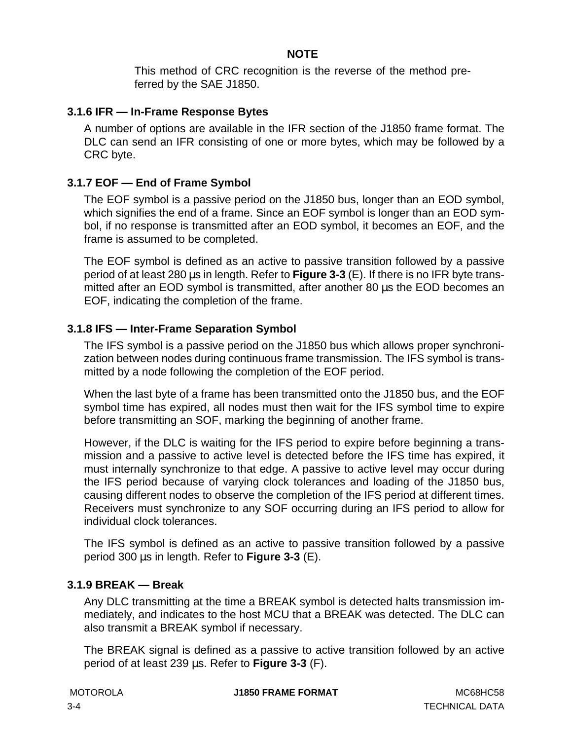### **NOTE**

This method of CRC recognition is the reverse of the method preferred by the SAE J1850.

## **3.1.6 IFR — In-Frame Response Bytes**

A number of options are available in the IFR section of the J1850 frame format. The DLC can send an IFR consisting of one or more bytes, which may be followed by a CRC byte.

## **3.1.7 EOF — End of Frame Symbol**

The EOF symbol is a passive period on the J1850 bus, longer than an EOD symbol, which signifies the end of a frame. Since an EOF symbol is longer than an EOD symbol, if no response is transmitted after an EOD symbol, it becomes an EOF, and the frame is assumed to be completed.

The EOF symbol is defined as an active to passive transition followed by a passive period of at least 280 µs in length. Refer to **[Figure 3-3](#page-38-0)** (E). If there is no IFR byte transmitted after an EOD symbol is transmitted, after another 80 µs the EOD becomes an EOF, indicating the completion of the frame.

## **3.1.8 IFS — Inter-Frame Separation Symbol**

The IFS symbol is a passive period on the J1850 bus which allows proper synchronization between nodes during continuous frame transmission. The IFS symbol is transmitted by a node following the completion of the EOF period.

When the last byte of a frame has been transmitted onto the J1850 bus, and the EOF symbol time has expired, all nodes must then wait for the IFS symbol time to expire before transmitting an SOF, marking the beginning of another frame.

However, if the DLC is waiting for the IFS period to expire before beginning a transmission and a passive to active level is detected before the IFS time has expired, it must internally synchronize to that edge. A passive to active level may occur during the IFS period because of varying clock tolerances and loading of the J1850 bus, causing different nodes to observe the completion of the IFS period at different times. Receivers must synchronize to any SOF occurring during an IFS period to allow for individual clock tolerances.

The IFS symbol is defined as an active to passive transition followed by a passive period 300 µs in length. Refer to **[Figure 3-3](#page-38-0)** (E).

## **3.1.9 BREAK — Break**

Any DLC transmitting at the time a BREAK symbol is detected halts transmission immediately, and indicates to the host MCU that a BREAK was detected. The DLC can also transmit a BREAK symbol if necessary.

The BREAK signal is defined as a passive to active transition followed by an active period of at least 239 µs. Refer to **[Figure 3-3](#page-38-0)** (F).

MOTOROLA **J1850 FRAME FORMAT** MC68HC58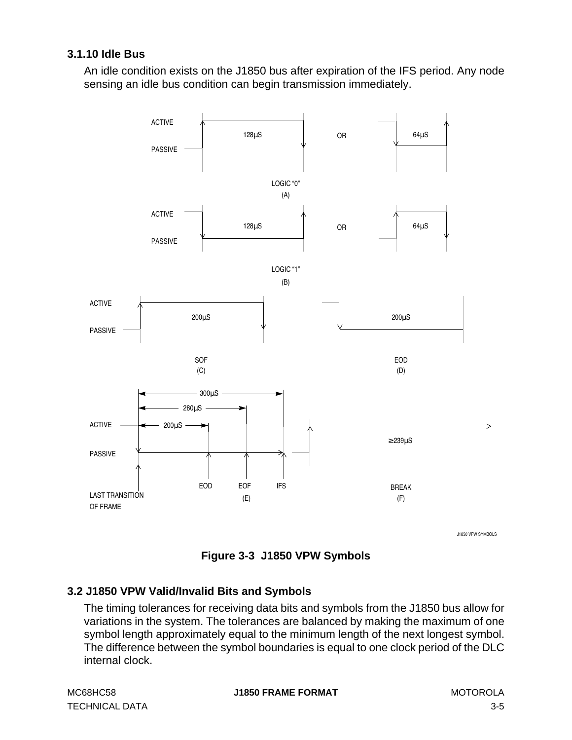### <span id="page-38-0"></span>**3.1.10 Idle Bus**

An idle condition exists on the J1850 bus after expiration of the IFS period. Any node sensing an idle bus condition can begin transmission immediately.





## **3.2 J1850 VPW Valid/Invalid Bits and Symbols**

The timing tolerances for receiving data bits and symbols from the J1850 bus allow for variations in the system. The tolerances are balanced by making the maximum of one symbol length approximately equal to the minimum length of the next longest symbol. The difference between the symbol boundaries is equal to one clock period of the DLC internal clock.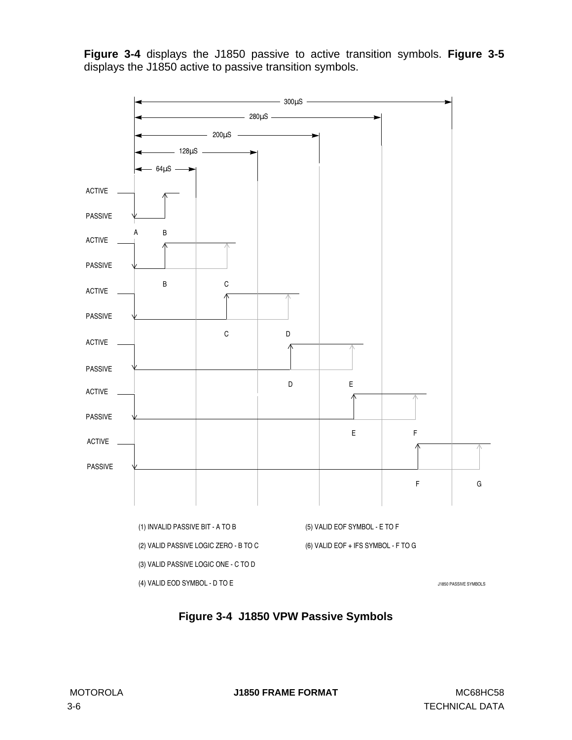<span id="page-39-0"></span>**Figure 3-4** displays the J1850 passive to active transition symbols. **[Figure 3-5](#page-41-0)** displays the J1850 active to passive transition symbols.



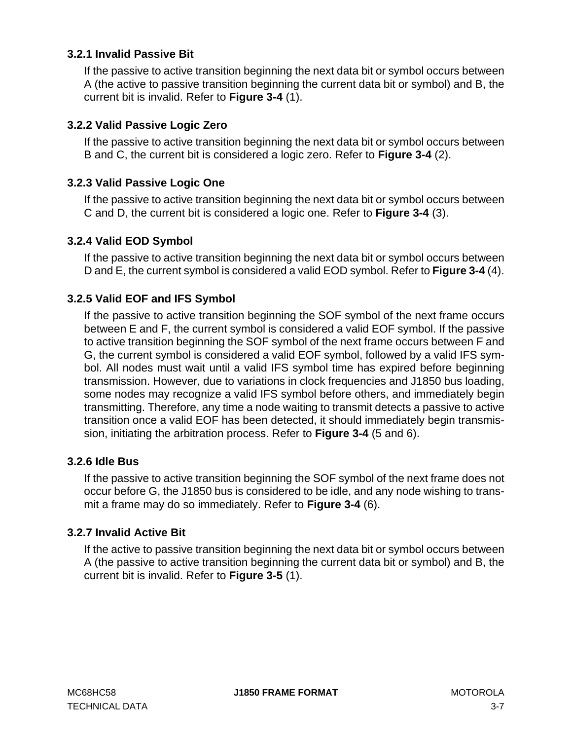### **3.2.1 Invalid Passive Bit**

If the passive to active transition beginning the next data bit or symbol occurs between A (the active to passive transition beginning the current data bit or symbol) and B, the current bit is invalid. Refer to **[Figure 3-4](#page-39-0)** (1).

### **3.2.2 Valid Passive Logic Zero**

If the passive to active transition beginning the next data bit or symbol occurs between B and C, the current bit is considered a logic zero. Refer to **[Figure 3-4](#page-39-0)** (2).

### **3.2.3 Valid Passive Logic One**

If the passive to active transition beginning the next data bit or symbol occurs between C and D, the current bit is considered a logic one. Refer to **[Figure 3-4](#page-39-0)** (3).

### **3.2.4 Valid EOD Symbol**

If the passive to active transition beginning the next data bit or symbol occurs between D and E, the current symbol is considered a valid EOD symbol. Refer to **[Figure 3-4](#page-39-0)** (4).

### **3.2.5 Valid EOF and IFS Symbol**

If the passive to active transition beginning the SOF symbol of the next frame occurs between E and F, the current symbol is considered a valid EOF symbol. If the passive to active transition beginning the SOF symbol of the next frame occurs between F and G, the current symbol is considered a valid EOF symbol, followed by a valid IFS symbol. All nodes must wait until a valid IFS symbol time has expired before beginning transmission. However, due to variations in clock frequencies and J1850 bus loading, some nodes may recognize a valid IFS symbol before others, and immediately begin transmitting. Therefore, any time a node waiting to transmit detects a passive to active transition once a valid EOF has been detected, it should immediately begin transmission, initiating the arbitration process. Refer to **[Figure 3-4](#page-39-0)** (5 and 6).

### **3.2.6 Idle Bus**

If the passive to active transition beginning the SOF symbol of the next frame does not occur before G, the J1850 bus is considered to be idle, and any node wishing to transmit a frame may do so immediately. Refer to **[Figure 3-4](#page-39-0)** (6).

### **3.2.7 Invalid Active Bit**

If the active to passive transition beginning the next data bit or symbol occurs between A (the passive to active transition beginning the current data bit or symbol) and B, the current bit is invalid. Refer to **[Figure 3-5](#page-41-0)** (1).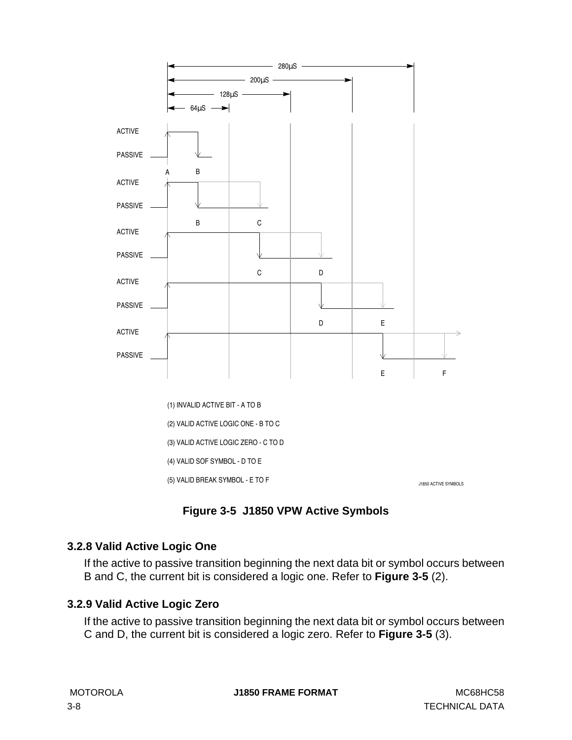<span id="page-41-0"></span>



## **3.2.8 Valid Active Logic One**

If the active to passive transition beginning the next data bit or symbol occurs between B and C, the current bit is considered a logic one. Refer to **Figure 3-5** (2).

## **3.2.9 Valid Active Logic Zero**

If the active to passive transition beginning the next data bit or symbol occurs between C and D, the current bit is considered a logic zero. Refer to **Figure 3-5** (3).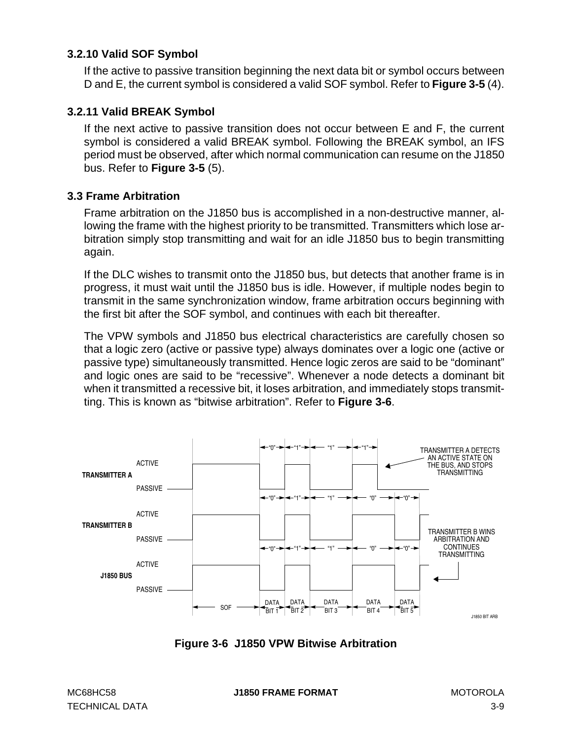### **3.2.10 Valid SOF Symbol**

If the active to passive transition beginning the next data bit or symbol occurs between D and E, the current symbol is considered a valid SOF symbol. Refer to **[Figure 3-5](#page-41-0)** (4).

### **3.2.11 Valid BREAK Symbol**

If the next active to passive transition does not occur between E and F, the current symbol is considered a valid BREAK symbol. Following the BREAK symbol, an IFS period must be observed, after which normal communication can resume on the J1850 bus. Refer to **[Figure 3-5](#page-41-0)** (5).

#### **3.3 Frame Arbitration**

Frame arbitration on the J1850 bus is accomplished in a non-destructive manner, allowing the frame with the highest priority to be transmitted. Transmitters which lose arbitration simply stop transmitting and wait for an idle J1850 bus to begin transmitting again.

If the DLC wishes to transmit onto the J1850 bus, but detects that another frame is in progress, it must wait until the J1850 bus is idle. However, if multiple nodes begin to transmit in the same synchronization window, frame arbitration occurs beginning with the first bit after the SOF symbol, and continues with each bit thereafter.

The VPW symbols and J1850 bus electrical characteristics are carefully chosen so that a logic zero (active or passive type) always dominates over a logic one (active or passive type) simultaneously transmitted. Hence logic zeros are said to be "dominant" and logic ones are said to be "recessive". Whenever a node detects a dominant bit when it transmitted a recessive bit, it loses arbitration, and immediately stops transmitting. This is known as "bitwise arbitration". Refer to **Figure 3-6**.



**Figure 3-6 J1850 VPW Bitwise Arbitration**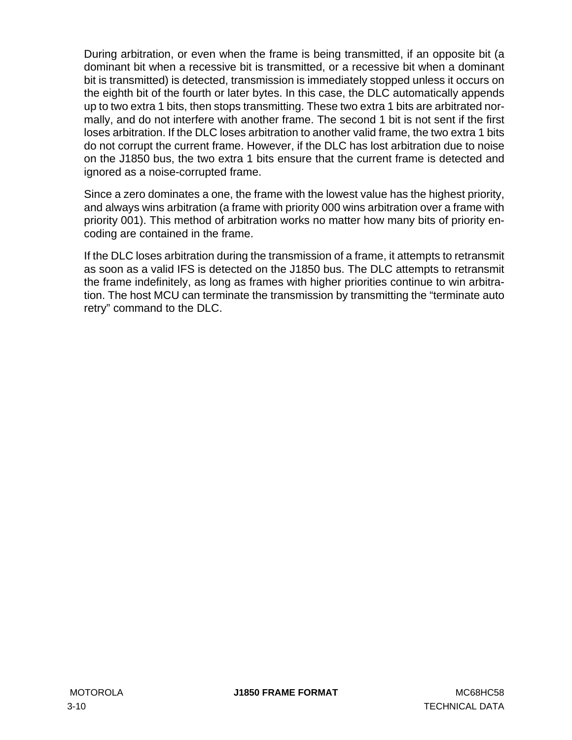During arbitration, or even when the frame is being transmitted, if an opposite bit (a dominant bit when a recessive bit is transmitted, or a recessive bit when a dominant bit is transmitted) is detected, transmission is immediately stopped unless it occurs on the eighth bit of the fourth or later bytes. In this case, the DLC automatically appends up to two extra 1 bits, then stops transmitting. These two extra 1 bits are arbitrated normally, and do not interfere with another frame. The second 1 bit is not sent if the first loses arbitration. If the DLC loses arbitration to another valid frame, the two extra 1 bits do not corrupt the current frame. However, if the DLC has lost arbitration due to noise on the J1850 bus, the two extra 1 bits ensure that the current frame is detected and ignored as a noise-corrupted frame.

Since a zero dominates a one, the frame with the lowest value has the highest priority, and always wins arbitration (a frame with priority 000 wins arbitration over a frame with priority 001). This method of arbitration works no matter how many bits of priority encoding are contained in the frame.

If the DLC loses arbitration during the transmission of a frame, it attempts to retransmit as soon as a valid IFS is detected on the J1850 bus. The DLC attempts to retransmit the frame indefinitely, as long as frames with higher priorities continue to win arbitration. The host MCU can terminate the transmission by transmitting the "terminate auto retry" command to the DLC.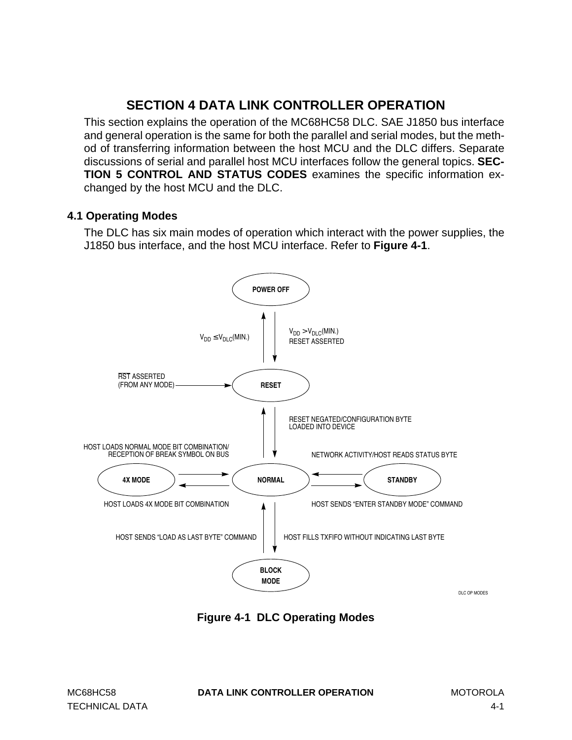# **SECTION 4 DATA LINK CONTROLLER OPERATION**

<span id="page-44-0"></span>This section explains the operation of the MC68HC58 DLC. SAE J1850 bus interface and general operation is the same for both the parallel and serial modes, but the method of transferring information between the host MCU and the DLC differs. Separate discussions of serial and parallel host MCU interfaces follow the general topics. **[SEC-](#page-66-0)[TION 5 CONTROL AND STATUS CODES](#page-66-0)** examines the specific information exchanged by the host MCU and the DLC.

### **4.1 Operating Modes**

The DLC has six main modes of operation which interact with the power supplies, the J1850 bus interface, and the host MCU interface. Refer to **Figure 4-1**.



**Figure 4-1 DLC Operating Modes**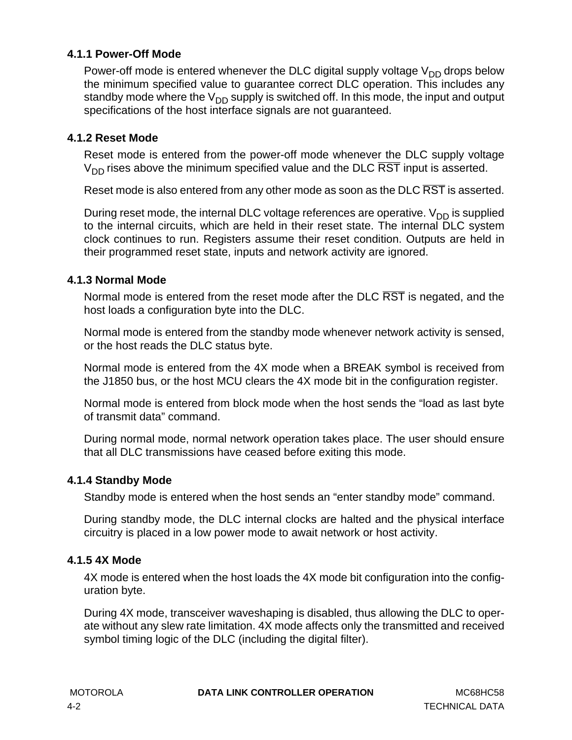### **4.1.1 Power-Off Mode**

Power-off mode is entered whenever the DLC digital supply voltage  $V_{DD}$  drops below the minimum specified value to guarantee correct DLC operation. This includes any standby mode where the  $V_{DD}$  supply is switched off. In this mode, the input and output specifications of the host interface signals are not guaranteed.

### **4.1.2 Reset Mode**

Reset mode is entered from the power-off mode whenever the DLC supply voltage  $V_{DD}$  rises above the minimum specified value and the DLC  $\overline{RST}$  input is asserted.

Reset mode is also entered from any other mode as soon as the DLC RST is asserted.

During reset mode, the internal DLC voltage references are operative.  $V_{DD}$  is supplied to the internal circuits, which are held in their reset state. The internal DLC system clock continues to run. Registers assume their reset condition. Outputs are held in their programmed reset state, inputs and network activity are ignored.

### **4.1.3 Normal Mode**

Normal mode is entered from the reset mode after the DLC  $\overline{\text{RST}}$  is negated, and the host loads a configuration byte into the DLC.

Normal mode is entered from the standby mode whenever network activity is sensed, or the host reads the DLC status byte.

Normal mode is entered from the 4X mode when a BREAK symbol is received from the J1850 bus, or the host MCU clears the 4X mode bit in the configuration register.

Normal mode is entered from block mode when the host sends the "load as last byte of transmit data" command.

During normal mode, normal network operation takes place. The user should ensure that all DLC transmissions have ceased before exiting this mode.

### **4.1.4 Standby Mode**

Standby mode is entered when the host sends an "enter standby mode" command.

During standby mode, the DLC internal clocks are halted and the physical interface circuitry is placed in a low power mode to await network or host activity.

### **4.1.5 4X Mode**

4X mode is entered when the host loads the 4X mode bit configuration into the configuration byte.

During 4X mode, transceiver waveshaping is disabled, thus allowing the DLC to operate without any slew rate limitation. 4X mode affects only the transmitted and received symbol timing logic of the DLC (including the digital filter).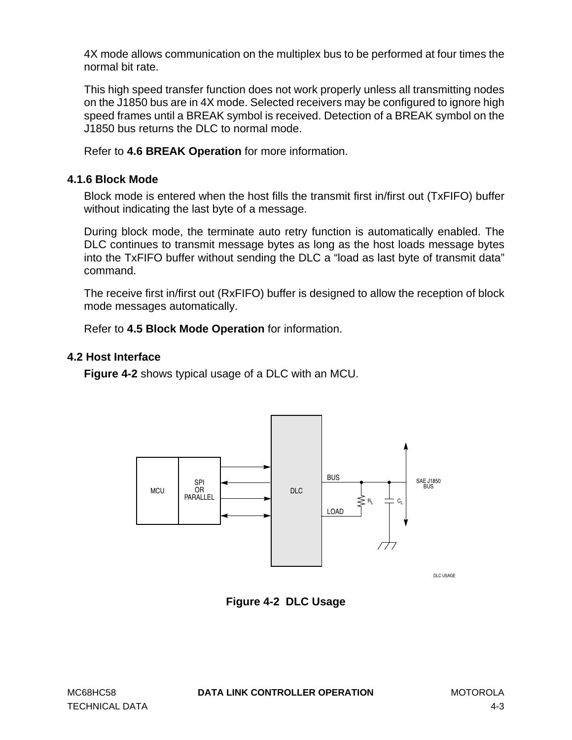4X mode allows communication on the multiplex bus to be performed at four times the normal bit rate.

This high speed transfer function does not work properly unless all transmitting nodes on the J1850 bus are in 4X mode. Selected receivers may be configured to ignore high speed frames until a BREAK symbol is received. Detection of a BREAK symbol on the J1850 bus returns the DLC to normal mode.

Refer to **[4.6 BREAK Operation](#page-64-0)** for more information.

### **4.1.6 Block Mode**

Block mode is entered when the host fills the transmit first in/first out (TxFIFO) buffer without indicating the last byte of a message.

During block mode, the terminate auto retry function is automatically enabled. The DLC continues to transmit message bytes as long as the host loads message bytes into the TxFIFO buffer without sending the DLC a "load as last byte of transmit data" command.

The receive first in/first out (RxFIFO) buffer is designed to allow the reception of block mode messages automatically.

Refer to **[4.5 Block Mode Operation](#page-63-0)** for information.

### **4.2 Host Interface**

**Figure 4-2** shows typical usage of a DLC with an MCU.



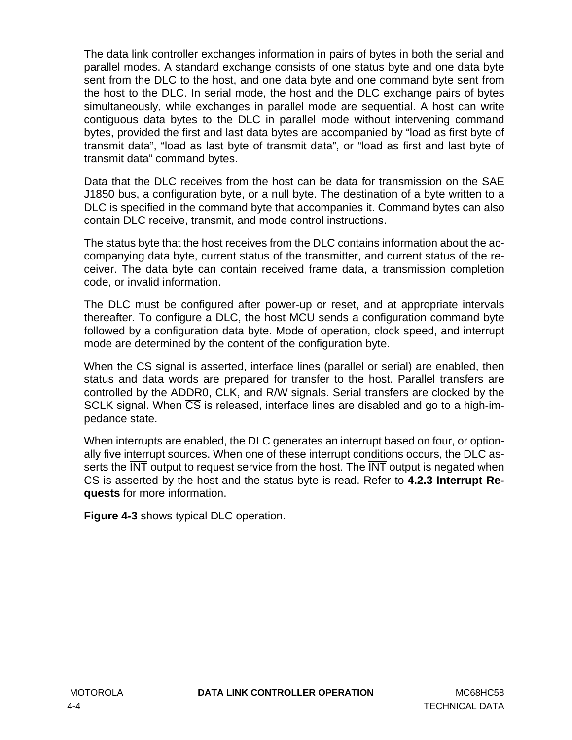The data link controller exchanges information in pairs of bytes in both the serial and parallel modes. A standard exchange consists of one status byte and one data byte sent from the DLC to the host, and one data byte and one command byte sent from the host to the DLC. In serial mode, the host and the DLC exchange pairs of bytes simultaneously, while exchanges in parallel mode are sequential. A host can write contiguous data bytes to the DLC in parallel mode without intervening command bytes, provided the first and last data bytes are accompanied by "load as first byte of transmit data", "load as last byte of transmit data", or "load as first and last byte of transmit data" command bytes.

Data that the DLC receives from the host can be data for transmission on the SAE J1850 bus, a configuration byte, or a null byte. The destination of a byte written to a DLC is specified in the command byte that accompanies it. Command bytes can also contain DLC receive, transmit, and mode control instructions.

The status byte that the host receives from the DLC contains information about the accompanying data byte, current status of the transmitter, and current status of the receiver. The data byte can contain received frame data, a transmission completion code, or invalid information.

The DLC must be configured after power-up or reset, and at appropriate intervals thereafter. To configure a DLC, the host MCU sends a configuration command byte followed by a configuration data byte. Mode of operation, clock speed, and interrupt mode are determined by the content of the configuration byte.

When the  $\overline{CS}$  signal is asserted, interface lines (parallel or serial) are enabled, then status and data words are prepared for transfer to the host. Parallel transfers are controlled by the ADDR0, CLK, and  $R/\overline{W}$  signals. Serial transfers are clocked by the SCLK signal. When CS is released, interface lines are disabled and go to a high-impedance state.

When interrupts are enabled, the DLC generates an interrupt based on four, or optionally five interrupt sources. When one of these interrupt conditions occurs, the DLC asserts the  $\overline{\text{INT}}$  output to request service from the host. The  $\overline{\text{INT}}$  output is negated when CS is asserted by the host and the status byte is read. Refer to **[4.2.3 Interrupt Re](#page-54-0)[quests](#page-54-0)** for more information.

**[Figure 4-3](#page-48-0)** shows typical DLC operation.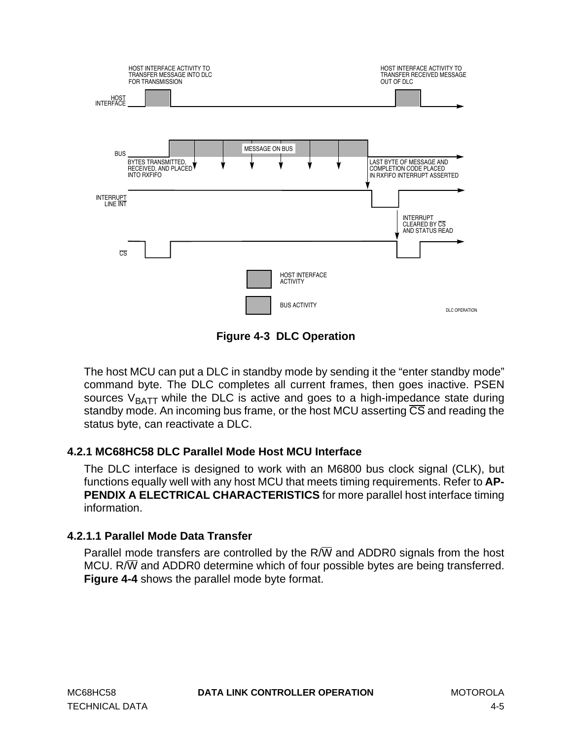<span id="page-48-0"></span>

**Figure 4-3 DLC Operation**

The host MCU can put a DLC in standby mode by sending it the "enter standby mode" command byte. The DLC completes all current frames, then goes inactive. PSEN sources  $V_{BATT}$  while the DLC is active and goes to a high-impedance state during standby mode. An incoming bus frame, or the host MCU asserting  $\overline{CS}$  and reading the status byte, can reactivate a DLC.

# **4.2.1 MC68HC58 DLC Parallel Mode Host MCU Interface**

The DLC interface is designed to work with an M6800 bus clock signal (CLK), but functions equally well with any host MCU that meets timing requirements. Refer to **[AP-](#page-80-0)[PENDIX A ELECTRICAL CHARACTERISTICS](#page-80-0)** for more parallel host interface timing information.

# **4.2.1.1 Parallel Mode Data Transfer**

Parallel mode transfers are controlled by the  $R/\overline{W}$  and ADDR0 signals from the host MCU. R $\overline{W}$  and ADDR0 determine which of four possible bytes are being transferred. **[Figure 4-4](#page-49-0)** shows the parallel mode byte format.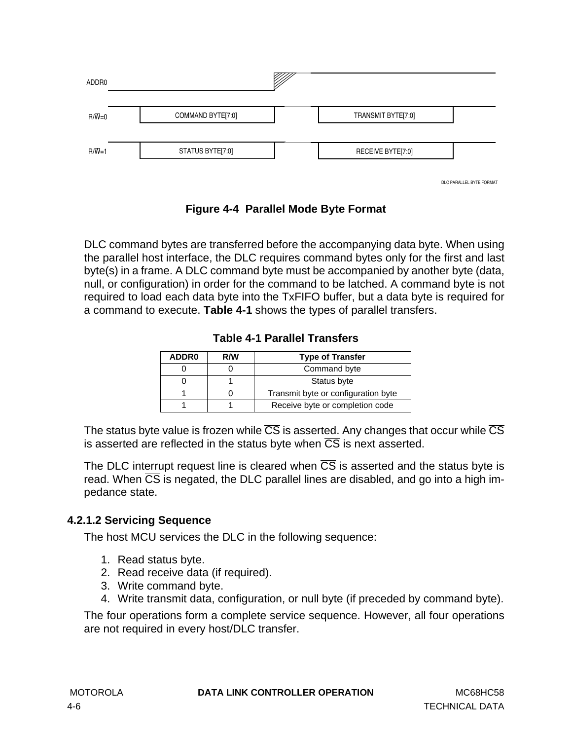<span id="page-49-0"></span>

| ADDR0              |                   |                    |  |
|--------------------|-------------------|--------------------|--|
| $R/\overline{W}=0$ | COMMAND BYTE[7:0] | TRANSMIT BYTE[7:0] |  |
| $R/\overline{W}=1$ | STATUS BYTE[7:0]  | RECEIVE BYTE[7:0]  |  |

**Figure 4-4 Parallel Mode Byte Format**

DLC command bytes are transferred before the accompanying data byte. When using the parallel host interface, the DLC requires command bytes only for the first and last byte(s) in a frame. A DLC command byte must be accompanied by another byte (data, null, or configuration) in order for the command to be latched. A command byte is not required to load each data byte into the TxFIFO buffer, but a data byte is required for a command to execute. **Table 4-1** shows the types of parallel transfers.

**Table 4-1 Parallel Transfers**

| ADDR <sub>0</sub> | R/W | <b>Type of Transfer</b>             |
|-------------------|-----|-------------------------------------|
|                   |     | Command byte                        |
|                   |     | Status byte                         |
|                   |     | Transmit byte or configuration byte |
|                   |     | Receive byte or completion code     |

The status byte value is frozen while  $\overline{\text{CS}}$  is asserted. Any changes that occur while  $\overline{\text{CS}}$ is asserted are reflected in the status byte when  $\overline{CS}$  is next asserted.

The DLC interrupt request line is cleared when  $\overline{CS}$  is asserted and the status byte is read. When  $\overline{CS}$  is negated, the DLC parallel lines are disabled, and go into a high impedance state.

# **4.2.1.2 Servicing Sequence**

The host MCU services the DLC in the following sequence:

- 1. Read status byte.
- 2. Read receive data (if required).
- 3. Write command byte.
- 4. Write transmit data, configuration, or null byte (if preceded by command byte).

The four operations form a complete service sequence. However, all four operations are not required in every host/DLC transfer.

DLC PARALLEL BYTE FORMAT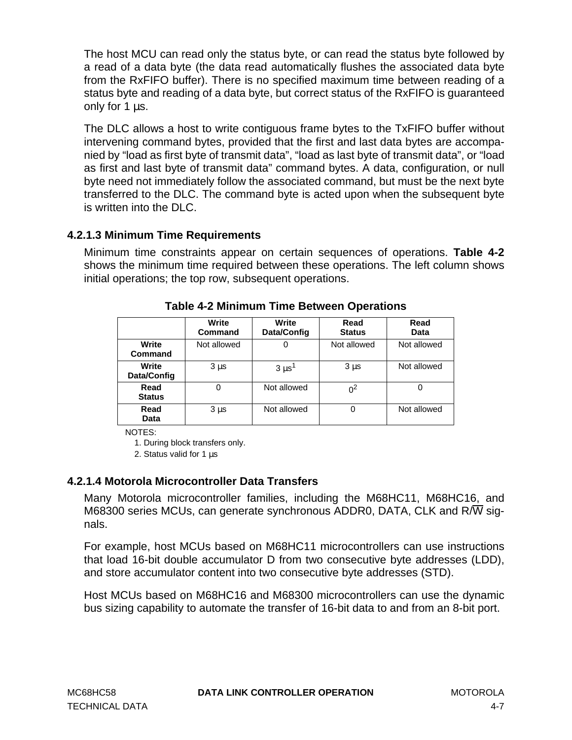The host MCU can read only the status byte, or can read the status byte followed by a read of a data byte (the data read automatically flushes the associated data byte from the RxFIFO buffer). There is no specified maximum time between reading of a status byte and reading of a data byte, but correct status of the RxFIFO is guaranteed only for 1  $\mu$ s.

The DLC allows a host to write contiguous frame bytes to the TxFIFO buffer without intervening command bytes, provided that the first and last data bytes are accompanied by "load as first byte of transmit data", "load as last byte of transmit data", or "load as first and last byte of transmit data" command bytes. A data, configuration, or null byte need not immediately follow the associated command, but must be the next byte transferred to the DLC. The command byte is acted upon when the subsequent byte is written into the DLC.

## **4.2.1.3 Minimum Time Requirements**

Minimum time constraints appear on certain sequences of operations. **Table 4-2** shows the minimum time required between these operations. The left column shows initial operations; the top row, subsequent operations.

|                       | Write<br>Command | Write<br>Data/Config | Read<br><b>Status</b> | Read<br>Data |
|-----------------------|------------------|----------------------|-----------------------|--------------|
| Write<br>Command      | Not allowed      | 0                    | Not allowed           | Not allowed  |
| Write<br>Data/Config  | $3 \mu s$        | $3 \mu s^1$          | $3 \mu s$             | Not allowed  |
| Read<br><b>Status</b> | 0                | Not allowed          | 0 <sup>2</sup>        |              |
| Read<br>Data          | $3 \mu s$        | Not allowed          | 0                     | Not allowed  |

**Table 4-2 Minimum Time Between Operations**

NOTES:

1. During block transfers only.

2. Status valid for 1 us

# **4.2.1.4 Motorola Microcontroller Data Transfers**

Many Motorola microcontroller families, including the M68HC11, M68HC16, and M68300 series MCUs, can generate synchronous ADDR0, DATA, CLK and  $R/\overline{W}$  signals.

For example, host MCUs based on M68HC11 microcontrollers can use instructions that load 16-bit double accumulator D from two consecutive byte addresses (LDD), and store accumulator content into two consecutive byte addresses (STD).

Host MCUs based on M68HC16 and M68300 microcontrollers can use the dynamic bus sizing capability to automate the transfer of 16-bit data to and from an 8-bit port.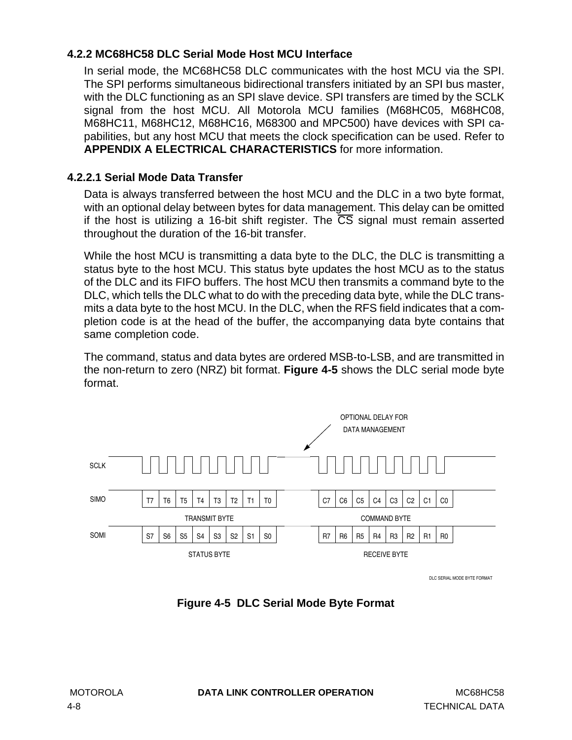## **4.2.2 MC68HC58 DLC Serial Mode Host MCU Interface**

In serial mode, the MC68HC58 DLC communicates with the host MCU via the SPI. The SPI performs simultaneous bidirectional transfers initiated by an SPI bus master, with the DLC functioning as an SPI slave device. SPI transfers are timed by the SCLK signal from the host MCU. All Motorola MCU families (M68HC05, M68HC08, M68HC11, M68HC12, M68HC16, M68300 and MPC500) have devices with SPI capabilities, but any host MCU that meets the clock specification can be used. Refer to **[APPENDIX A ELECTRICAL CHARACTERISTICS](#page-80-0)** for more information.

## **4.2.2.1 Serial Mode Data Transfer**

Data is always transferred between the host MCU and the DLC in a two byte format, with an optional delay between bytes for data management. This delay can be omitted if the host is utilizing a 16-bit shift register. The CS signal must remain asserted throughout the duration of the 16-bit transfer.

While the host MCU is transmitting a data byte to the DLC, the DLC is transmitting a status byte to the host MCU. This status byte updates the host MCU as to the status of the DLC and its FIFO buffers. The host MCU then transmits a command byte to the DLC, which tells the DLC what to do with the preceding data byte, while the DLC transmits a data byte to the host MCU. In the DLC, when the RFS field indicates that a completion code is at the head of the buffer, the accompanying data byte contains that same completion code.

The command, status and data bytes are ordered MSB-to-LSB, and are transmitted in the non-return to zero (NRZ) bit format. **Figure 4-5** shows the DLC serial mode byte format.



DLC SERIAL MODE BYTE FORMAT

**Figure 4-5 DLC Serial Mode Byte Format**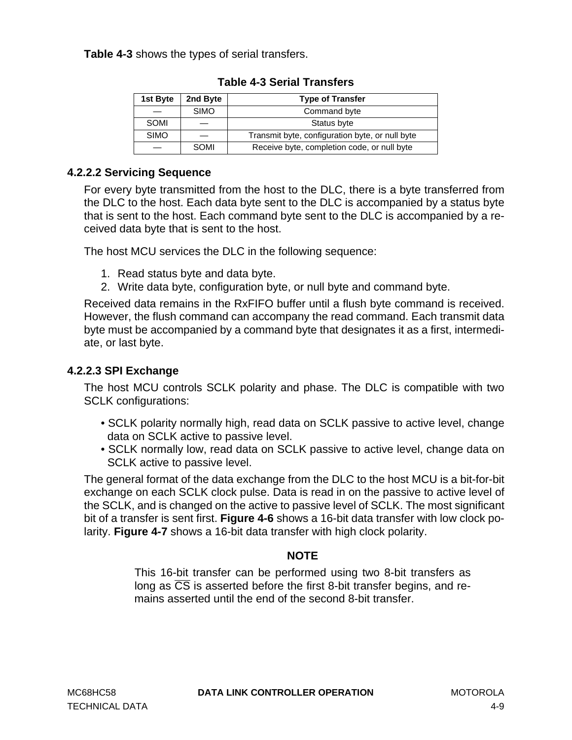**Table 4-3** shows the types of serial transfers.

| 1st Byte    | 2nd Byte    | <b>Type of Transfer</b>                         |
|-------------|-------------|-------------------------------------------------|
|             | <b>SIMO</b> | Command byte                                    |
| SOMI        |             | Status byte                                     |
| <b>SIMO</b> |             | Transmit byte, configuration byte, or null byte |
|             | <b>SOMI</b> | Receive byte, completion code, or null byte     |

### **Table 4-3 Serial Transfers**

### **4.2.2.2 Servicing Sequence**

For every byte transmitted from the host to the DLC, there is a byte transferred from the DLC to the host. Each data byte sent to the DLC is accompanied by a status byte that is sent to the host. Each command byte sent to the DLC is accompanied by a received data byte that is sent to the host.

The host MCU services the DLC in the following sequence:

- 1. Read status byte and data byte.
- 2. Write data byte, configuration byte, or null byte and command byte.

Received data remains in the RxFIFO buffer until a flush byte command is received. However, the flush command can accompany the read command. Each transmit data byte must be accompanied by a command byte that designates it as a first, intermediate, or last byte.

### **4.2.2.3 SPI Exchange**

The host MCU controls SCLK polarity and phase. The DLC is compatible with two SCLK configurations:

- SCLK polarity normally high, read data on SCLK passive to active level, change data on SCLK active to passive level.
- SCLK normally low, read data on SCLK passive to active level, change data on SCLK active to passive level.

The general format of the data exchange from the DLC to the host MCU is a bit-for-bit exchange on each SCLK clock pulse. Data is read in on the passive to active level of the SCLK, and is changed on the active to passive level of SCLK. The most significant bit of a transfer is sent first. **[Figure 4-6](#page-53-0)** shows a 16-bit data transfer with low clock polarity. **[Figure 4-7](#page-53-0)** shows a 16-bit data transfer with high clock polarity.

## **NOTE**

This 16-bit transfer can be performed using two 8-bit transfers as long as  $\overline{CS}$  is asserted before the first 8-bit transfer begins, and remains asserted until the end of the second 8-bit transfer.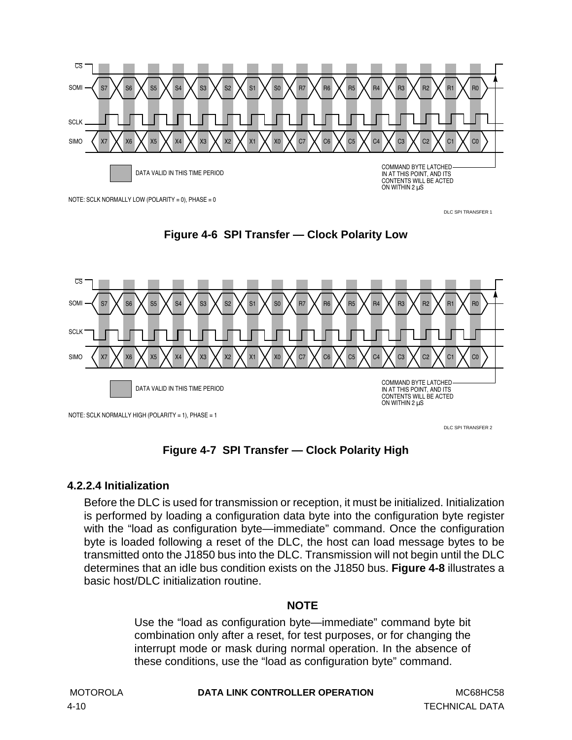<span id="page-53-0"></span>

DLC SPI TRANSFER 1





DLC SPI TRANSFER 2

**Figure 4-7 SPI Transfer — Clock Polarity High**

### **4.2.2.4 Initialization**

Before the DLC is used for transmission or reception, it must be initialized. Initialization is performed by loading a configuration data byte into the configuration byte register with the "load as configuration byte—immediate" command. Once the configuration byte is loaded following a reset of the DLC, the host can load message bytes to be transmitted onto the J1850 bus into the DLC. Transmission will not begin until the DLC determines that an idle bus condition exists on the J1850 bus. **[Figure 4-8](#page-54-0)** illustrates a basic host/DLC initialization routine.

#### **NOTE**

Use the "load as configuration byte—immediate" command byte bit combination only after a reset, for test purposes, or for changing the interrupt mode or mask during normal operation. In the absence of these conditions, use the "load as configuration byte" command.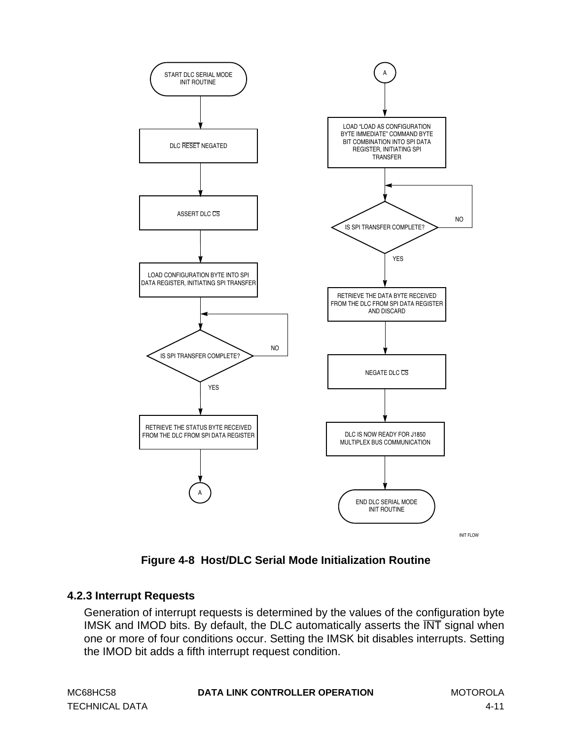<span id="page-54-0"></span>

INIT FLOW

**Figure 4-8 Host/DLC Serial Mode Initialization Routine**

## **4.2.3 Interrupt Requests**

Generation of interrupt requests is determined by the values of the configuration byte IMSK and IMOD bits. By default, the DLC automatically asserts the INT signal when one or more of four conditions occur. Setting the IMSK bit disables interrupts. Setting the IMOD bit adds a fifth interrupt request condition.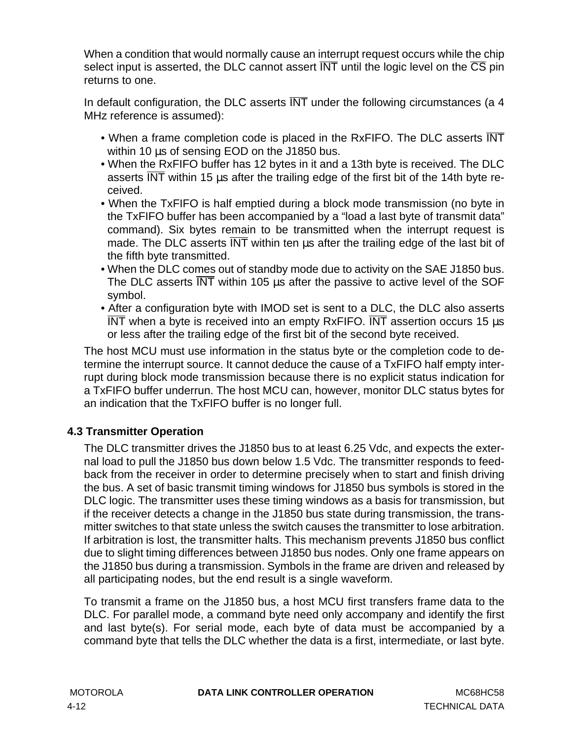When a condition that would normally cause an interrupt request occurs while the chip select input is asserted, the DLC cannot assert  $\overline{\text{INT}}$  until the logic level on the  $\overline{\text{CS}}$  pin returns to one.

In default configuration, the DLC asserts  $\overline{\text{INT}}$  under the following circumstances (a 4 MHz reference is assumed):

- When a frame completion code is placed in the RxFIFO. The DLC asserts  $\overline{\text{INT}}$ within 10 us of sensing EOD on the J1850 bus.
- When the RxFIFO buffer has 12 bytes in it and a 13th byte is received. The DLC asserts  $\overline{\text{INT}}$  within 15 us after the trailing edge of the first bit of the 14th byte received.
- When the TxFIFO is half emptied during a block mode transmission (no byte in the TxFIFO buffer has been accompanied by a "load a last byte of transmit data" command). Six bytes remain to be transmitted when the interrupt request is made. The DLC asserts  $\overline{\text{INT}}$  within ten us after the trailing edge of the last bit of the fifth byte transmitted.
- When the DLC comes out of standby mode due to activity on the SAE J1850 bus. The DLC asserts  $\overline{\text{INT}}$  within 105 us after the passive to active level of the SOF symbol.
- After a configuration byte with IMOD set is sent to a DLC, the DLC also asserts INT when a byte is received into an empty RxFIFO. INT assertion occurs 15 µs or less after the trailing edge of the first bit of the second byte received.

The host MCU must use information in the status byte or the completion code to determine the interrupt source. It cannot deduce the cause of a TxFIFO half empty interrupt during block mode transmission because there is no explicit status indication for a TxFIFO buffer underrun. The host MCU can, however, monitor DLC status bytes for an indication that the TxFIFO buffer is no longer full.

# **4.3 Transmitter Operation**

The DLC transmitter drives the J1850 bus to at least 6.25 Vdc, and expects the external load to pull the J1850 bus down below 1.5 Vdc. The transmitter responds to feedback from the receiver in order to determine precisely when to start and finish driving the bus. A set of basic transmit timing windows for J1850 bus symbols is stored in the DLC logic. The transmitter uses these timing windows as a basis for transmission, but if the receiver detects a change in the J1850 bus state during transmission, the transmitter switches to that state unless the switch causes the transmitter to lose arbitration. If arbitration is lost, the transmitter halts. This mechanism prevents J1850 bus conflict due to slight timing differences between J1850 bus nodes. Only one frame appears on the J1850 bus during a transmission. Symbols in the frame are driven and released by all participating nodes, but the end result is a single waveform.

To transmit a frame on the J1850 bus, a host MCU first transfers frame data to the DLC. For parallel mode, a command byte need only accompany and identify the first and last byte(s). For serial mode, each byte of data must be accompanied by a command byte that tells the DLC whether the data is a first, intermediate, or last byte.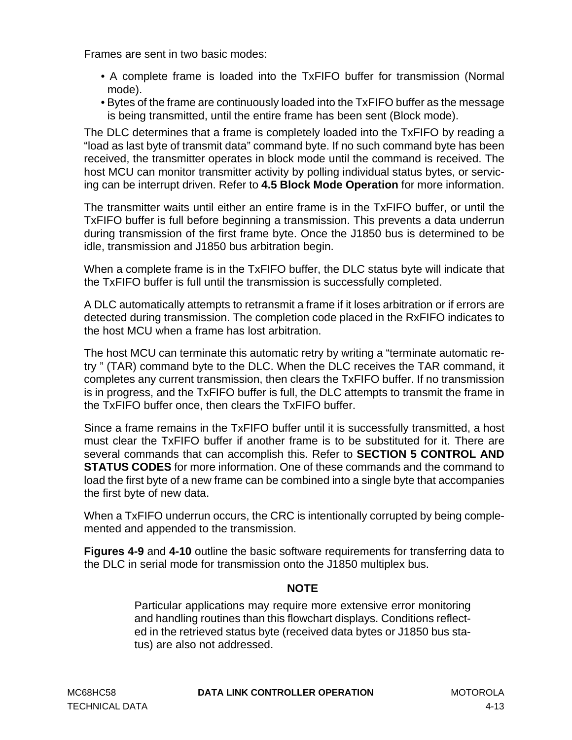Frames are sent in two basic modes:

- A complete frame is loaded into the TxFIFO buffer for transmission (Normal mode).
- Bytes of the frame are continuously loaded into the TxFIFO buffer as the message is being transmitted, until the entire frame has been sent (Block mode).

The DLC determines that a frame is completely loaded into the TxFIFO by reading a "load as last byte of transmit data" command byte. If no such command byte has been received, the transmitter operates in block mode until the command is received. The host MCU can monitor transmitter activity by polling individual status bytes, or servicing can be interrupt driven. Refer to **[4.5 Block Mode Operation](#page-63-0)** for more information.

The transmitter waits until either an entire frame is in the TxFIFO buffer, or until the TxFIFO buffer is full before beginning a transmission. This prevents a data underrun during transmission of the first frame byte. Once the J1850 bus is determined to be idle, transmission and J1850 bus arbitration begin.

When a complete frame is in the TxFIFO buffer, the DLC status byte will indicate that the TxFIFO buffer is full until the transmission is successfully completed.

A DLC automatically attempts to retransmit a frame if it loses arbitration or if errors are detected during transmission. The completion code placed in the RxFIFO indicates to the host MCU when a frame has lost arbitration.

The host MCU can terminate this automatic retry by writing a "terminate automatic retry " (TAR) command byte to the DLC. When the DLC receives the TAR command, it completes any current transmission, then clears the TxFIFO buffer. If no transmission is in progress, and the TxFIFO buffer is full, the DLC attempts to transmit the frame in the TxFIFO buffer once, then clears the TxFIFO buffer.

Since a frame remains in the TxFIFO buffer until it is successfully transmitted, a host must clear the TxFIFO buffer if another frame is to be substituted for it. There are several commands that can accomplish this. Refer to **[SECTION 5 CONTROL AND](#page-66-0) [STATUS CODES](#page-66-0)** for more information. One of these commands and the command to load the first byte of a new frame can be combined into a single byte that accompanies the first byte of new data.

When a TxFIFO underrun occurs, the CRC is intentionally corrupted by being complemented and appended to the transmission.

**Figures [4-9](#page-57-0)** and **[4-10](#page-58-0)** outline the basic software requirements for transferring data to the DLC in serial mode for transmission onto the J1850 multiplex bus.

## **NOTE**

Particular applications may require more extensive error monitoring and handling routines than this flowchart displays. Conditions reflected in the retrieved status byte (received data bytes or J1850 bus status) are also not addressed.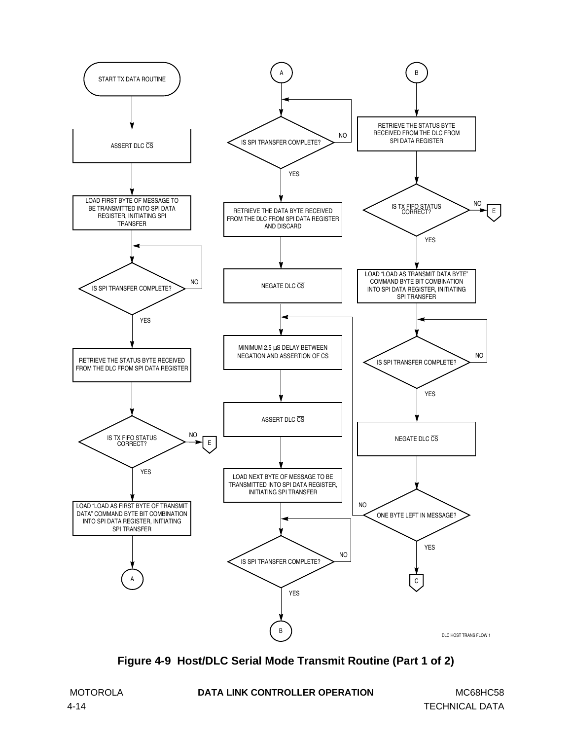<span id="page-57-0"></span>

**Figure 4-9 Host/DLC Serial Mode Transmit Routine (Part 1 of 2)**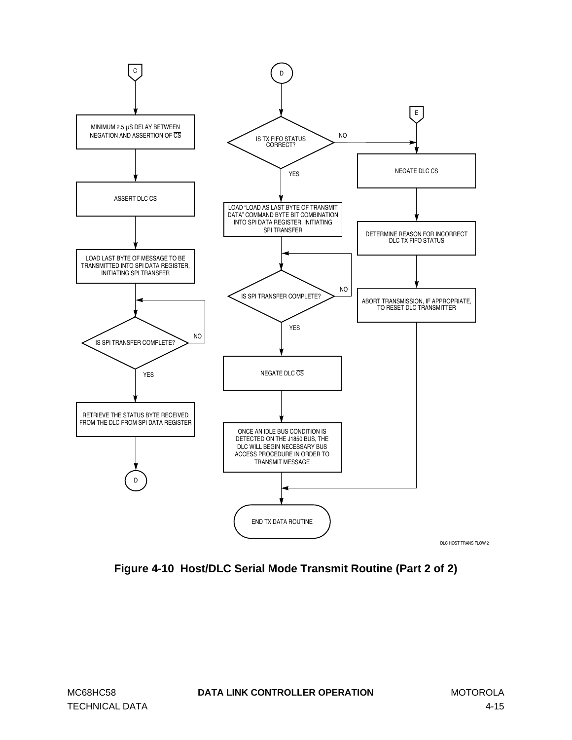<span id="page-58-0"></span>

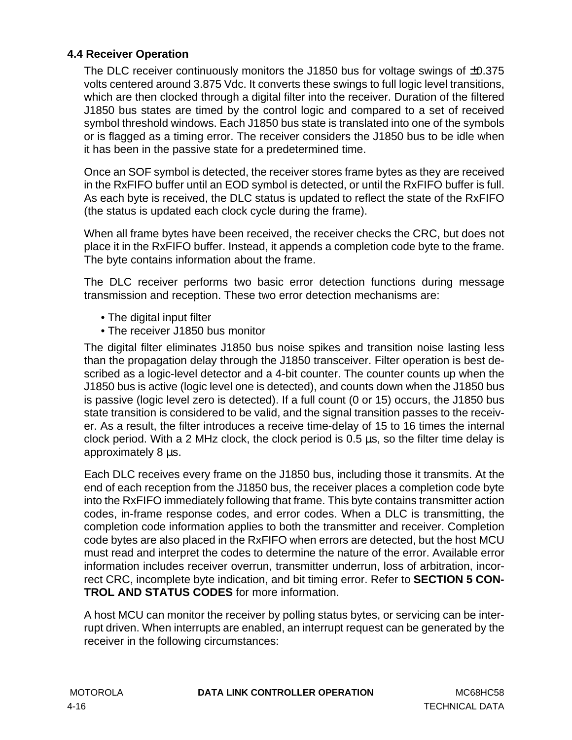## **4.4 Receiver Operation**

The DLC receiver continuously monitors the J1850 bus for voltage swings of  $\pm 0.375$ volts centered around 3.875 Vdc. It converts these swings to full logic level transitions, which are then clocked through a digital filter into the receiver. Duration of the filtered J1850 bus states are timed by the control logic and compared to a set of received symbol threshold windows. Each J1850 bus state is translated into one of the symbols or is flagged as a timing error. The receiver considers the J1850 bus to be idle when it has been in the passive state for a predetermined time.

Once an SOF symbol is detected, the receiver stores frame bytes as they are received in the RxFIFO buffer until an EOD symbol is detected, or until the RxFIFO buffer is full. As each byte is received, the DLC status is updated to reflect the state of the RxFIFO (the status is updated each clock cycle during the frame).

When all frame bytes have been received, the receiver checks the CRC, but does not place it in the RxFIFO buffer. Instead, it appends a completion code byte to the frame. The byte contains information about the frame.

The DLC receiver performs two basic error detection functions during message transmission and reception. These two error detection mechanisms are:

- The digital input filter
- The receiver J1850 bus monitor

The digital filter eliminates J1850 bus noise spikes and transition noise lasting less than the propagation delay through the J1850 transceiver. Filter operation is best described as a logic-level detector and a 4-bit counter. The counter counts up when the J1850 bus is active (logic level one is detected), and counts down when the J1850 bus is passive (logic level zero is detected). If a full count (0 or 15) occurs, the J1850 bus state transition is considered to be valid, and the signal transition passes to the receiver. As a result, the filter introduces a receive time-delay of 15 to 16 times the internal clock period. With a 2 MHz clock, the clock period is 0.5 µs, so the filter time delay is approximately 8 µs.

Each DLC receives every frame on the J1850 bus, including those it transmits. At the end of each reception from the J1850 bus, the receiver places a completion code byte into the RxFIFO immediately following that frame. This byte contains transmitter action codes, in-frame response codes, and error codes. When a DLC is transmitting, the completion code information applies to both the transmitter and receiver. Completion code bytes are also placed in the RxFIFO when errors are detected, but the host MCU must read and interpret the codes to determine the nature of the error. Available error information includes receiver overrun, transmitter underrun, loss of arbitration, incorrect CRC, incomplete byte indication, and bit timing error. Refer to **[SECTION 5 CON-](#page-66-0)[TROL AND STATUS CODES](#page-66-0)** for more information.

A host MCU can monitor the receiver by polling status bytes, or servicing can be interrupt driven. When interrupts are enabled, an interrupt request can be generated by the receiver in the following circumstances: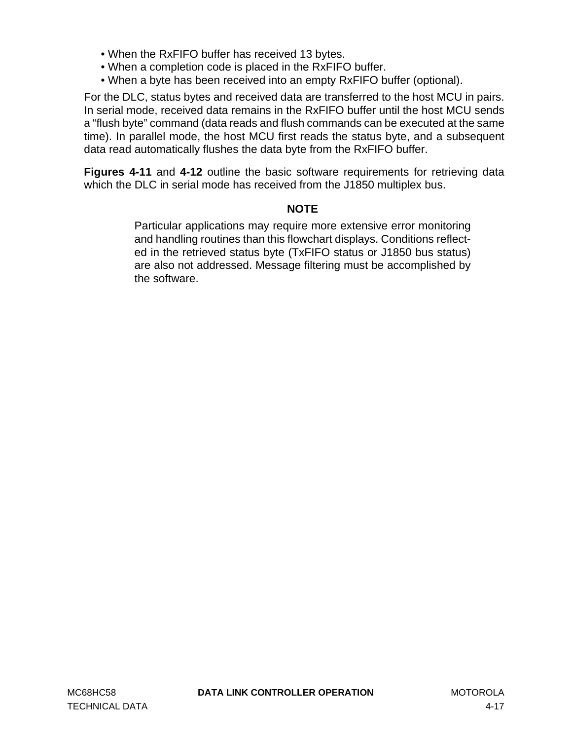- When the RxFIFO buffer has received 13 bytes.
- When a completion code is placed in the RxFIFO buffer.
- When a byte has been received into an empty RxFIFO buffer (optional).

For the DLC, status bytes and received data are transferred to the host MCU in pairs. In serial mode, received data remains in the RxFIFO buffer until the host MCU sends a "flush byte" command (data reads and flush commands can be executed at the same time). In parallel mode, the host MCU first reads the status byte, and a subsequent data read automatically flushes the data byte from the RxFIFO buffer.

**Figures [4-11](#page-61-0)** and **[4-12](#page-62-0)** outline the basic software requirements for retrieving data which the DLC in serial mode has received from the J1850 multiplex bus.

#### **NOTE**

Particular applications may require more extensive error monitoring and handling routines than this flowchart displays. Conditions reflected in the retrieved status byte (TxFIFO status or J1850 bus status) are also not addressed. Message filtering must be accomplished by the software.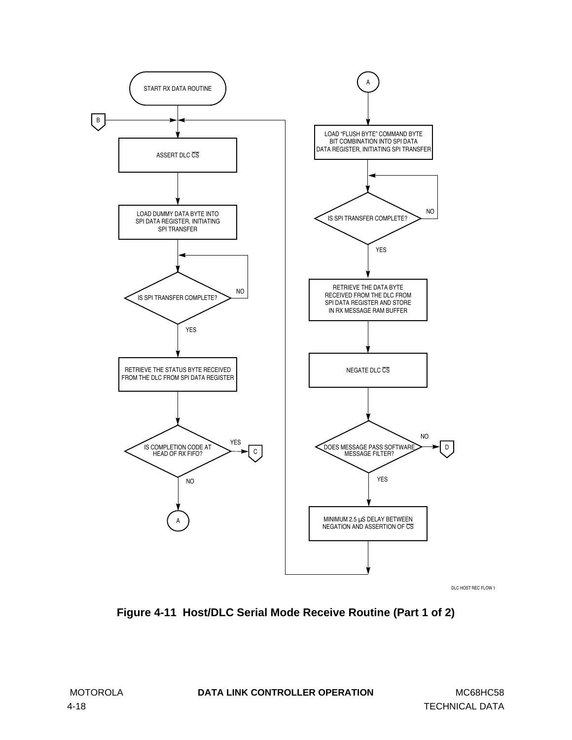<span id="page-61-0"></span>

DLC HOST REC FLOW 1

**Figure 4-11 Host/DLC Serial Mode Receive Routine (Part 1 of 2)**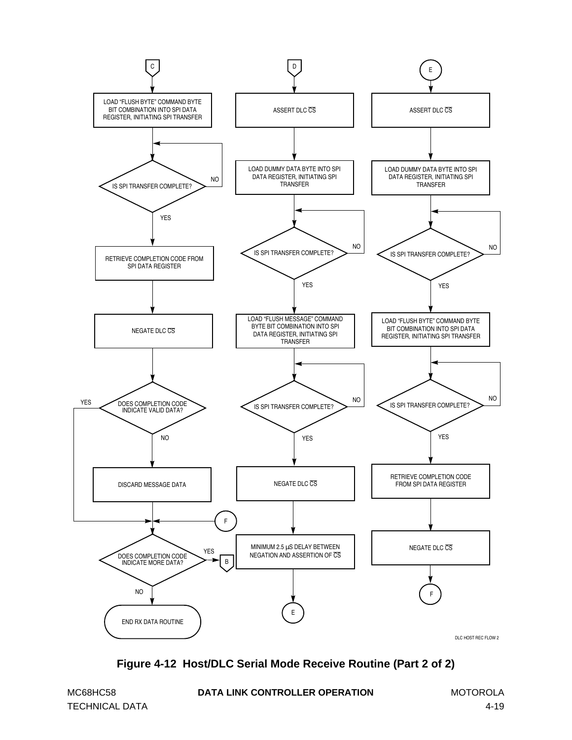<span id="page-62-0"></span>

**Figure 4-12 Host/DLC Serial Mode Receive Routine (Part 2 of 2)**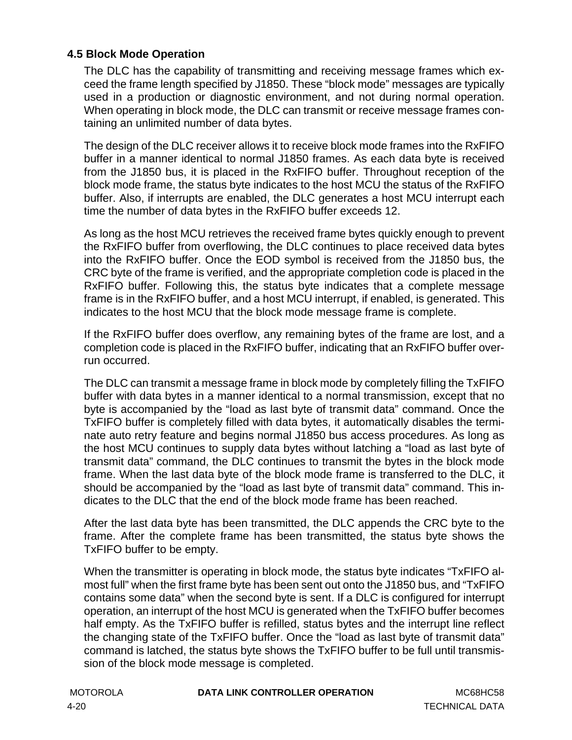## <span id="page-63-0"></span>**4.5 Block Mode Operation**

The DLC has the capability of transmitting and receiving message frames which exceed the frame length specified by J1850. These "block mode" messages are typically used in a production or diagnostic environment, and not during normal operation. When operating in block mode, the DLC can transmit or receive message frames containing an unlimited number of data bytes.

The design of the DLC receiver allows it to receive block mode frames into the RxFIFO buffer in a manner identical to normal J1850 frames. As each data byte is received from the J1850 bus, it is placed in the RxFIFO buffer. Throughout reception of the block mode frame, the status byte indicates to the host MCU the status of the RxFIFO buffer. Also, if interrupts are enabled, the DLC generates a host MCU interrupt each time the number of data bytes in the RxFIFO buffer exceeds 12.

As long as the host MCU retrieves the received frame bytes quickly enough to prevent the RxFIFO buffer from overflowing, the DLC continues to place received data bytes into the RxFIFO buffer. Once the EOD symbol is received from the J1850 bus, the CRC byte of the frame is verified, and the appropriate completion code is placed in the RxFIFO buffer. Following this, the status byte indicates that a complete message frame is in the RxFIFO buffer, and a host MCU interrupt, if enabled, is generated. This indicates to the host MCU that the block mode message frame is complete.

If the RxFIFO buffer does overflow, any remaining bytes of the frame are lost, and a completion code is placed in the RxFIFO buffer, indicating that an RxFIFO buffer overrun occurred.

The DLC can transmit a message frame in block mode by completely filling the TxFIFO buffer with data bytes in a manner identical to a normal transmission, except that no byte is accompanied by the "load as last byte of transmit data" command. Once the TxFIFO buffer is completely filled with data bytes, it automatically disables the terminate auto retry feature and begins normal J1850 bus access procedures. As long as the host MCU continues to supply data bytes without latching a "load as last byte of transmit data" command, the DLC continues to transmit the bytes in the block mode frame. When the last data byte of the block mode frame is transferred to the DLC, it should be accompanied by the "load as last byte of transmit data" command. This indicates to the DLC that the end of the block mode frame has been reached.

After the last data byte has been transmitted, the DLC appends the CRC byte to the frame. After the complete frame has been transmitted, the status byte shows the TxFIFO buffer to be empty.

When the transmitter is operating in block mode, the status byte indicates "TxFIFO almost full" when the first frame byte has been sent out onto the J1850 bus, and "TxFIFO contains some data" when the second byte is sent. If a DLC is configured for interrupt operation, an interrupt of the host MCU is generated when the TxFIFO buffer becomes half empty. As the TxFIFO buffer is refilled, status bytes and the interrupt line reflect the changing state of the TxFIFO buffer. Once the "load as last byte of transmit data" command is latched, the status byte shows the TxFIFO buffer to be full until transmission of the block mode message is completed.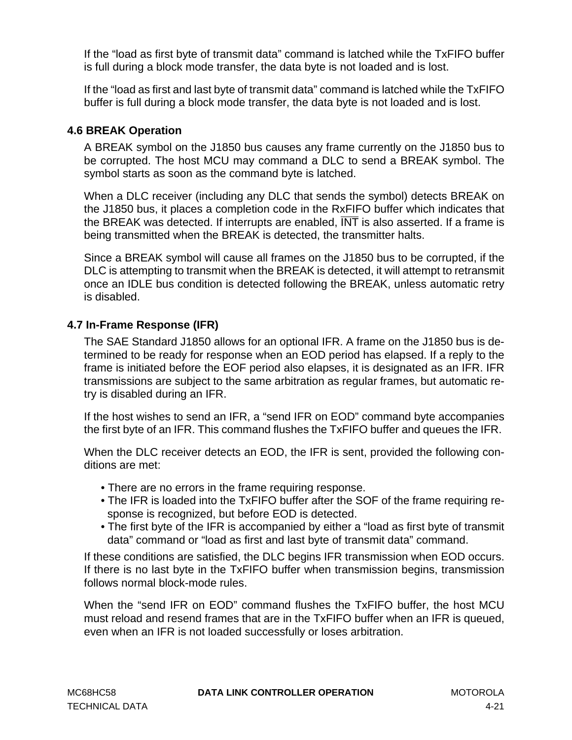<span id="page-64-0"></span>If the "load as first byte of transmit data" command is latched while the TxFIFO buffer is full during a block mode transfer, the data byte is not loaded and is lost.

If the "load as first and last byte of transmit data" command is latched while the TxFIFO buffer is full during a block mode transfer, the data byte is not loaded and is lost.

## **4.6 BREAK Operation**

A BREAK symbol on the J1850 bus causes any frame currently on the J1850 bus to be corrupted. The host MCU may command a DLC to send a BREAK symbol. The symbol starts as soon as the command byte is latched.

When a DLC receiver (including any DLC that sends the symbol) detects BREAK on the J1850 bus, it places a completion code in the RxFIFO buffer which indicates that the BREAK was detected. If interrupts are enabled,  $\overline{\text{INT}}$  is also asserted. If a frame is being transmitted when the BREAK is detected, the transmitter halts.

Since a BREAK symbol will cause all frames on the J1850 bus to be corrupted, if the DLC is attempting to transmit when the BREAK is detected, it will attempt to retransmit once an IDLE bus condition is detected following the BREAK, unless automatic retry is disabled.

## **4.7 In-Frame Response (IFR)**

The SAE Standard J1850 allows for an optional IFR. A frame on the J1850 bus is determined to be ready for response when an EOD period has elapsed. If a reply to the frame is initiated before the EOF period also elapses, it is designated as an IFR. IFR transmissions are subject to the same arbitration as regular frames, but automatic retry is disabled during an IFR.

If the host wishes to send an IFR, a "send IFR on EOD" command byte accompanies the first byte of an IFR. This command flushes the TxFIFO buffer and queues the IFR.

When the DLC receiver detects an EOD, the IFR is sent, provided the following conditions are met:

- There are no errors in the frame requiring response.
- The IFR is loaded into the TxFIFO buffer after the SOF of the frame requiring response is recognized, but before EOD is detected.
- The first byte of the IFR is accompanied by either a "load as first byte of transmit data" command or "load as first and last byte of transmit data" command.

If these conditions are satisfied, the DLC begins IFR transmission when EOD occurs. If there is no last byte in the TxFIFO buffer when transmission begins, transmission follows normal block-mode rules.

When the "send IFR on EOD" command flushes the TxFIFO buffer, the host MCU must reload and resend frames that are in the TxFIFO buffer when an IFR is queued, even when an IFR is not loaded successfully or loses arbitration.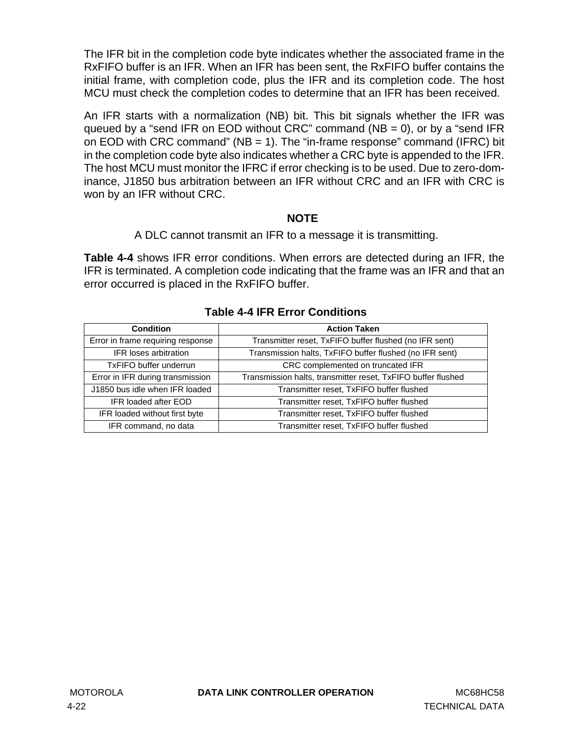The IFR bit in the completion code byte indicates whether the associated frame in the RxFIFO buffer is an IFR. When an IFR has been sent, the RxFIFO buffer contains the initial frame, with completion code, plus the IFR and its completion code. The host MCU must check the completion codes to determine that an IFR has been received.

An IFR starts with a normalization (NB) bit. This bit signals whether the IFR was queued by a "send IFR on EOD without CRC" command ( $NB = 0$ ), or by a "send IFR on EOD with CRC command" (NB = 1). The "in-frame response" command (IFRC) bit in the completion code byte also indicates whether a CRC byte is appended to the IFR. The host MCU must monitor the IFRC if error checking is to be used. Due to zero-dominance, J1850 bus arbitration between an IFR without CRC and an IFR with CRC is won by an IFR without CRC.

## **NOTE**

A DLC cannot transmit an IFR to a message it is transmitting.

**Table 4-4** shows IFR error conditions. When errors are detected during an IFR, the IFR is terminated. A completion code indicating that the frame was an IFR and that an error occurred is placed in the RxFIFO buffer.

| <b>Condition</b>                  | <b>Action Taken</b>                                          |  |
|-----------------------------------|--------------------------------------------------------------|--|
| Error in frame requiring response | Transmitter reset, TxFIFO buffer flushed (no IFR sent)       |  |
| <b>IFR</b> loses arbitration      | Transmission halts, TxFIFO buffer flushed (no IFR sent)      |  |
| <b>TxFIFO buffer underrun</b>     | CRC complemented on truncated IFR                            |  |
| Error in IFR during transmission  | Transmission halts, transmitter reset, TxFIFO buffer flushed |  |
| J1850 bus idle when IFR loaded    | Transmitter reset, TxFIFO buffer flushed                     |  |
| <b>IFR loaded after EOD</b>       | Transmitter reset, TxFIFO buffer flushed                     |  |
| IFR loaded without first byte     | Transmitter reset, TxFIFO buffer flushed                     |  |
| IFR command, no data              | Transmitter reset, TxFIFO buffer flushed                     |  |

### **Table 4-4 IFR Error Conditions**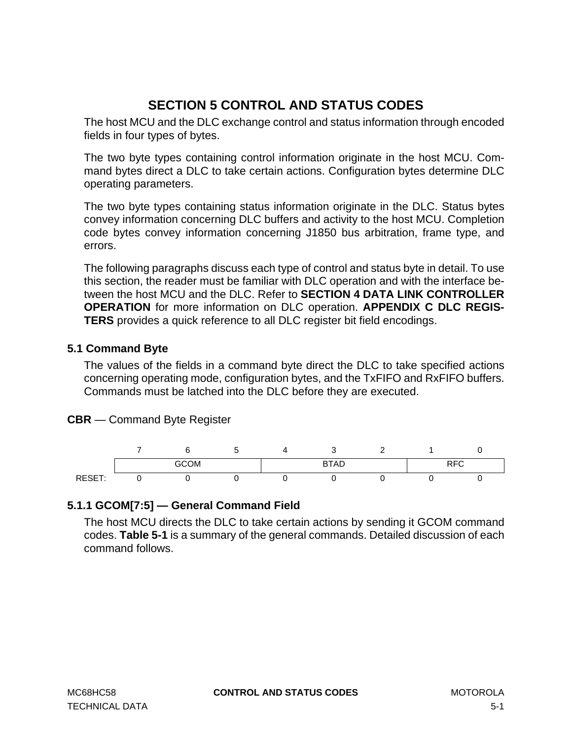# **SECTION 5 CONTROL AND STATUS CODES**

<span id="page-66-0"></span>The host MCU and the DLC exchange control and status information through encoded fields in four types of bytes.

The two byte types containing control information originate in the host MCU. Command bytes direct a DLC to take certain actions. Configuration bytes determine DLC operating parameters.

The two byte types containing status information originate in the DLC. Status bytes convey information concerning DLC buffers and activity to the host MCU. Completion code bytes convey information concerning J1850 bus arbitration, frame type, and errors.

The following paragraphs discuss each type of control and status byte in detail. To use this section, the reader must be familiar with DLC operation and with the interface between the host MCU and the DLC. Refer to **[SECTION 4 DATA LINK CONTROLLER](#page-44-0) [OPERATION](#page-44-0)** for more information on DLC operation. **[APPENDIX C DLC REGIS-](#page-94-0)[TERS](#page-94-0)** provides a quick reference to all DLC register bit field encodings.

## **5.1 Command Byte**

The values of the fields in a command byte direct the DLC to take specified actions concerning operating mode, configuration bytes, and the TxFIFO and RxFIFO buffers. Commands must be latched into the DLC before they are executed.

## **CBR** — Command Byte Register



## **5.1.1 GCOM[7:5] — General Command Field**

The host MCU directs the DLC to take certain actions by sending it GCOM command codes. **[Table 5-1](#page-67-0)** is a summary of the general commands. Detailed discussion of each command follows.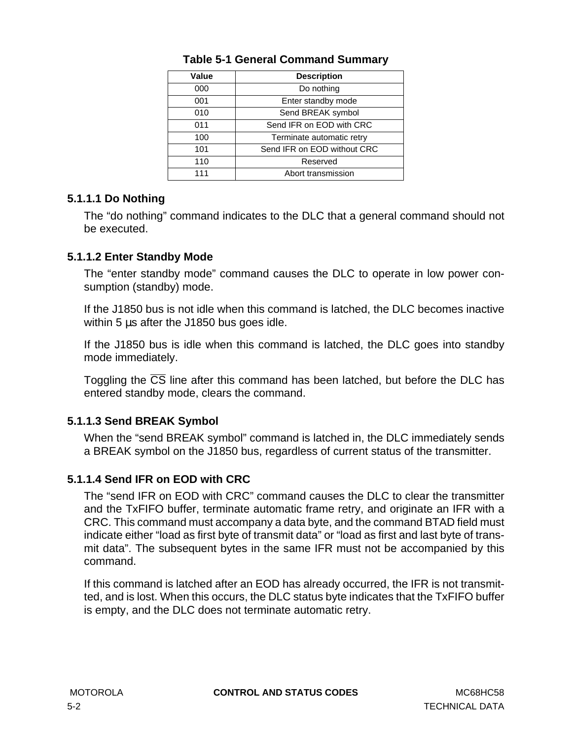<span id="page-67-0"></span>

| Value | <b>Description</b>          |  |
|-------|-----------------------------|--|
| 000   | Do nothing                  |  |
| 001   | Enter standby mode          |  |
| 010   | Send BREAK symbol           |  |
| 011   | Send IFR on EOD with CRC    |  |
| 100   | Terminate automatic retry   |  |
| 101   | Send IFR on EOD without CRC |  |
| 110   | Reserved                    |  |
| 111   | Abort transmission          |  |

## **Table 5-1 General Command Summary**

### **5.1.1.1 Do Nothing**

The "do nothing" command indicates to the DLC that a general command should not be executed.

## **5.1.1.2 Enter Standby Mode**

The "enter standby mode" command causes the DLC to operate in low power consumption (standby) mode.

If the J1850 bus is not idle when this command is latched, the DLC becomes inactive within 5 us after the J1850 bus goes idle.

If the J1850 bus is idle when this command is latched, the DLC goes into standby mode immediately.

Toggling the  $\overline{CS}$  line after this command has been latched, but before the DLC has entered standby mode, clears the command.

# **5.1.1.3 Send BREAK Symbol**

When the "send BREAK symbol" command is latched in, the DLC immediately sends a BREAK symbol on the J1850 bus, regardless of current status of the transmitter.

## **5.1.1.4 Send IFR on EOD with CRC**

The "send IFR on EOD with CRC" command causes the DLC to clear the transmitter and the TxFIFO buffer, terminate automatic frame retry, and originate an IFR with a CRC. This command must accompany a data byte, and the command BTAD field must indicate either "load as first byte of transmit data" or "load as first and last byte of transmit data". The subsequent bytes in the same IFR must not be accompanied by this command.

If this command is latched after an EOD has already occurred, the IFR is not transmitted, and is lost. When this occurs, the DLC status byte indicates that the TxFIFO buffer is empty, and the DLC does not terminate automatic retry.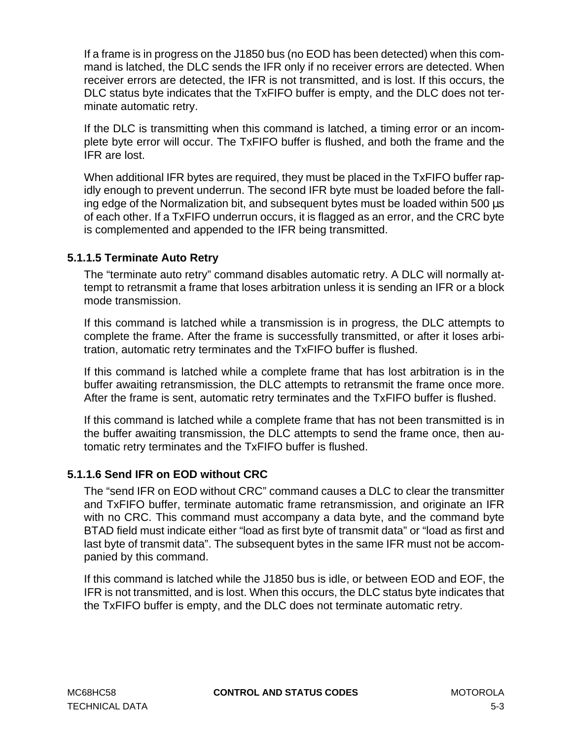If a frame is in progress on the J1850 bus (no EOD has been detected) when this command is latched, the DLC sends the IFR only if no receiver errors are detected. When receiver errors are detected, the IFR is not transmitted, and is lost. If this occurs, the DLC status byte indicates that the TxFIFO buffer is empty, and the DLC does not terminate automatic retry.

If the DLC is transmitting when this command is latched, a timing error or an incomplete byte error will occur. The TxFIFO buffer is flushed, and both the frame and the IFR are lost.

When additional IFR bytes are required, they must be placed in the TxFIFO buffer rapidly enough to prevent underrun. The second IFR byte must be loaded before the falling edge of the Normalization bit, and subsequent bytes must be loaded within 500 µs of each other. If a TxFIFO underrun occurs, it is flagged as an error, and the CRC byte is complemented and appended to the IFR being transmitted.

## **5.1.1.5 Terminate Auto Retry**

The "terminate auto retry" command disables automatic retry. A DLC will normally attempt to retransmit a frame that loses arbitration unless it is sending an IFR or a block mode transmission.

If this command is latched while a transmission is in progress, the DLC attempts to complete the frame. After the frame is successfully transmitted, or after it loses arbitration, automatic retry terminates and the TxFIFO buffer is flushed.

If this command is latched while a complete frame that has lost arbitration is in the buffer awaiting retransmission, the DLC attempts to retransmit the frame once more. After the frame is sent, automatic retry terminates and the TxFIFO buffer is flushed.

If this command is latched while a complete frame that has not been transmitted is in the buffer awaiting transmission, the DLC attempts to send the frame once, then automatic retry terminates and the TxFIFO buffer is flushed.

## **5.1.1.6 Send IFR on EOD without CRC**

The "send IFR on EOD without CRC" command causes a DLC to clear the transmitter and TxFIFO buffer, terminate automatic frame retransmission, and originate an IFR with no CRC. This command must accompany a data byte, and the command byte BTAD field must indicate either "load as first byte of transmit data" or "load as first and last byte of transmit data". The subsequent bytes in the same IFR must not be accompanied by this command.

If this command is latched while the J1850 bus is idle, or between EOD and EOF, the IFR is not transmitted, and is lost. When this occurs, the DLC status byte indicates that the TxFIFO buffer is empty, and the DLC does not terminate automatic retry.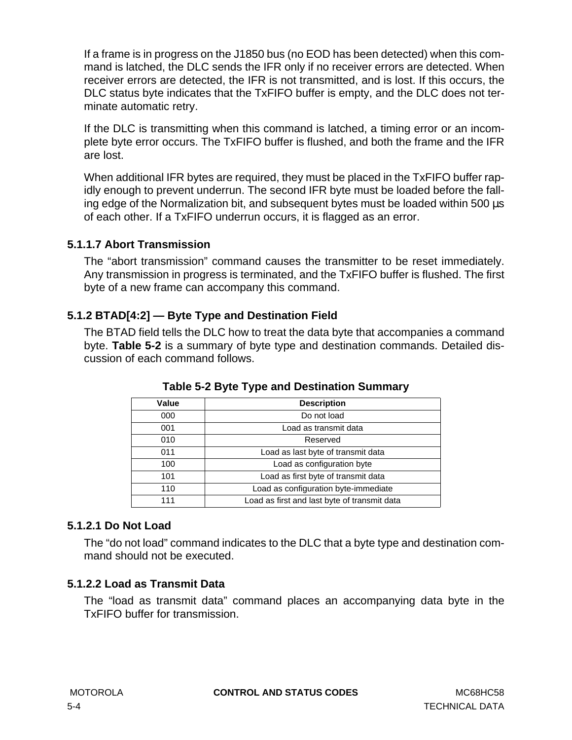If a frame is in progress on the J1850 bus (no EOD has been detected) when this command is latched, the DLC sends the IFR only if no receiver errors are detected. When receiver errors are detected, the IFR is not transmitted, and is lost. If this occurs, the DLC status byte indicates that the TxFIFO buffer is empty, and the DLC does not terminate automatic retry.

If the DLC is transmitting when this command is latched, a timing error or an incomplete byte error occurs. The TxFIFO buffer is flushed, and both the frame and the IFR are lost.

When additional IFR bytes are required, they must be placed in the TxFIFO buffer rapidly enough to prevent underrun. The second IFR byte must be loaded before the falling edge of the Normalization bit, and subsequent bytes must be loaded within 500 µs of each other. If a TxFIFO underrun occurs, it is flagged as an error.

## **5.1.1.7 Abort Transmission**

The "abort transmission" command causes the transmitter to be reset immediately. Any transmission in progress is terminated, and the TxFIFO buffer is flushed. The first byte of a new frame can accompany this command.

# **5.1.2 BTAD[4:2] — Byte Type and Destination Field**

The BTAD field tells the DLC how to treat the data byte that accompanies a command byte. **Table 5-2** is a summary of byte type and destination commands. Detailed discussion of each command follows.

| Value                                      | <b>Description</b>                           |  |
|--------------------------------------------|----------------------------------------------|--|
| 000                                        | Do not load                                  |  |
| 001                                        | Load as transmit data                        |  |
| 010                                        | Reserved                                     |  |
| 011                                        | Load as last byte of transmit data           |  |
| 100                                        | Load as configuration byte                   |  |
| Load as first byte of transmit data<br>101 |                                              |  |
| 110                                        | Load as configuration byte-immediate         |  |
| 111                                        | Load as first and last byte of transmit data |  |

## **Table 5-2 Byte Type and Destination Summary**

# **5.1.2.1 Do Not Load**

The "do not load" command indicates to the DLC that a byte type and destination command should not be executed.

## **5.1.2.2 Load as Transmit Data**

The "load as transmit data" command places an accompanying data byte in the TxFIFO buffer for transmission.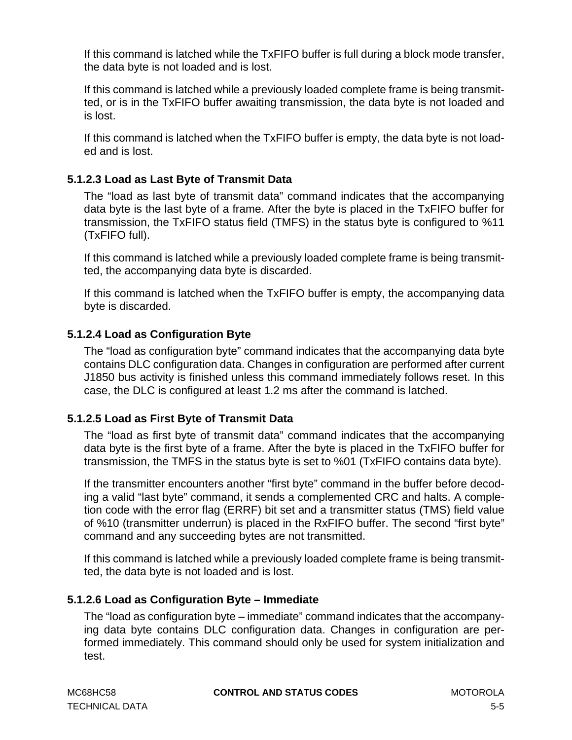If this command is latched while the TxFIFO buffer is full during a block mode transfer, the data byte is not loaded and is lost.

If this command is latched while a previously loaded complete frame is being transmitted, or is in the TxFIFO buffer awaiting transmission, the data byte is not loaded and is lost.

If this command is latched when the TxFIFO buffer is empty, the data byte is not loaded and is lost.

## **5.1.2.3 Load as Last Byte of Transmit Data**

The "load as last byte of transmit data" command indicates that the accompanying data byte is the last byte of a frame. After the byte is placed in the TxFIFO buffer for transmission, the TxFIFO status field (TMFS) in the status byte is configured to %11 (TxFIFO full).

If this command is latched while a previously loaded complete frame is being transmitted, the accompanying data byte is discarded.

If this command is latched when the TxFIFO buffer is empty, the accompanying data byte is discarded.

# **5.1.2.4 Load as Configuration Byte**

The "load as configuration byte" command indicates that the accompanying data byte contains DLC configuration data. Changes in configuration are performed after current J1850 bus activity is finished unless this command immediately follows reset. In this case, the DLC is configured at least 1.2 ms after the command is latched.

## **5.1.2.5 Load as First Byte of Transmit Data**

The "load as first byte of transmit data" command indicates that the accompanying data byte is the first byte of a frame. After the byte is placed in the TxFIFO buffer for transmission, the TMFS in the status byte is set to %01 (TxFIFO contains data byte).

If the transmitter encounters another "first byte" command in the buffer before decoding a valid "last byte" command, it sends a complemented CRC and halts. A completion code with the error flag (ERRF) bit set and a transmitter status (TMS) field value of %10 (transmitter underrun) is placed in the RxFIFO buffer. The second "first byte" command and any succeeding bytes are not transmitted.

If this command is latched while a previously loaded complete frame is being transmitted, the data byte is not loaded and is lost.

## **5.1.2.6 Load as Configuration Byte – Immediate**

The "load as configuration byte – immediate" command indicates that the accompanying data byte contains DLC configuration data. Changes in configuration are performed immediately. This command should only be used for system initialization and test.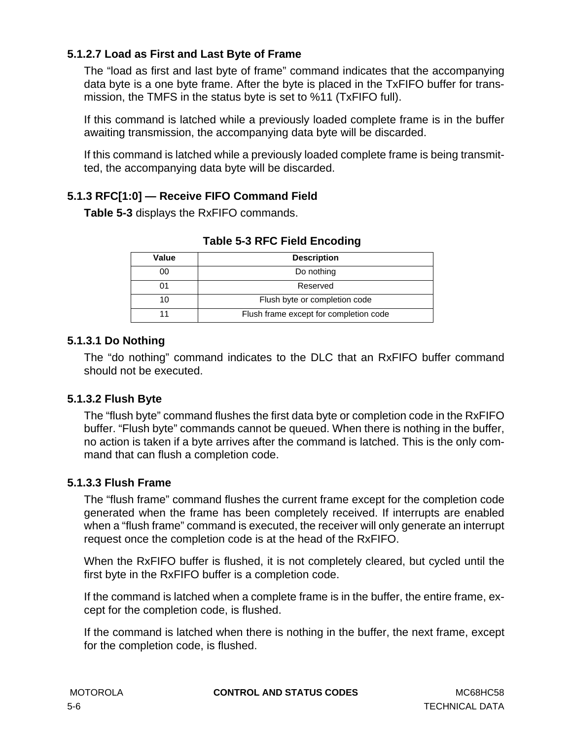# **5.1.2.7 Load as First and Last Byte of Frame**

The "load as first and last byte of frame" command indicates that the accompanying data byte is a one byte frame. After the byte is placed in the TxFIFO buffer for transmission, the TMFS in the status byte is set to %11 (TxFIFO full).

If this command is latched while a previously loaded complete frame is in the buffer awaiting transmission, the accompanying data byte will be discarded.

If this command is latched while a previously loaded complete frame is being transmitted, the accompanying data byte will be discarded.

# **5.1.3 RFC[1:0] — Receive FIFO Command Field**

**Table 5-3** displays the RxFIFO commands.

| Value | <b>Description</b>                     |  |
|-------|----------------------------------------|--|
| 00    | Do nothing                             |  |
|       | Reserved                               |  |
| 10    | Flush byte or completion code          |  |
|       | Flush frame except for completion code |  |

## **Table 5-3 RFC Field Encoding**

## **5.1.3.1 Do Nothing**

The "do nothing" command indicates to the DLC that an RxFIFO buffer command should not be executed.

## **5.1.3.2 Flush Byte**

The "flush byte" command flushes the first data byte or completion code in the RxFIFO buffer. "Flush byte" commands cannot be queued. When there is nothing in the buffer, no action is taken if a byte arrives after the command is latched. This is the only command that can flush a completion code.

## **5.1.3.3 Flush Frame**

The "flush frame" command flushes the current frame except for the completion code generated when the frame has been completely received. If interrupts are enabled when a "flush frame" command is executed, the receiver will only generate an interrupt request once the completion code is at the head of the RxFIFO.

When the RxFIFO buffer is flushed, it is not completely cleared, but cycled until the first byte in the RxFIFO buffer is a completion code.

If the command is latched when a complete frame is in the buffer, the entire frame, except for the completion code, is flushed.

If the command is latched when there is nothing in the buffer, the next frame, except for the completion code, is flushed.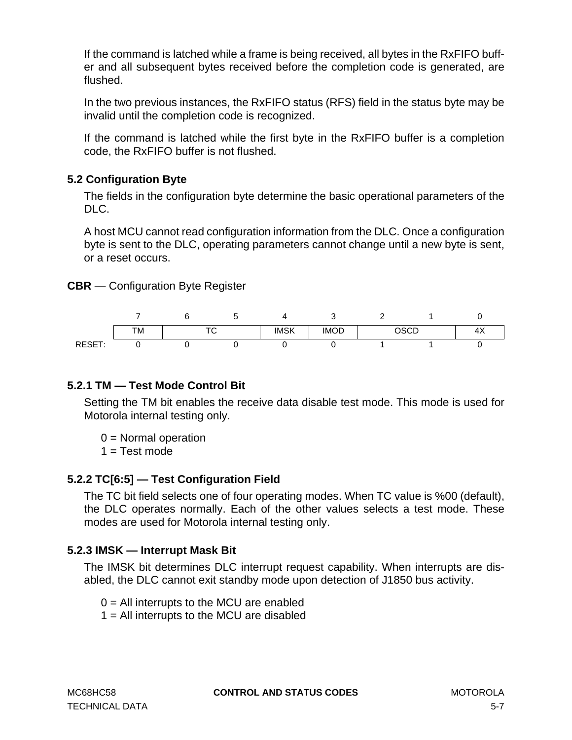<span id="page-72-0"></span>If the command is latched while a frame is being received, all bytes in the RxFIFO buffer and all subsequent bytes received before the completion code is generated, are flushed.

In the two previous instances, the RxFIFO status (RFS) field in the status byte may be invalid until the completion code is recognized.

If the command is latched while the first byte in the RxFIFO buffer is a completion code, the RxFIFO buffer is not flushed.

# **5.2 Configuration Byte**

The fields in the configuration byte determine the basic operational parameters of the DLC.

A host MCU cannot read configuration information from the DLC. Once a configuration byte is sent to the DLC, operating parameters cannot change until a new byte is sent, or a reset occurs.

**CBR** — Configuration Byte Register



# **5.2.1 TM — Test Mode Control Bit**

Setting the TM bit enables the receive data disable test mode. This mode is used for Motorola internal testing only.

 $0 =$  Normal operation

 $1 = Test$  mode

# **5.2.2 TC[6:5] — Test Configuration Field**

The TC bit field selects one of four operating modes. When TC value is %00 (default), the DLC operates normally. Each of the other values selects a test mode. These modes are used for Motorola internal testing only.

# **5.2.3 IMSK — Interrupt Mask Bit**

The IMSK bit determines DLC interrupt request capability. When interrupts are disabled, the DLC cannot exit standby mode upon detection of J1850 bus activity.

- $0 =$  All interrupts to the MCU are enabled
- $1 =$  All interrupts to the MCU are disabled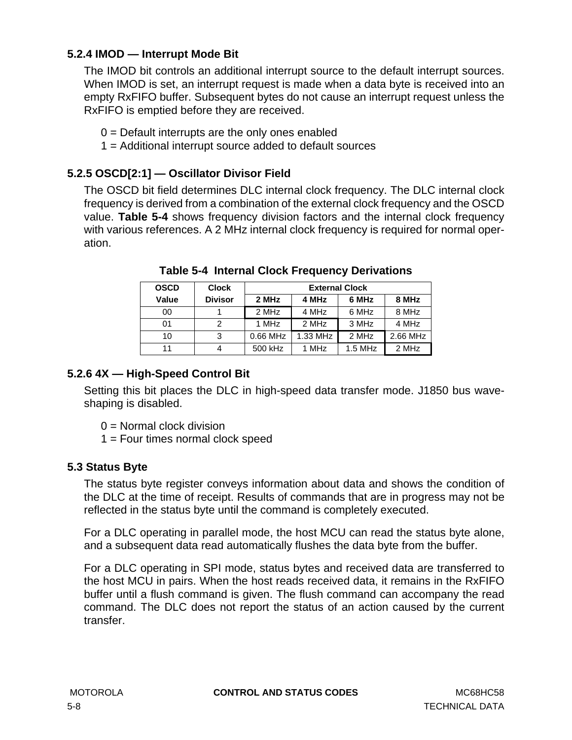# <span id="page-73-0"></span>**5.2.4 IMOD — Interrupt Mode Bit**

The IMOD bit controls an additional interrupt source to the default interrupt sources. When IMOD is set, an interrupt request is made when a data byte is received into an empty RxFIFO buffer. Subsequent bytes do not cause an interrupt request unless the RxFIFO is emptied before they are received.

- $0 =$  Default interrupts are the only ones enabled
- 1 = Additional interrupt source added to default sources

# **5.2.5 OSCD[2:1] — Oscillator Divisor Field**

The OSCD bit field determines DLC internal clock frequency. The DLC internal clock frequency is derived from a combination of the external clock frequency and the OSCD value. **Table 5-4** shows frequency division factors and the internal clock frequency with various references. A 2 MHz internal clock frequency is required for normal operation.

| <b>OSCD</b> | <b>Clock</b>   | <b>External Clock</b> |          |           |          |  |
|-------------|----------------|-----------------------|----------|-----------|----------|--|
| Value       | <b>Divisor</b> | 2 MHz                 | 4 MHz    | 6 MHz     | 8 MHz    |  |
| 00          |                | 2 MHz                 | 4 MHz    | 6 MHz     | 8 MHz    |  |
| 01          | 2              | 1 MHz                 | 2 MHz    | 3 MHz     | 4 MHz    |  |
| 10          | 3              | $0.66$ MHz            | 1.33 MHz | 2 MHz     | 2.66 MHz |  |
| 11          |                | 500 kHz               | 1 MHz    | $1.5$ MHz | 2 MHz    |  |

**Table 5-4 Internal Clock Frequency Derivations**

# **5.2.6 4X — High-Speed Control Bit**

Setting this bit places the DLC in high-speed data transfer mode. J1850 bus waveshaping is disabled.

- $0 =$  Normal clock division
- 1 = Four times normal clock speed

# **5.3 Status Byte**

The status byte register conveys information about data and shows the condition of the DLC at the time of receipt. Results of commands that are in progress may not be reflected in the status byte until the command is completely executed.

For a DLC operating in parallel mode, the host MCU can read the status byte alone, and a subsequent data read automatically flushes the data byte from the buffer.

For a DLC operating in SPI mode, status bytes and received data are transferred to the host MCU in pairs. When the host reads received data, it remains in the RxFIFO buffer until a flush command is given. The flush command can accompany the read command. The DLC does not report the status of an action caused by the current transfer.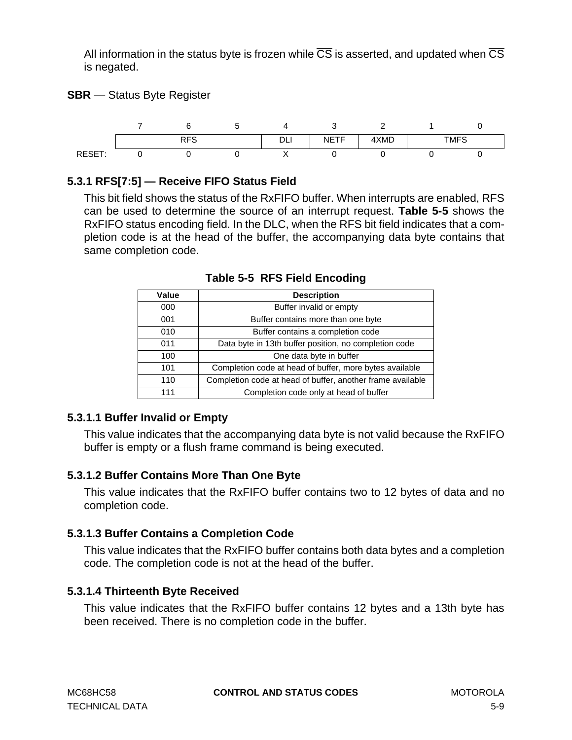<span id="page-74-0"></span>All information in the status byte is frozen while  $\overline{CS}$  is asserted, and updated when  $\overline{CS}$ is negated.

**SBR** — Status Byte Register



# **5.3.1 RFS[7:5] — Receive FIFO Status Field**

This bit field shows the status of the RxFIFO buffer. When interrupts are enabled, RFS can be used to determine the source of an interrupt request. **Table 5-5** shows the RxFIFO status encoding field. In the DLC, when the RFS bit field indicates that a completion code is at the head of the buffer, the accompanying data byte contains that same completion code.

| Value | <b>Description</b>                                         |
|-------|------------------------------------------------------------|
| 000   | Buffer invalid or empty                                    |
| 001   | Buffer contains more than one byte                         |
| 010   | Buffer contains a completion code                          |
| 011   | Data byte in 13th buffer position, no completion code      |
| 100   | One data byte in buffer                                    |
| 101   | Completion code at head of buffer, more bytes available    |
| 110   | Completion code at head of buffer, another frame available |
| 111   | Completion code only at head of buffer                     |

**Table 5-5 RFS Field Encoding**

# **5.3.1.1 Buffer Invalid or Empty**

This value indicates that the accompanying data byte is not valid because the RxFIFO buffer is empty or a flush frame command is being executed.

# **5.3.1.2 Buffer Contains More Than One Byte**

This value indicates that the RxFIFO buffer contains two to 12 bytes of data and no completion code.

# **5.3.1.3 Buffer Contains a Completion Code**

This value indicates that the RxFIFO buffer contains both data bytes and a completion code. The completion code is not at the head of the buffer.

# **5.3.1.4 Thirteenth Byte Received**

This value indicates that the RxFIFO buffer contains 12 bytes and a 13th byte has been received. There is no completion code in the buffer.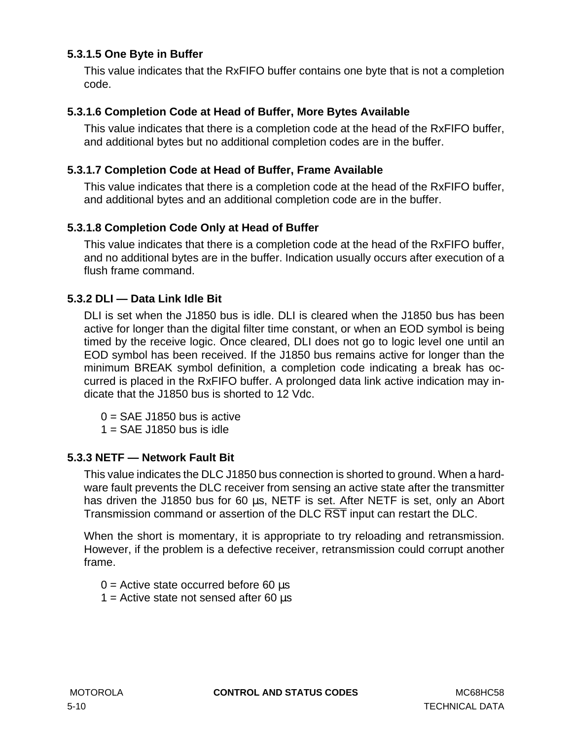# <span id="page-75-0"></span>**5.3.1.5 One Byte in Buffer**

This value indicates that the RxFIFO buffer contains one byte that is not a completion code.

## **5.3.1.6 Completion Code at Head of Buffer, More Bytes Available**

This value indicates that there is a completion code at the head of the RxFIFO buffer, and additional bytes but no additional completion codes are in the buffer.

## **5.3.1.7 Completion Code at Head of Buffer, Frame Available**

This value indicates that there is a completion code at the head of the RxFIFO buffer, and additional bytes and an additional completion code are in the buffer.

## **5.3.1.8 Completion Code Only at Head of Buffer**

This value indicates that there is a completion code at the head of the RxFIFO buffer, and no additional bytes are in the buffer. Indication usually occurs after execution of a flush frame command.

## **5.3.2 DLI — Data Link Idle Bit**

DLI is set when the J1850 bus is idle. DLI is cleared when the J1850 bus has been active for longer than the digital filter time constant, or when an EOD symbol is being timed by the receive logic. Once cleared, DLI does not go to logic level one until an EOD symbol has been received. If the J1850 bus remains active for longer than the minimum BREAK symbol definition, a completion code indicating a break has occurred is placed in the RxFIFO buffer. A prolonged data link active indication may indicate that the J1850 bus is shorted to 12 Vdc.

- $0 = SAE$  J1850 bus is active
- $1 = SAE$  J1850 bus is idle

# **5.3.3 NETF — Network Fault Bit**

This value indicates the DLC J1850 bus connection is shorted to ground. When a hardware fault prevents the DLC receiver from sensing an active state after the transmitter has driven the J1850 bus for 60 µs, NETF is set. After NETF is set, only an Abort Transmission command or assertion of the DLC RST input can restart the DLC.

When the short is momentary, it is appropriate to try reloading and retransmission. However, if the problem is a defective receiver, retransmission could corrupt another frame.

- $0 =$  Active state occurred before 60  $\mu$ s
- 1 = Active state not sensed after 60  $\mu$ s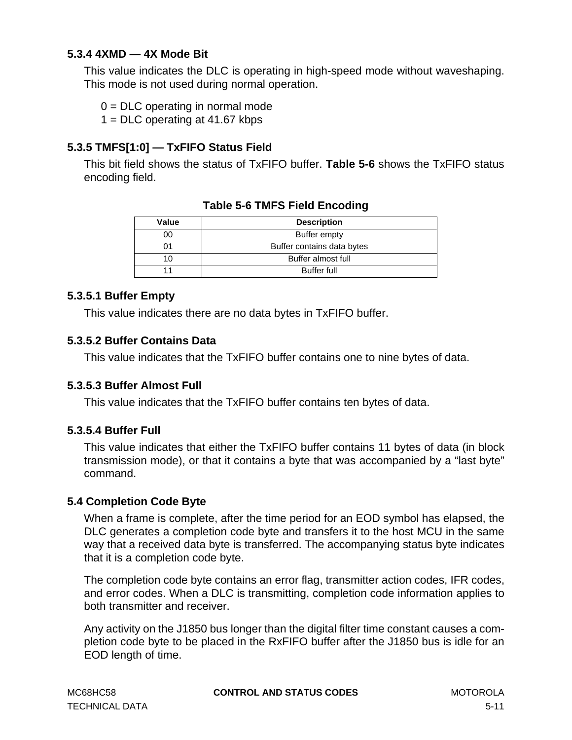## <span id="page-76-0"></span>**5.3.4 4XMD — 4X Mode Bit**

This value indicates the DLC is operating in high-speed mode without waveshaping. This mode is not used during normal operation.

 $0 = DLC$  operating in normal mode

1 = DLC operating at 41.67 kbps

## **5.3.5 TMFS[1:0] — TxFIFO Status Field**

This bit field shows the status of TxFIFO buffer. **Table 5-6** shows the TxFIFO status encoding field.

| Value | <b>Description</b>         |
|-------|----------------------------|
| იი    | Buffer empty               |
|       | Buffer contains data bytes |
| 10    | Buffer almost full         |
|       | <b>Buffer full</b>         |

## **Table 5-6 TMFS Field Encoding**

## **5.3.5.1 Buffer Empty**

This value indicates there are no data bytes in TxFIFO buffer.

## **5.3.5.2 Buffer Contains Data**

This value indicates that the TxFIFO buffer contains one to nine bytes of data.

### **5.3.5.3 Buffer Almost Full**

This value indicates that the TxFIFO buffer contains ten bytes of data.

## **5.3.5.4 Buffer Full**

This value indicates that either the TxFIFO buffer contains 11 bytes of data (in block transmission mode), or that it contains a byte that was accompanied by a "last byte" command.

## **5.4 Completion Code Byte**

When a frame is complete, after the time period for an EOD symbol has elapsed, the DLC generates a completion code byte and transfers it to the host MCU in the same way that a received data byte is transferred. The accompanying status byte indicates that it is a completion code byte.

The completion code byte contains an error flag, transmitter action codes, IFR codes, and error codes. When a DLC is transmitting, completion code information applies to both transmitter and receiver.

Any activity on the J1850 bus longer than the digital filter time constant causes a completion code byte to be placed in the RxFIFO buffer after the J1850 bus is idle for an EOD length of time.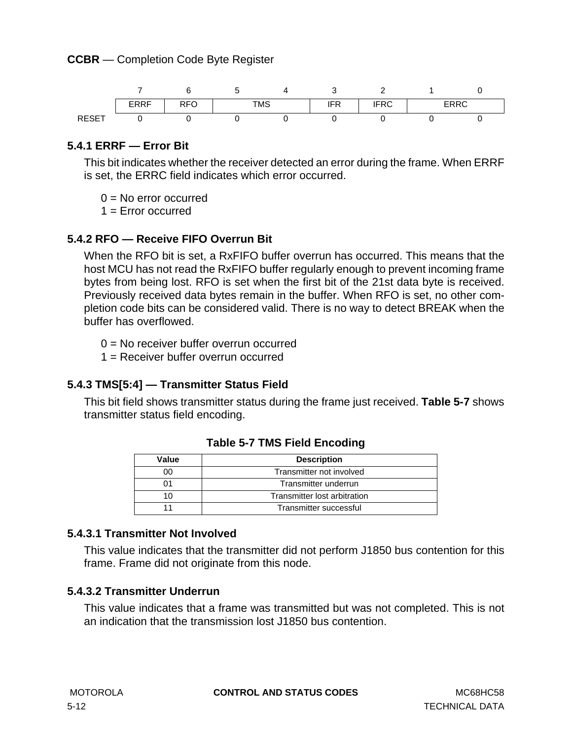<span id="page-77-0"></span>**CCBR** — Completion Code Byte Register



# **5.4.1 ERRF — Error Bit**

This bit indicates whether the receiver detected an error during the frame. When ERRF is set, the ERRC field indicates which error occurred.

 $0 = No$  error occurred

 $1 =$  Error occurred

## **5.4.2 RFO — Receive FIFO Overrun Bit**

When the RFO bit is set, a RxFIFO buffer overrun has occurred. This means that the host MCU has not read the RxFIFO buffer regularly enough to prevent incoming frame bytes from being lost. RFO is set when the first bit of the 21st data byte is received. Previously received data bytes remain in the buffer. When RFO is set, no other completion code bits can be considered valid. There is no way to detect BREAK when the buffer has overflowed.

 $0 = No$  receiver buffer overrun occurred

1 = Receiver buffer overrun occurred

# **5.4.3 TMS[5:4] — Transmitter Status Field**

This bit field shows transmitter status during the frame just received. **Table 5-7** shows transmitter status field encoding.

| Value | <b>Description</b>           |
|-------|------------------------------|
| 00    | Transmitter not involved     |
|       | Transmitter underrun         |
| 1 ( ) | Transmitter lost arbitration |
|       | Transmitter successful       |

## **Table 5-7 TMS Field Encoding**

## **5.4.3.1 Transmitter Not Involved**

This value indicates that the transmitter did not perform J1850 bus contention for this frame. Frame did not originate from this node.

## **5.4.3.2 Transmitter Underrun**

This value indicates that a frame was transmitted but was not completed. This is not an indication that the transmission lost J1850 bus contention.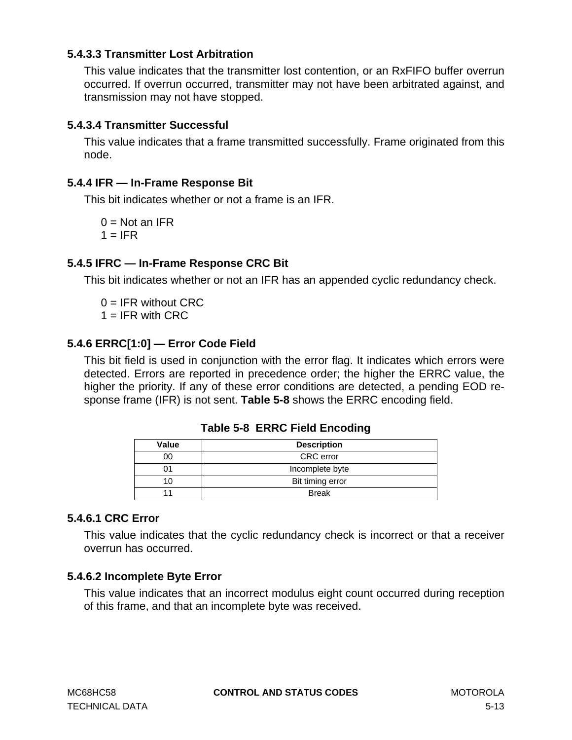## <span id="page-78-0"></span>**5.4.3.3 Transmitter Lost Arbitration**

This value indicates that the transmitter lost contention, or an RxFIFO buffer overrun occurred. If overrun occurred, transmitter may not have been arbitrated against, and transmission may not have stopped.

## **5.4.3.4 Transmitter Successful**

This value indicates that a frame transmitted successfully. Frame originated from this node.

## **5.4.4 IFR — In-Frame Response Bit**

This bit indicates whether or not a frame is an IFR.

 $0 = Not$  an IFR  $1 = IFR$ 

## **5.4.5 IFRC — In-Frame Response CRC Bit**

This bit indicates whether or not an IFR has an appended cyclic redundancy check.

 $0 = IFR$  without CRC  $1 = IFR$  with CRC

## **5.4.6 ERRC[1:0] — Error Code Field**

This bit field is used in conjunction with the error flag. It indicates which errors were detected. Errors are reported in precedence order; the higher the ERRC value, the higher the priority. If any of these error conditions are detected, a pending EOD response frame (IFR) is not sent. **Table 5-8** shows the ERRC encoding field.

| Value | <b>Description</b> |
|-------|--------------------|
| 00    | <b>CRC</b> error   |
|       | Incomplete byte    |
| 10    | Bit timing error   |
|       | <b>Break</b>       |

**Table 5-8 ERRC Field Encoding**

### **5.4.6.1 CRC Error**

This value indicates that the cyclic redundancy check is incorrect or that a receiver overrun has occurred.

## **5.4.6.2 Incomplete Byte Error**

This value indicates that an incorrect modulus eight count occurred during reception of this frame, and that an incomplete byte was received.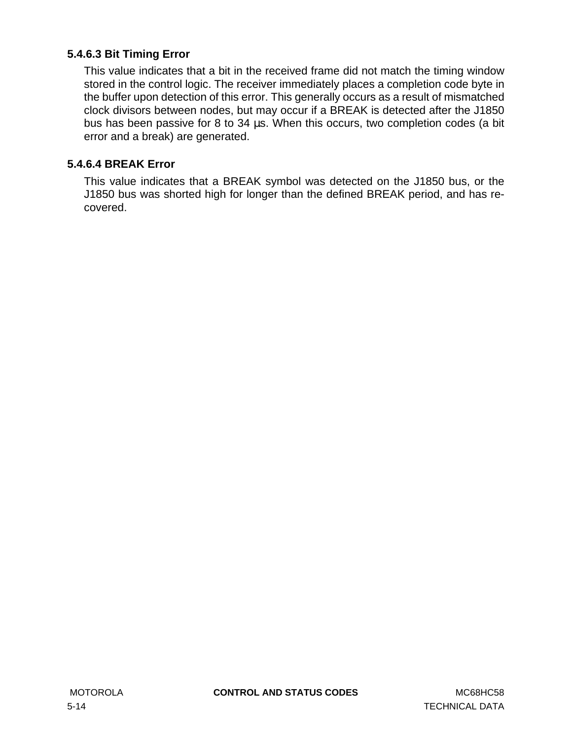# <span id="page-79-0"></span>**5.4.6.3 Bit Timing Error**

This value indicates that a bit in the received frame did not match the timing window stored in the control logic. The receiver immediately places a completion code byte in the buffer upon detection of this error. This generally occurs as a result of mismatched clock divisors between nodes, but may occur if a BREAK is detected after the J1850 bus has been passive for 8 to 34 µs. When this occurs, two completion codes (a bit error and a break) are generated.

# **5.4.6.4 BREAK Error**

This value indicates that a BREAK symbol was detected on the J1850 bus, or the J1850 bus was shorted high for longer than the defined BREAK period, and has recovered.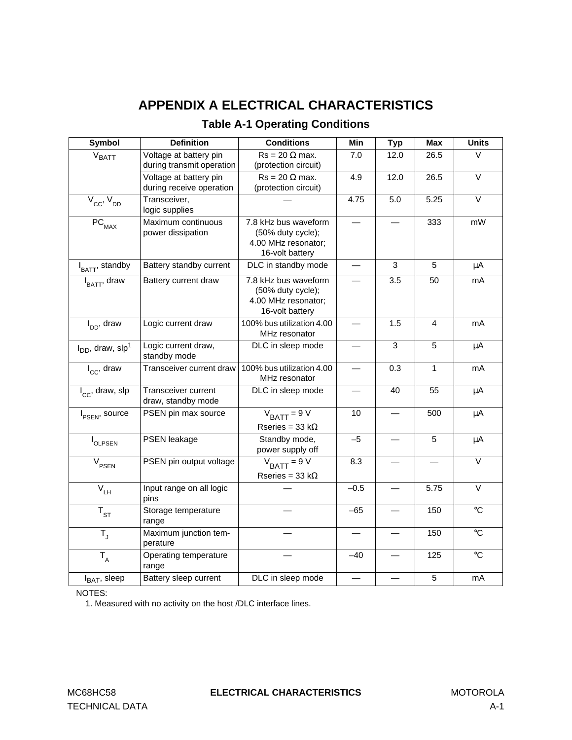# **APPENDIX A ELECTRICAL CHARACTERISTICS**

|  |  | <b>Table A-1 Operating Conditions</b> |
|--|--|---------------------------------------|
|--|--|---------------------------------------|

<span id="page-80-0"></span>

| Symbol                                               | <b>Definition</b>                                   | <b>Conditions</b>                                                                   | Min    | <b>Typ</b> | <b>Max</b> | <b>Units</b>      |
|------------------------------------------------------|-----------------------------------------------------|-------------------------------------------------------------------------------------|--------|------------|------------|-------------------|
| <b>VBATT</b>                                         | Voltage at battery pin<br>during transmit operation | $Rs = 20 \Omega$ max.<br>(protection circuit)                                       | 7.0    | 12.0       | 26.5       | V                 |
|                                                      | Voltage at battery pin<br>during receive operation  | $Rs = 20 \Omega$ max.<br>(protection circuit)                                       | 4.9    | 12.0       | 26.5       | $\overline{\vee}$ |
| $V_{CC}$ , $V_{DD}$                                  | Transceiver,<br>logic supplies                      |                                                                                     | 4.75   | 5.0        | 5.25       | $\vee$            |
| $PC$ <sub>MAX</sub>                                  | Maximum continuous<br>power dissipation             | 7.8 kHz bus waveform<br>(50% duty cycle);<br>4.00 MHz resonator;<br>16-volt battery |        |            | 333        | mW                |
| I <sub>BATT</sub> , standby                          | Battery standby current                             | DLC in standby mode                                                                 |        | 3          | 5          | $\mu$ A           |
| $I_{BATT}$ , draw                                    | Battery current draw                                | 7.8 kHz bus waveform<br>(50% duty cycle);<br>4.00 MHz resonator;<br>16-volt battery |        | 3.5        | 50         | mA                |
| $I_{DD}$ , draw                                      | Logic current draw                                  | 100% bus utilization 4.00<br>MHz resonator                                          |        | 1.5        | 4          | mA                |
| I <sub>DD</sub> , draw, slp <sup>1</sup>             | Logic current draw,<br>standby mode                 | DLC in sleep mode                                                                   |        | 3          | 5          | μA                |
| $I_{CC}$ , draw                                      | Transceiver current draw                            | 100% bus utilization 4.00<br>MHz resonator                                          |        | 0.3        | 1          | mA                |
| $I_{CC}$ , draw, slp                                 | Transceiver current<br>draw, standby mode           | DLC in sleep mode                                                                   |        | 40         | 55         | $\mu$ A           |
| $I_{PSEN}$ , source                                  | PSEN pin max source                                 | $V_{\text{BATT}} = 9 V$<br>Rseries = 33 k $\Omega$                                  | 10     |            | 500        | $\mu$ A           |
| I <sub>OLPSEN</sub>                                  | PSEN leakage                                        | Standby mode,<br>power supply off                                                   | $-5$   |            | $\sqrt{5}$ | μA                |
| V <sub>PSEN</sub>                                    | PSEN pin output voltage                             | $V_{\text{BATT}} = 9 V$<br>Rseries = 33 k $\Omega$                                  | 8.3    |            |            | $\vee$            |
| $\bar{\mathsf{v}}_{\scriptscriptstyle{\mathsf{LH}}}$ | Input range on all logic<br>pins                    |                                                                                     | $-0.5$ |            | 5.75       | $\vee$            |
| $\bar{\textbf{T}}_{\texttt{ST}}$                     | Storage temperature<br>range                        |                                                                                     | $-65$  |            | 150        | $\rm ^{\circ}C$   |
| $\overline{T}$                                       | Maximum junction tem-<br>perature                   |                                                                                     |        |            | 150        | $\overline{c}$    |
| $\overline{\mathsf{T}}_{\mathsf{A}}$                 | Operating temperature<br>range                      |                                                                                     | $-40$  |            | 125        | $\overline{c}$    |
| $I_{BAT}$ , sleep                                    | Battery sleep current                               | DLC in sleep mode                                                                   |        |            | $\sqrt{5}$ | mA                |

NOTES:

1. Measured with no activity on the host /DLC interface lines.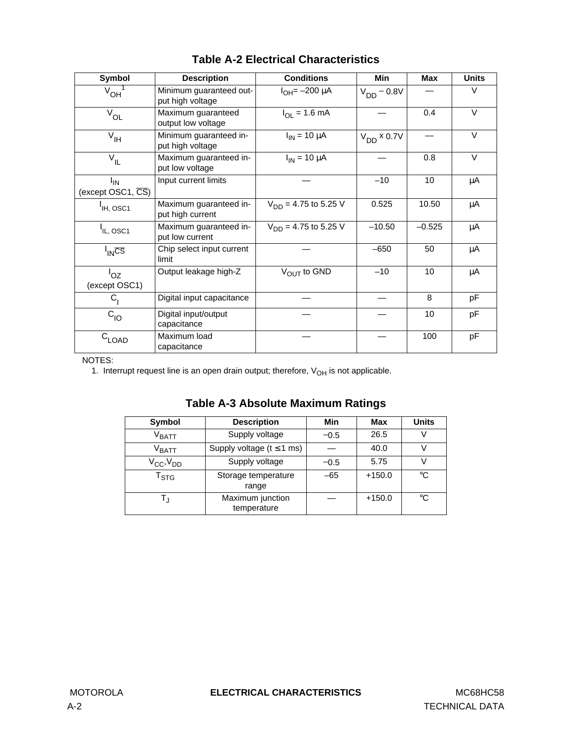<span id="page-81-0"></span>

| Symbol                                      | <b>Description</b>                          | <b>Conditions</b>               | <b>Min</b>      | <b>Max</b> | <b>Units</b> |
|---------------------------------------------|---------------------------------------------|---------------------------------|-----------------|------------|--------------|
| $V_{OH}$                                    | Minimum guaranteed out-<br>put high voltage | $I_{OH} = -200 \mu A$           | $V_{DD} - 0.8V$ |            | V            |
| $V_{OL}$                                    | Maximum guaranteed<br>output low voltage    | $I_{\Omega I} = 1.6 \text{ mA}$ |                 | 0.4        | $\vee$       |
| $V_{\vert H}$                               | Minimum guaranteed in-<br>put high voltage  | $I_{IN}$ = 10 $\mu$ A           | $V_{DD}$ x 0.7V |            | $\vee$       |
| $V_{IL}$                                    | Maximum guaranteed in-<br>put low voltage   | $I_{IN}$ = 10 $\mu$ A           |                 | 0.8        | $\vee$       |
| $I_{IN}$<br>(except OSC1, $\overline{CS}$ ) | Input current limits                        |                                 | $-10$           | 10         | μA           |
| <sup>I</sup> IH, OSC1                       | Maximum guaranteed in-<br>put high current  | $V_{DD} = 4.75$ to 5.25 V       | 0.525           | 10.50      | μA           |
| IL, OSC1                                    | Maximum guaranteed in-<br>put low current   | $V_{DD} = 4.75$ to 5.25 V       | $-10.50$        | $-0.525$   | μA           |
| $I_{\text{IN}}\overline{\text{CS}}$         | Chip select input current<br>limit          |                                 | $-650$          | 50         | μA           |
| loz<br>(except OSC1)                        | Output leakage high-Z                       | V <sub>OUT</sub> to GND         | $-10$           | 10         | μA           |
| $C_{1}$                                     | Digital input capacitance                   |                                 |                 | 8          | pF           |
| $C_{10}$                                    | Digital input/output<br>capacitance         |                                 |                 | 10         | pF           |
| $C_{LOAD}$                                  | Maximum load<br>capacitance                 |                                 |                 | 100        | pF           |

# **Table A-2 Electrical Characteristics**

NOTES:

1. Interrupt request line is an open drain output; therefore,  $V_{OH}$  is not applicable.

# **Table A-3 Absolute Maximum Ratings**

| Symbol                    | <b>Description</b>              | Min    | Max      | <b>Units</b> |
|---------------------------|---------------------------------|--------|----------|--------------|
| $\rm v_{BAT}$             | Supply voltage                  | $-0.5$ | 26.5     |              |
| $\rm v_{BAT}$             | Supply voltage ( $t \le 1$ ms)  |        | 40.0     |              |
| $V_{CC}$ , $V_{DD}$       | Supply voltage                  | $-0.5$ | 5.75     | V            |
| $\mathsf{T}_{\text{STG}}$ | Storage temperature<br>range    | $-65$  | $+150.0$ | $^{\circ}C$  |
| TJ                        | Maximum junction<br>temperature |        | $+150.0$ | $^{\circ}C$  |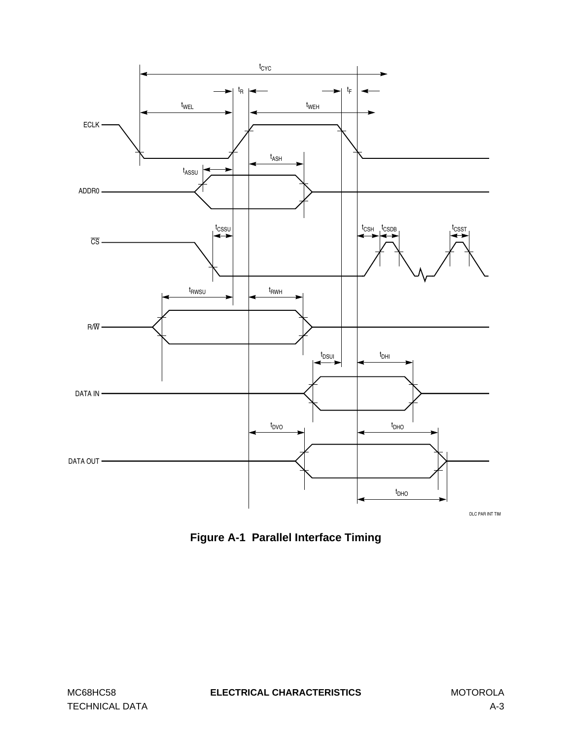<span id="page-82-0"></span>

**Figure A-1 Parallel Interface Timing**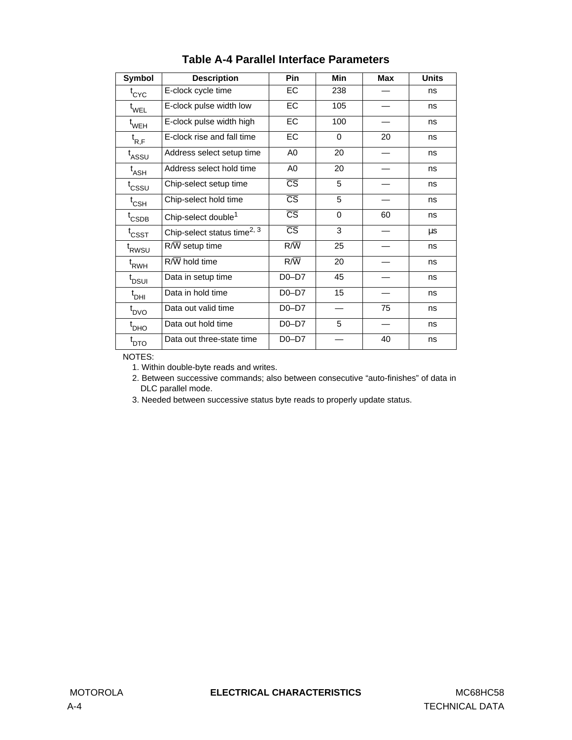<span id="page-83-0"></span>

| Symbol              | <b>Description</b>                      | <b>Pin</b>             | <b>Min</b> | <b>Max</b> | <b>Units</b> |
|---------------------|-----------------------------------------|------------------------|------------|------------|--------------|
| $t_{\text{CYC}}$    | E-clock cycle time                      | EC.                    | 238        |            | ns           |
| $t_{WEL}$           | E-clock pulse width low                 | EC                     | 105        |            | ns           |
| $t$ <sub>WEH</sub>  | E-clock pulse width high                | EC.                    | 100        |            | ns           |
| $t_{R,F}$           | E-clock rise and fall time              | EC                     | 0          | 20         | ns           |
| $t$ <sub>ASSU</sub> | Address select setup time               | A0                     | 20         |            | ns           |
| $t_{ASH}$           | Address select hold time                | A0                     | 20         |            | ns           |
| t <sub>cssu</sub>   | Chip-select setup time                  | $\overline{\text{CS}}$ | 5          |            | ns           |
| $t_{\mathsf{CSH}}$  | Chip-select hold time                   | $\overline{\text{CS}}$ | 5          |            | ns           |
| $t_{\text{CSDB}}$   | Chip-select double <sup>1</sup>         | $\overline{\text{CS}}$ | $\Omega$   | 60         | ns           |
| $t_{\text{CSST}}$   | Chip-select status time <sup>2, 3</sup> | $\overline{\text{CS}}$ | 3          |            | μs           |
| t <sub>RWSU</sub>   | R/W setup time                          | $R/\overline{W}$       | 25         |            | ns           |
| $t_{RWH}$           | $R/\overline{W}$ hold time              | $R/\overline{W}$       | 20         |            | ns           |
| $t_{DSUI}$          | Data in setup time                      | $D0-D7$                | 45         |            | ns           |
| $t_{\text{DHI}}$    | Data in hold time                       | $D0-D7$                | 15         |            | ns           |
| $t_{\text{DVO}}$    | Data out valid time                     | $D0-D7$                |            | 75         | ns           |
| $t_{\text{DHO}}$    | Data out hold time                      | $D0-D7$                | 5          |            | ns           |
| $t_{\text{DTO}}$    | Data out three-state time               | $D0-D7$                |            | 40         | ns           |

# **Table A-4 Parallel Interface Parameters**

NOTES:

1. Within double-byte reads and writes.

2. Between successive commands; also between consecutive "auto-finishes" of data in DLC parallel mode.

3. Needed between successive status byte reads to properly update status.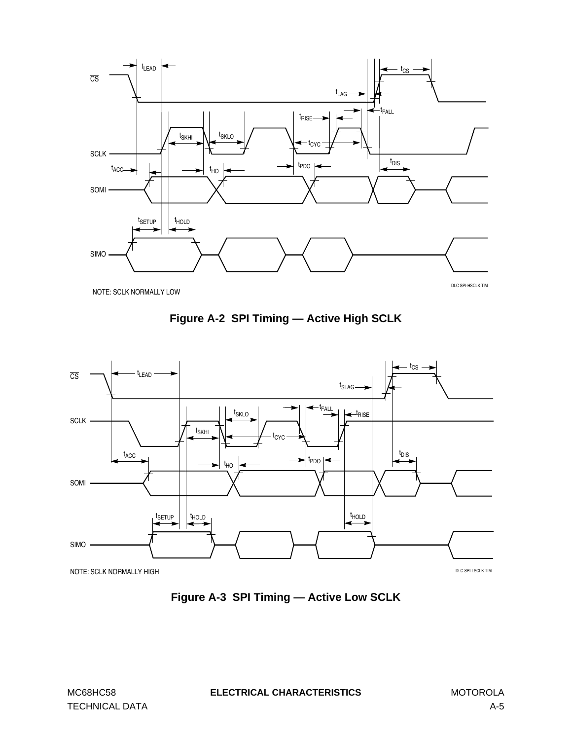<span id="page-84-0"></span>







**Figure A-3 SPI Timing — Active Low SCLK**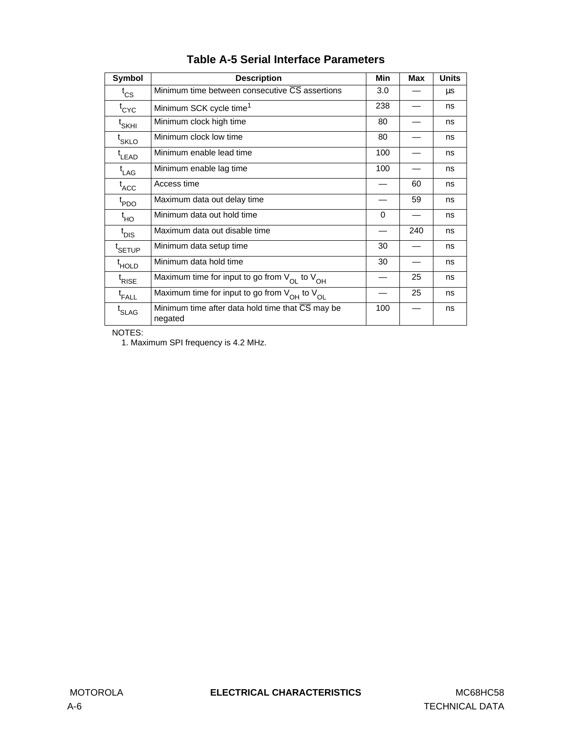<span id="page-85-0"></span>

| Symbol              | <b>Description</b>                                                 | <b>Min</b> | <b>Max</b> | <b>Units</b> |
|---------------------|--------------------------------------------------------------------|------------|------------|--------------|
| $t_{CS}$            | Minimum time between consecutive $\overline{\text{CS}}$ assertions | 3.0        |            | μs           |
| $t_{\text{CYC}}$    | Minimum SCK cycle time <sup>1</sup>                                | 238        |            | ns           |
| $t_{\mathsf{SKHI}}$ | Minimum clock high time                                            | 80         |            | ns           |
| $t_{SKLO}$          | Minimum clock low time                                             | 80         |            | ns           |
| $t_{LEAD}$          | Minimum enable lead time                                           | 100        |            | ns           |
| $t_{\mathsf{LAG}}$  | Minimum enable lag time                                            | 100        |            | ns           |
| $t_{\text{ACC}}$    | Access time                                                        |            | 60         | ns           |
| t <sub>PDO</sub>    | Maximum data out delay time                                        |            | 59         | ns           |
| $t_{HO}$            | Minimum data out hold time                                         | $\Omega$   |            | ns           |
| $t_{DIS}$           | Maximum data out disable time                                      |            | 240        | ns           |
| <sup>t</sup> SETUP  | Minimum data setup time                                            | 30         |            | ns           |
| <sup>t</sup> HOLD   | Minimum data hold time                                             | 30         |            | ns           |
| t<br>RISE           | Maximum time for input to go from $V_{OL}$ to $V_{OH}$             |            | 25         | ns           |
| $t_{\sf FALL}$      | Maximum time for input to go from $V_{OH}$ to $V_{OL}$             |            | 25         | ns           |
| <sup>I</sup> SLAG   | Minimum time after data hold time that CS may be<br>negated        | 100        |            | ns           |

# **Table A-5 Serial Interface Parameters**

NOTES:

1. Maximum SPI frequency is 4.2 MHz.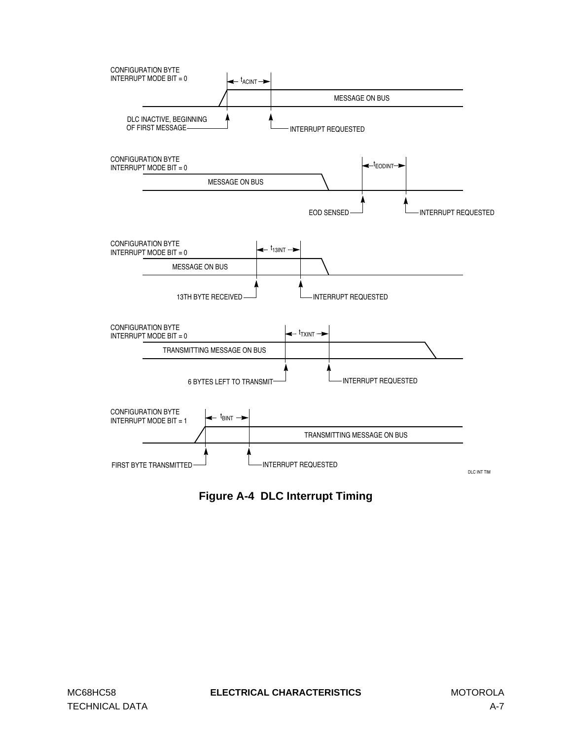<span id="page-86-0"></span>

**Figure A-4 DLC Interrupt Timing**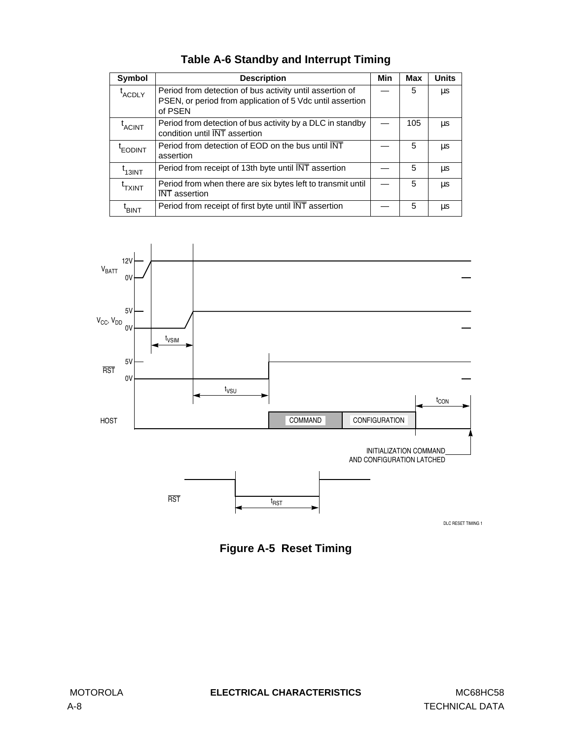<span id="page-87-0"></span>

| Symbol                     | <b>Description</b>                                                                                                               | Min | Max | <b>Units</b> |
|----------------------------|----------------------------------------------------------------------------------------------------------------------------------|-----|-----|--------------|
| t <sub>ACDLY</sub>         | Period from detection of bus activity until assertion of<br>PSEN, or period from application of 5 Vdc until assertion<br>of PSEN |     | 5   | μs           |
| $\mathfrak{r}_{\rm ACINT}$ | Period from detection of bus activity by a DLC in standby<br>condition until INT assertion                                       |     | 105 | μs           |
| <b>EODINT</b>              | Period from detection of EOD on the bus until INT<br>assertion                                                                   |     | 5   | μs           |
| 13INT                      | Period from receipt of 13th byte until INT assertion                                                                             |     | 5   | μs           |
| <b>TXINT</b>               | Period from when there are six bytes left to transmit until<br><b>INT</b> assertion                                              |     | 5   | μs           |
| 'BINT                      | Period from receipt of first byte until INT assertion                                                                            |     | 5   | μs           |





DLC RESET TIMING 1

**Figure A-5 Reset Timing**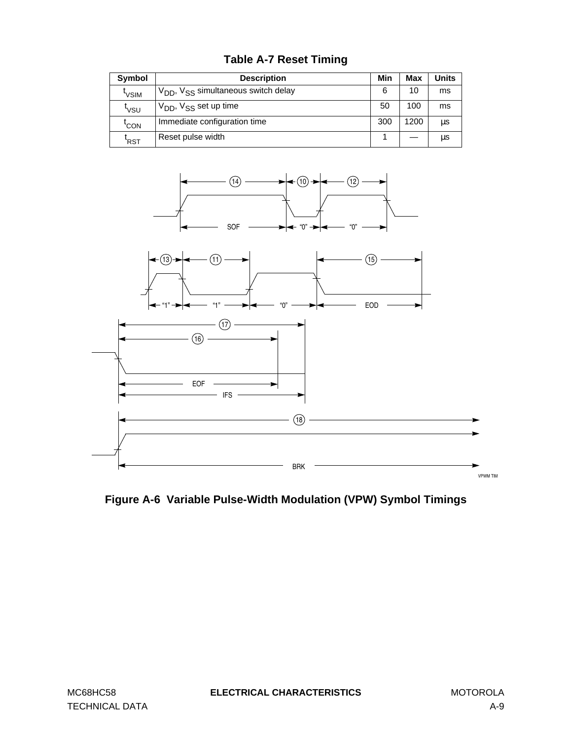| Symbol           | <b>Description</b>                                          | Min | Max  | <b>Units</b> |
|------------------|-------------------------------------------------------------|-----|------|--------------|
| 'VSIM            | V <sub>DD</sub> , V <sub>SS</sub> simultaneous switch delay |     | 10   | ms           |
| 'vsu             | $V_{DD}$ , $V_{SS}$ set up time                             | 50  | 100  | ms           |
| 'CON             | Immediate configuration time                                | 300 | 1200 | μs           |
| <sup>'</sup> RST | Reset pulse width                                           |     |      | μs           |





**Figure A-6 Variable Pulse-Width Modulation (VPW) Symbol Timings**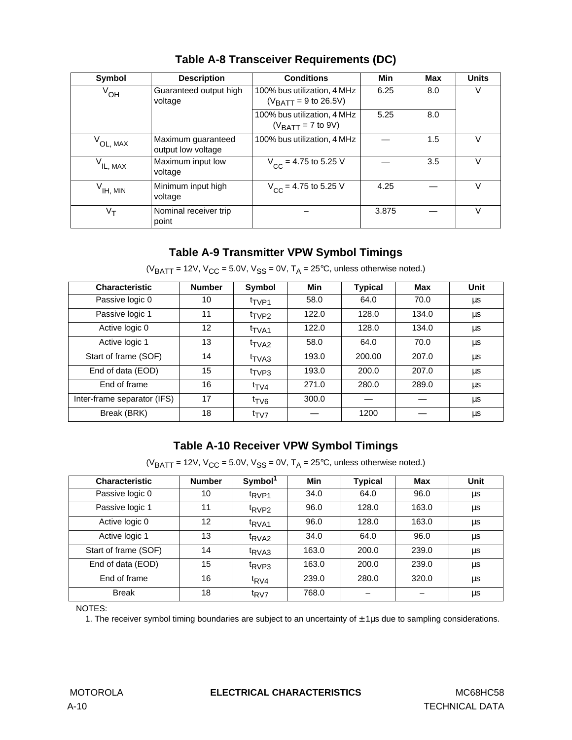| Symbol                           | <b>Description</b>                       | <b>Conditions</b>                                        | <b>Min</b> | Max | <b>Units</b> |
|----------------------------------|------------------------------------------|----------------------------------------------------------|------------|-----|--------------|
| $V_{OH}$                         | Guaranteed output high<br>voltage        | 100% bus utilization, 4 MHz<br>$(V_{BATT} = 9$ to 26.5V) | 6.25       | 8.0 |              |
|                                  |                                          | 100% bus utilization, 4 MHz<br>$(VBATT = 7$ to 9V)       | 5.25       | 8.0 |              |
| $V_{OL, MAX}$                    | Maximum guaranteed<br>output low voltage | 100% bus utilization, 4 MHz                              |            | 1.5 |              |
| $V_{IL, MAX}$                    | Maximum input low<br>voltage             | $V_{CC}$ = 4.75 to 5.25 V                                |            | 3.5 | V            |
| $V_{\mathsf{IH},\,\mathsf{MIN}}$ | Minimum input high<br>voltage            | $V_{CC}$ = 4.75 to 5.25 V                                | 4.25       |     |              |
| Vт                               | Nominal receiver trip<br>point           |                                                          | 3.875      |     |              |

**Table A-8 Transceiver Requirements (DC)**

## **Table A-9 Transmitter VPW Symbol Timings**

( $V_{\text{BATT}}$  = 12V,  $V_{\text{CC}}$  = 5.0V,  $V_{\text{SS}}$  = 0V,  $T_A$  = 25°C, unless otherwise noted.)

| <b>Characteristic</b>       | <b>Number</b>     | Symbol            | Min   | <b>Typical</b> | Max   | Unit    |
|-----------------------------|-------------------|-------------------|-------|----------------|-------|---------|
| Passive logic 0             | 10                | $t_{\text{TVP1}}$ | 58.0  | 64.0           | 70.0  | μs      |
| Passive logic 1             | 11                | <sup>t</sup> TVP2 | 122.0 | 128.0          | 134.0 | μs      |
| Active logic 0              | $12 \overline{ }$ | <sup>t</sup> TVA1 | 122.0 | 128.0          | 134.0 | $\mu$ s |
| Active logic 1              | 13                | <sup>t</sup> TVA2 | 58.0  | 64.0           | 70.0  | μs      |
| Start of frame (SOF)        | 14                | <sup>t</sup> TVA3 | 193.0 | 200.00         | 207.0 | μs      |
| End of data (EOD)           | 15                | <sup>t</sup> TVP3 | 193.0 | 200.0          | 207.0 | μs      |
| End of frame                | 16                | $t_{\text{TV4}}$  | 271.0 | 280.0          | 289.0 | μs      |
| Inter-frame separator (IFS) | 17                | $t_{\text{TV6}}$  | 300.0 |                |       | μs      |
| Break (BRK)                 | 18                | $t_{\text{TV7}}$  |       | 1200           |       | μs      |

# **Table A-10 Receiver VPW Symbol Timings**

( $V_{\text{BATT}}$  = 12V,  $V_{\text{CC}}$  = 5.0V,  $V_{\text{SS}}$  = 0V,  $T_{\text{A}}$  = 25°C, unless otherwise noted.)

| <b>Characteristic</b> | <b>Number</b> | Symbol <sup>1</sup>           | Min   | Typical | <b>Max</b> | Unit |
|-----------------------|---------------|-------------------------------|-------|---------|------------|------|
| Passive logic 0       | 10            | t <sub>RVP1</sub>             | 34.0  | 64.0    | 96.0       | μs   |
| Passive logic 1       | 11            | <sup>t</sup> RVP <sub>2</sub> | 96.0  | 128.0   | 163.0      | μs   |
| Active logic 0        | 12            | t <sub>RVA1</sub>             | 96.0  | 128.0   | 163.0      | μs   |
| Active logic 1        | 13            | <sup>t</sup> RVA <sub>2</sub> | 34.0  | 64.0    | 96.0       | μs   |
| Start of frame (SOF)  | 14            | <sup>t</sup> RVA3             | 163.0 | 200.0   | 239.0      | μs   |
| End of data (EOD)     | 15            | <sup>t</sup> RVP3             | 163.0 | 200.0   | 239.0      | μs   |
| End of frame          | 16            | $t_{\text{RV4}}$              | 239.0 | 280.0   | 320.0      | μs   |
| <b>Break</b>          | 18            | $t_{\text{RV7}}$              | 768.0 |         |            | μs   |

NOTES:

1. The receiver symbol timing boundaries are subject to an uncertainty of  $\pm$  1µs due to sampling considerations.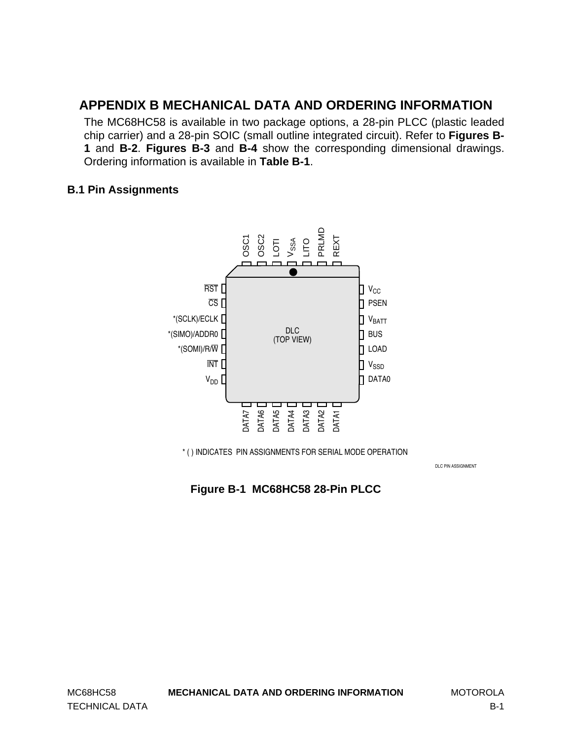# <span id="page-90-0"></span>**APPENDIX B MECHANICAL DATA AND ORDERING INFORMATION**

The MC68HC58 is available in two package options, a 28-pin PLCC (plastic leaded chip carrier) and a 28-pin SOIC (small outline integrated circuit). Refer to **Figures B-1** and **[B-2](#page-91-0)**. **Figures [B-3](#page-92-0)** and **[B-4](#page-93-0)** show the corresponding dimensional drawings. Ordering information is available in **[Table B-1](#page-93-0)**.

## **B.1 Pin Assignments**



DLC PIN ASSIGNMENT

# **Figure B-1 MC68HC58 28-Pin PLCC**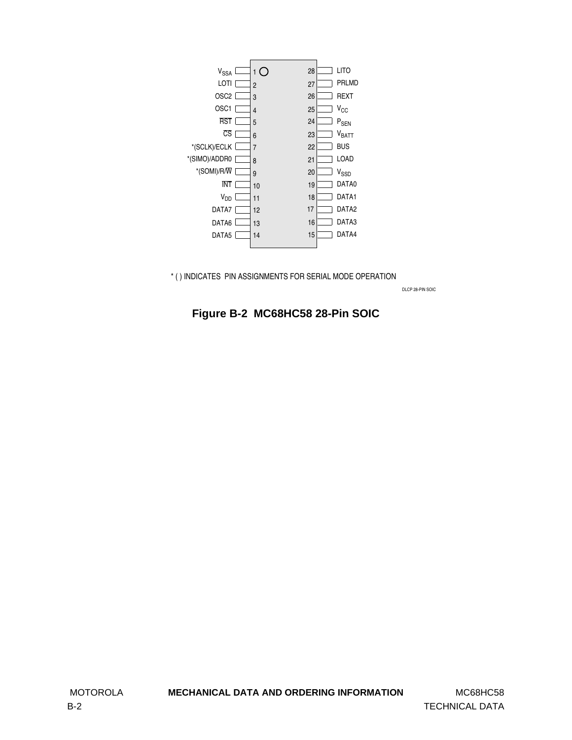<span id="page-91-0"></span>

\* ( ) INDICATES PIN ASSIGNMENTS FOR SERIAL MODE OPERATION

DLCP 28-PIN SOIC

# **Figure B-2 MC68HC58 28-Pin SOIC**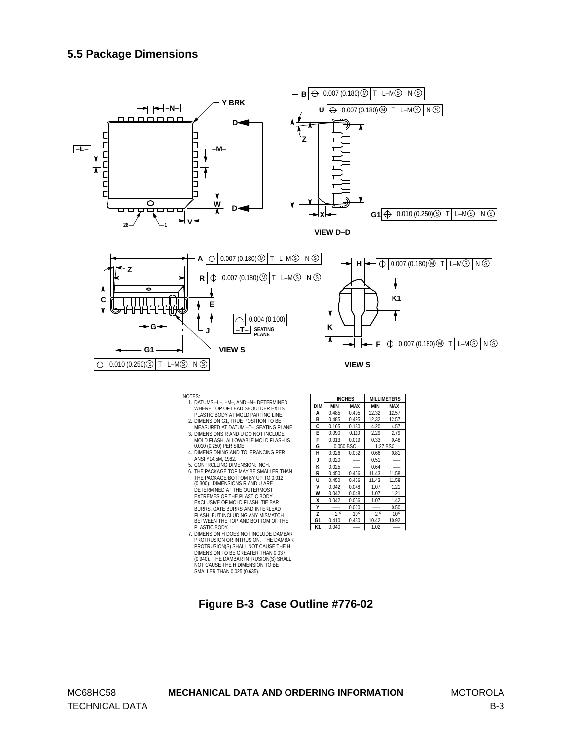<span id="page-92-0"></span>

- NOTES: 1. DATUMS –L–, –M–, AND –N– DETERMINED WHERE TOP OF LEAD SHOULDER EXITS PLASTIC BODY AT MOLD PARTING LINE. 2. DIMENSION G1, TRUE POSITION TO BE MEASURED AT DATUM –T–, SEATING PLANE.
- 
- 3. DIMENSIONS R AND U DO NOT INCLUDE MOLD FLASH. ALLOWABLE MOLD FLASH IS
- 0.010 (0.250) PER SIDE. 4. DIMENSIONING AND TOLERANCING PER ANSI Y14.5M, 1982. 5. CONTROLLING DIMENSION: INCH.
- 
- 6. THE PACKAGE TOP MAY BE SMALLER THAN<br>THE PACKAGE BOTTOM BY UP TO 0.012 THE PACKAGE BOTTOM BY UP TO 0.012 (0.300). DIMENSIONS R AND U ARE DETERMINED AT THE OUTERMOST EXTREMES OF THE PLASTIC BODY EXCLUSIVE OF MOLD FLASH, TIE BAR BURRS, GATE BURRS AND INTERLEAD FLASH, BUT INCLUDING ANY MISMATCH BETWEEN THE TOP AND BOTTOM OF THE PLASTIC BODY. 7. DIMENSION H DOES NOT INCLUDE DAMBAR
- PROTRUSION OR INTRUSION. THE DAMBAR PROTRUSION(S) SHALL NOT CAUSE THE H DIMENSION TO BE GREATER THAN 0.037 (0.940). THE DAMBAR INTRUSION(S) SHALL NOT CAUSE THE H DIMENSION TO BE SMALLER THAN 0.025 (0.635).

|     |             | <b>INCHES</b> |             | MILLIMETERS  |
|-----|-------------|---------------|-------------|--------------|
| DIM | <b>MIN</b>  | MAX           | <b>MIN</b>  | <b>MAX</b>   |
| A   | 0.485       | 0.495         | 12.32       | 12.57        |
| B   | 0.485       | 0.495         | 12.32       | 12.57        |
| c   | 0.165       | 0.180         | 4.20        | 4.57         |
| E   | 0.090       | 0.110         | 2.29        | 2.79         |
| F   | 0.013       | 0.019         | 0.33        | 0.48         |
| G   |             | 0.050 BSC     |             | 1.27 BSC     |
| н   | 0.026       | 0.032         | 0.66        | 0.81         |
| J   | 0.020       |               | 0.51        |              |
| ĸ   | 0.025       |               | 0.64        |              |
| R   | 0.450       | 0.456         | 11.43       | 11.58        |
| U   | 0.450       | 0.456         | 11.43       | 11.58        |
| v   | 0.042       | 0.048         | 1.07        | 1.21         |
| W   | 0.042       | 0.048         | 1.07        | 1.21         |
| χ   | 0.042       | 0.056         | 1.07        | 1.42         |
| Υ   |             | 0.020         |             | 0.50         |
| z   | $2^{\circ}$ | $10^{\circ}$  | $2^{\circ}$ | $10^{\circ}$ |
| G1  | 0.410       | 0.430         | 10.42       | 10.92        |
| K1  | 0.040       |               | 1.02        |              |

## **Figure B-3 Case Outline #776-02**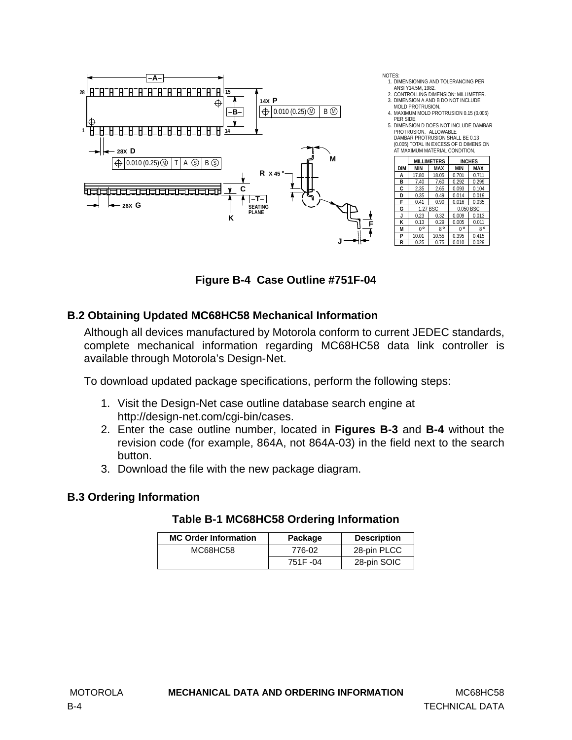<span id="page-93-0"></span>

| OTES:                               |
|-------------------------------------|
| 1. DIMENSIONING AND TOLERANCING PER |
| ANSI Y14.5M, 1982.                  |
| 2 CONTROLLING BIMENCION: MILLIMETER |

2. CONTROLLING DIMENSION: MILLIMETER. 3. DIMENSION A AND B DO NOT INCLUDE MOLD PROTRUSION.

4. MAXIMUM MOLD PROTRUSION 0.15 (0.006) PER SIDE.

5. DIMENSION D DOES NOT INCLUDE DAMBAR PROTRUSION. ALLOWABLE DAMBAR PROTRUSION SHALL BE 0.13 (0.005) TOTAL IN EXCESS OF D DIMENSION

AT MAXIMUM MATERIAL CONDITION. **DIM MIN MAX MIN MAX MILLIMETERS INCHES**

| DIM | MIN         | MAX         | MIN         | MAX         |
|-----|-------------|-------------|-------------|-------------|
| A   | 17.80       | 18.05       | 0.701       | 0.711       |
| в   | 7.40        | 7.60        | 0.292       | 0.299       |
| C   | 2.35        | 2.65        | 0.093       | 0.104       |
| D   | 0.35        | 0.49        | 0.014       | 0.019       |
| F   | 0.41        | 0.90        | 0.016       | 0.035       |
| G   | 1.27 BSC    |             | 0.050 BSC   |             |
| J   | 0.23        | 0.32        | 0.009       | 0.013       |
| K   | 0.13        | 0.29        | 0.005       | 0.011       |
| M   | $0^{\circ}$ | $8^{\circ}$ | $0^{\circ}$ | $8^{\circ}$ |
| P   | 10.01       | 10.55       | 0.395       | 0.415       |
| R   | 0.25        | 0.75        | 0.010       | 0.029       |

**Figure B-4 Case Outline #751F-04**

# **B.2 Obtaining Updated MC68HC58 Mechanical Information**

Although all devices manufactured by Motorola conform to current JEDEC standards, complete mechanical information regarding MC68HC58 data link controller is available through Motorola's Design-Net.

To download updated package specifications, perform the following steps:

- 1. Visit the Design-Net case outline database search engine at http://design-net.com/cgi-bin/cases.
- 2. Enter the case outline number, located in **Figures [B-3](#page-92-0)** and **B-4** without the revision code (for example, 864A, not 864A-03) in the field next to the search button.
- 3. Download the file with the new package diagram.

# **B.3 Ordering Information**

| <b>MC Order Information</b> | Package | <b>Description</b> |
|-----------------------------|---------|--------------------|
| MC68HC58                    | 776-02  | 28-pin PLCC        |
|                             | 751F-04 | 28-pin SOIC        |

## **Table B-1 MC68HC58 Ordering Information**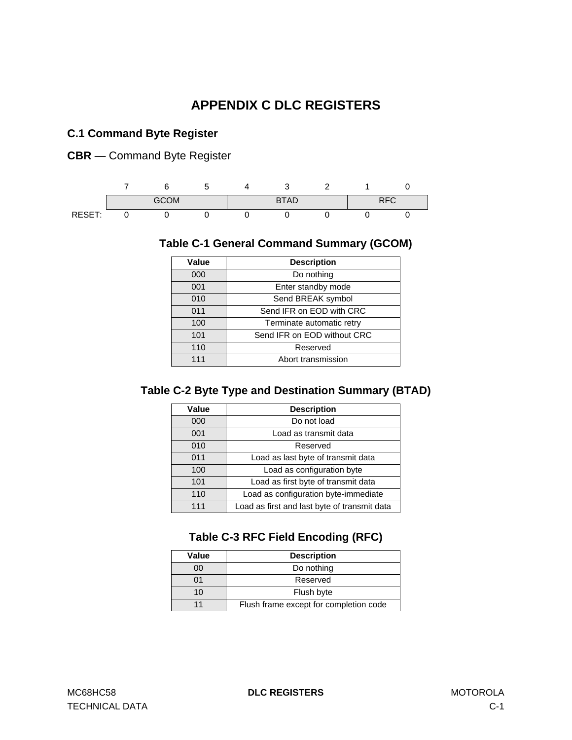# **APPENDIX C DLC REGISTERS**

## <span id="page-94-0"></span>**C.1 Command Byte Register**

**CBR** — Command Byte Register



## **Table C-1 General Command Summary (GCOM)**

| Value | <b>Description</b>          |  |  |  |
|-------|-----------------------------|--|--|--|
| 000   | Do nothing                  |  |  |  |
| 001   | Enter standby mode          |  |  |  |
| 010   | Send BREAK symbol           |  |  |  |
| 011   | Send IFR on EOD with CRC    |  |  |  |
| 100   | Terminate automatic retry   |  |  |  |
| 101   | Send IFR on EOD without CRC |  |  |  |
| 110   | Reserved                    |  |  |  |
| 111   | Abort transmission          |  |  |  |

# **Table C-2 Byte Type and Destination Summary (BTAD)**

| Value | <b>Description</b>                           |  |  |  |
|-------|----------------------------------------------|--|--|--|
| 000   | Do not load                                  |  |  |  |
| 001   | Load as transmit data                        |  |  |  |
| 010   | Reserved                                     |  |  |  |
| 011   | Load as last byte of transmit data           |  |  |  |
| 100   | Load as configuration byte                   |  |  |  |
| 101   | Load as first byte of transmit data          |  |  |  |
| 110   | Load as configuration byte-immediate         |  |  |  |
| 111   | Load as first and last byte of transmit data |  |  |  |

# **Table C-3 RFC Field Encoding (RFC)**

| Value | <b>Description</b>                     |  |  |
|-------|----------------------------------------|--|--|
| 00    | Do nothing                             |  |  |
| 01    | Reserved                               |  |  |
| 1ດ    | Flush byte                             |  |  |
| 11    | Flush frame except for completion code |  |  |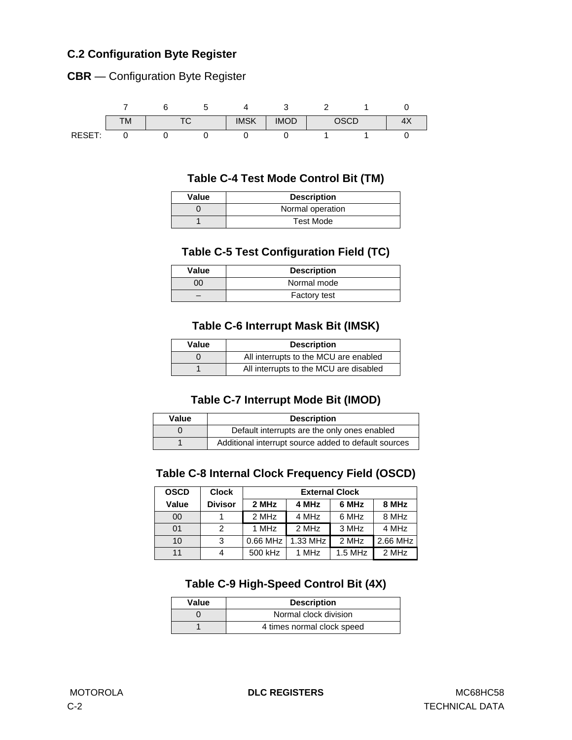# <span id="page-95-0"></span>**C.2 Configuration Byte Register**





## **Table C-4 Test Mode Control Bit (TM)**

| Value | <b>Description</b> |
|-------|--------------------|
|       | Normal operation   |
|       | Test Mode          |

# **Table C-5 Test Configuration Field (TC)**

| Value | <b>Description</b>  |
|-------|---------------------|
| 00    | Normal mode         |
|       | <b>Factory test</b> |

## **Table C-6 Interrupt Mask Bit (IMSK)**

| Value | <b>Description</b>                     |
|-------|----------------------------------------|
|       | All interrupts to the MCU are enabled  |
|       | All interrupts to the MCU are disabled |

## **Table C-7 Interrupt Mode Bit (IMOD)**

| Value | <b>Description</b>                                   |
|-------|------------------------------------------------------|
|       | Default interrupts are the only ones enabled         |
|       | Additional interrupt source added to default sources |

## **Table C-8 Internal Clock Frequency Field (OSCD)**

| <b>OSCD</b> | <b>Clock</b>   | <b>External Clock</b> |          |           |          |
|-------------|----------------|-----------------------|----------|-----------|----------|
| Value       | <b>Divisor</b> | 2 MHz                 | 4 MHz    | 6 MHz     | 8 MHz    |
| 00          |                | 2 MHz                 | 4 MHz    | 6 MHz     | 8 MHz    |
| 01          | 2              | 1 MHz                 | 2 MHz    | 3 MHz     | 4 MHz    |
| 10          | 3              | $0.66$ MHz            | 1.33 MHz | 2 MHz     | 2.66 MHz |
| 11          |                | 500 kHz               | 1 MHz    | $1.5$ MHz | 2 MHz    |

# **Table C-9 High-Speed Control Bit (4X)**

| Value | <b>Description</b>         |
|-------|----------------------------|
|       | Normal clock division      |
|       | 4 times normal clock speed |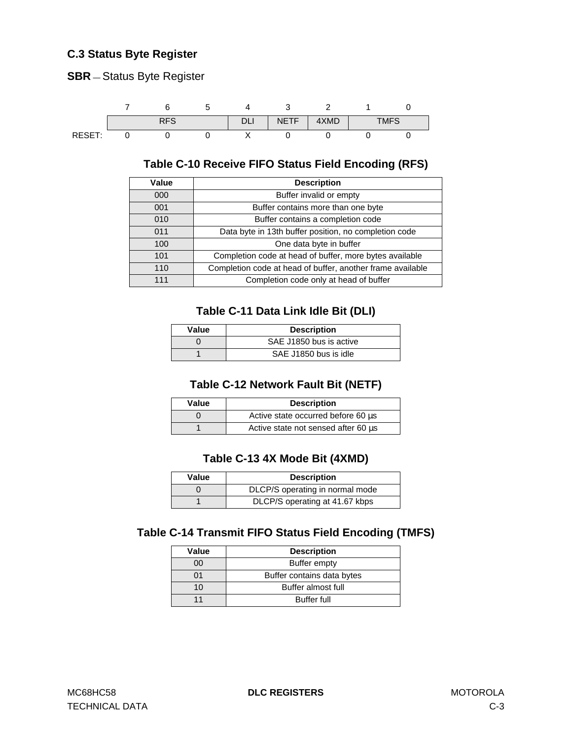## <span id="page-96-0"></span>**C.3 Status Byte Register**

**SBR** — Status Byte Register



## **Table C-10 Receive FIFO Status Field Encoding (RFS)**

| Value | <b>Description</b>                                         |
|-------|------------------------------------------------------------|
| 000   | Buffer invalid or empty                                    |
| 001   | Buffer contains more than one byte                         |
| 010   | Buffer contains a completion code                          |
| 011   | Data byte in 13th buffer position, no completion code      |
| 100   | One data byte in buffer                                    |
| 101   | Completion code at head of buffer, more bytes available    |
| 110   | Completion code at head of buffer, another frame available |
| 111   | Completion code only at head of buffer                     |

# **Table C-11 Data Link Idle Bit (DLI)**

| Value | <b>Description</b>      |
|-------|-------------------------|
|       | SAE J1850 bus is active |
|       | SAE J1850 bus is idle   |

# **Table C-12 Network Fault Bit (NETF)**

| Value | <b>Description</b>                       |
|-------|------------------------------------------|
|       | Active state occurred before 60 us       |
|       | Active state not sensed after 60 $\mu$ s |

# **Table C-13 4X Mode Bit (4XMD)**

| Value | <b>Description</b>              |
|-------|---------------------------------|
|       | DLCP/S operating in normal mode |
|       | DLCP/S operating at 41.67 kbps  |

# **Table C-14 Transmit FIFO Status Field Encoding (TMFS)**

| Value | <b>Description</b>         |
|-------|----------------------------|
| იი    | Buffer empty               |
| 01    | Buffer contains data bytes |
| 10    | Buffer almost full         |
| 11    | <b>Buffer full</b>         |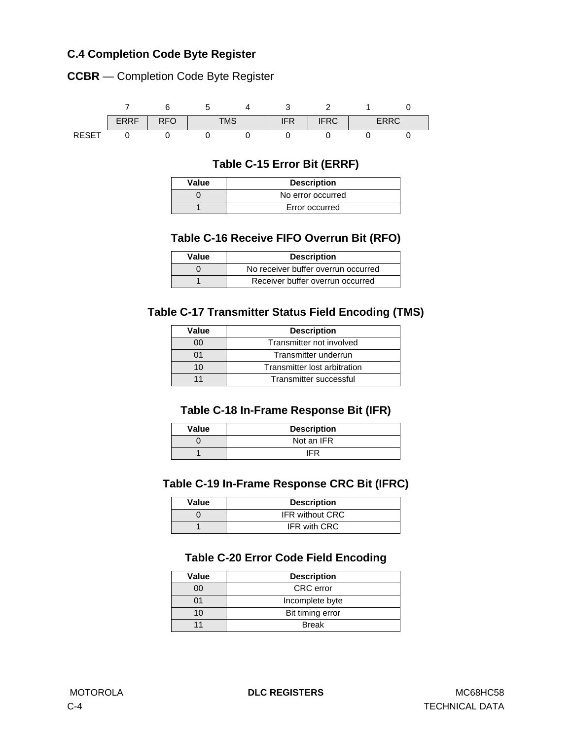# <span id="page-97-0"></span>**C.4 Completion Code Byte Register**





## **Table C-15 Error Bit (ERRF)**

| Value | <b>Description</b> |
|-------|--------------------|
|       | No error occurred  |
|       | Error occurred     |

### **Table C-16 Receive FIFO Overrun Bit (RFO)**

| Value | <b>Description</b>                  |
|-------|-------------------------------------|
|       | No receiver buffer overrun occurred |
|       | Receiver buffer overrun occurred    |

## **Table C-17 Transmitter Status Field Encoding (TMS)**

| Value | <b>Description</b>           |
|-------|------------------------------|
| 00    | Transmitter not involved     |
| 01    | Transmitter underrun         |
| 10    | Transmitter lost arbitration |
| 11    | Transmitter successful       |

## **Table C-18 In-Frame Response Bit (IFR)**

| Value | <b>Description</b> |
|-------|--------------------|
|       | Not an IFR         |
|       | IFR                |

## **Table C-19 In-Frame Response CRC Bit (IFRC)**

| Value | <b>Description</b>     |
|-------|------------------------|
|       | <b>IFR without CRC</b> |
|       | <b>IFR with CRC</b>    |

## **Table C-20 Error Code Field Encoding**

| Value | <b>Description</b> |
|-------|--------------------|
| 00    | <b>CRC</b> error   |
| ი1    | Incomplete byte    |
| 10    | Bit timing error   |
| 11    | <b>Break</b>       |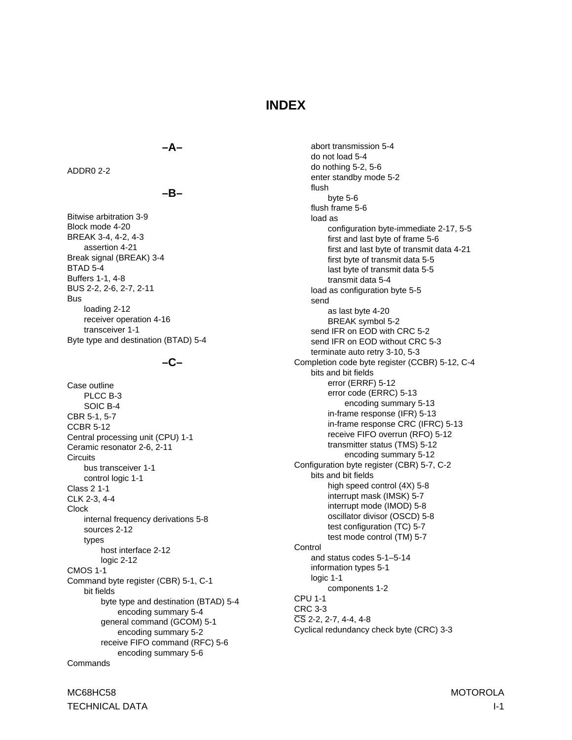# **INDEX**

### **–A–**

ADDR0 [2-2](#page-17-0)

#### **–B–**

Bitwise arbitration [3-9](#page-42-0) Block mode [4-20](#page-63-0) BREAK [3-4](#page-37-0), [4-2](#page-45-0), [4-3](#page-46-0) assertion [4-21](#page-64-0) Break signal (BREAK) [3-4](#page-37-0) BTAD [5-4](#page-69-0) Buffers [1-1](#page-12-0), [4-8](#page-51-0) BUS [2-2](#page-17-0), [2-6](#page-21-0), [2-7](#page-22-0), [2-11](#page-26-0) Bus loading [2-12](#page-27-0) receiver operation [4-16](#page-59-0) transceiver [1-1](#page-12-0) Byte type and destination (BTAD) [5-4](#page-69-0)

### **–C–**

Case outline PLCC [B-3](#page-92-0) SOIC [B-4](#page-93-0) CBR [5-1](#page-66-0), [5-7](#page-72-0) CCBR [5-12](#page-77-0) Central processing unit (CPU) [1-1](#page-12-0) Ceramic resonator [2-6](#page-21-0), [2-11](#page-26-0) **Circuits** bus transceiver [1-1](#page-12-0) control logic [1-1](#page-12-0) Class 2 [1-1](#page-12-0) CLK [2-3](#page-18-0), [4-4](#page-47-0) Clock internal frequency derivations [5-8](#page-73-0) sources [2-12](#page-27-0) types host interface [2-12](#page-27-0) logic [2-12](#page-27-0) CMOS [1-1](#page-12-0) Command byte register (CBR) [5-1](#page-66-0), [C-1](#page-94-0) bit fields byte type and destination (BTAD) [5-4](#page-69-0) encoding summary [5-4](#page-69-0) general command (GCOM) [5-1](#page-66-0) encoding summary [5-2](#page-67-0) receive FIFO command (RFC) [5-6](#page-71-0) encoding summary [5-6](#page-71-0) **Commands** 

abort transmission [5-4](#page-69-0) do not load [5-4](#page-69-0) do nothing [5-2,](#page-67-0) [5-6](#page-71-0) enter standby mode [5-2](#page-67-0) flush byte [5-6](#page-71-0) flush frame [5-6](#page-71-0) load as configuration byte-immediate [2-17](#page-32-0), [5-5](#page-70-0) first and last byte of frame [5-6](#page-71-0) first and last byte of transmit data [4-21](#page-64-0) first byte of transmit data [5-5](#page-70-0) last byte of transmit data [5-5](#page-70-0) transmit data [5-4](#page-69-0) load as configuration byte [5-5](#page-70-0) send as last byte [4-20](#page-63-0) BREAK symbol [5-2](#page-67-0) send IFR on EOD with CRC [5-2](#page-67-0) send IFR on EOD without CRC [5-3](#page-68-0) terminate auto retry [3-10,](#page-43-0) [5-3](#page-68-0) Completion code byte register (CCBR) [5-12](#page-77-0), [C-4](#page-97-0) bits and bit fields error (ERRF) [5-12](#page-77-0) error code (ERRC) [5-13](#page-78-0) encoding summary [5-13](#page-78-0) in-frame response (IFR) [5-13](#page-78-0) in-frame response CRC (IFRC) [5-13](#page-78-0) receive FIFO overrun (RFO) [5-12](#page-77-0) transmitter status (TMS) [5-12](#page-77-0) encoding summary [5-12](#page-77-0) Configuration byte register (CBR) [5-7,](#page-72-0) [C-2](#page-95-0) bits and bit fields high speed control (4X) [5-8](#page-73-0) interrupt mask (IMSK) [5-7](#page-72-0) interrupt mode (IMOD) [5-8](#page-73-0) oscillator divisor (OSCD) [5-8](#page-73-0) test configuration (TC) [5-7](#page-72-0) test mode control (TM) [5-7](#page-72-0) Control and status codes [5-1–](#page-66-0)[5-14](#page-79-0) information types [5-1](#page-66-0) logic [1-1](#page-12-0) components [1-2](#page-13-0) CPU [1-1](#page-12-0) CRC [3-3](#page-36-0) CS [2-2](#page-17-0), [2-7](#page-22-0), [4-4](#page-47-0), [4-8](#page-51-0) Cyclical redundancy check byte (CRC) [3-3](#page-36-0)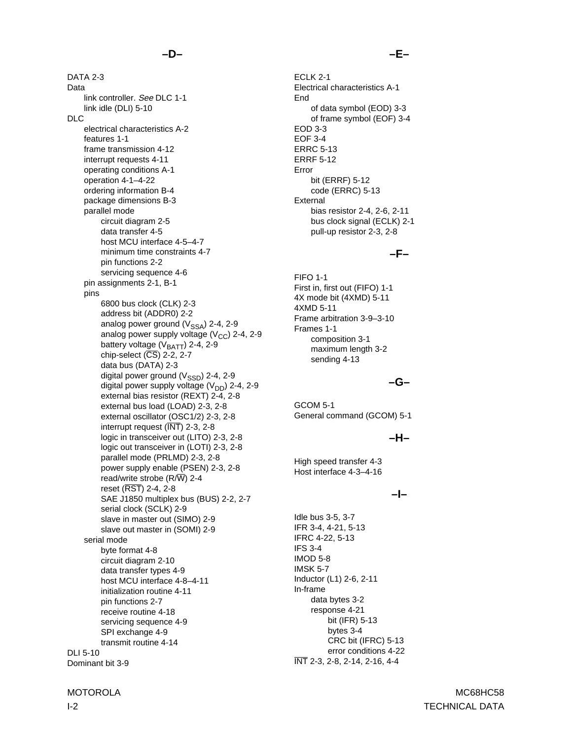### **–D–**

DATA [2-3](#page-18-0) Data link controller. See DLC [1-1](#page-12-0) link idle (DLI) [5-10](#page-75-0) DLC electrical characteristics [A-2](#page-81-0) features [1-1](#page-12-0) frame transmission [4-12](#page-55-0) interrupt requests [4-11](#page-54-0) operating conditions [A-1](#page-80-0) operation [4-1](#page-44-0)[–4-22](#page-65-0) ordering information [B-4](#page-93-0) package dimensions [B-3](#page-92-0) parallel mode circuit diagram [2-5](#page-20-0) data transfer [4-5](#page-48-0) host MCU interface [4-5–](#page-48-0)[4-7](#page-50-0) minimum time constraints [4-7](#page-50-0) pin functions [2-2](#page-17-0) servicing sequence [4-6](#page-49-0) pin assignments [2-1,](#page-16-0) [B-1](#page-90-0) pins 6800 bus clock (CLK) [2-3](#page-18-0) address bit (ADDR0) [2-2](#page-17-0) analog power ground  $(V_{SSA})$  [2-4,](#page-19-0) [2-9](#page-24-0) analog power supply voltage  $(V_{CC})$  [2-4](#page-19-0), [2-9](#page-24-0) battery voltage  $(V_{\text{BATT}})$  [2-4](#page-19-0), [2-9](#page-24-0) chip-select  $(\overline{CS})$  [2-2](#page-17-0), [2-7](#page-22-0) data bus (DATA) [2-3](#page-18-0) digital power ground  $(V_{\text{SSD}})$  [2-4,](#page-19-0) [2-9](#page-24-0) digital power supply voltage  $(V_{DD})$  [2-4,](#page-19-0) [2-9](#page-24-0) external bias resistor (REXT) [2-4](#page-19-0), [2-8](#page-23-0) external bus load (LOAD) [2-3](#page-18-0), [2-8](#page-23-0) external oscillator (OSC1/2) [2-3](#page-18-0), [2-8](#page-23-0) interrupt request (INT) [2-3](#page-18-0), [2-8](#page-23-0) logic in transceiver out (LITO) [2-3,](#page-18-0) [2-8](#page-23-0) logic out transceiver in (LOTI) [2-3,](#page-18-0) [2-8](#page-23-0) parallel mode (PRLMD) [2-3](#page-18-0), [2-8](#page-23-0) power supply enable (PSEN) [2-3](#page-18-0), [2-8](#page-23-0) read/write strobe (R/W) [2-4](#page-19-0) reset (RST) [2-4,](#page-19-0) [2-8](#page-23-0) SAE J1850 multiplex bus (BUS) [2-2,](#page-17-0) [2-7](#page-22-0) serial clock (SCLK) [2-9](#page-24-0) slave in master out (SIMO) [2-9](#page-24-0) slave out master in (SOMI) [2-9](#page-24-0) serial mode byte format [4-8](#page-51-0) circuit diagram [2-10](#page-25-0) data transfer types [4-9](#page-52-0) host MCU interface [4-8–](#page-51-0)[4-11](#page-54-0) initialization routine [4-11](#page-54-0) pin functions [2-7](#page-22-0) receive routine [4-18](#page-61-0) servicing sequence [4-9](#page-52-0) SPI exchange [4-9](#page-52-0) transmit routine [4-14](#page-57-0) DLI [5-10](#page-75-0) Dominant bit [3-9](#page-42-0)

## ECLK [2-1](#page-16-0) Electrical characteristics [A-1](#page-80-0) of data symbol (EOD) [3-3](#page-36-0) of frame symbol (EOF) [3-4](#page-37-0) EOD [3-3](#page-36-0) EOF [3-4](#page-37-0) ERRC [5-13](#page-78-0) ERRF [5-12](#page-77-0)

**End** 

Error bit (ERRF) [5-12](#page-77-0) code (ERRC) [5-13](#page-78-0) External bias resistor [2-4](#page-19-0), [2-6](#page-21-0), [2-11](#page-26-0) bus clock signal (ECLK) [2-1](#page-16-0) pull-up resistor [2-3](#page-18-0), [2-8](#page-23-0)

### **–F–**

FIFO [1-1](#page-12-0) First in, first out (FIFO) [1-1](#page-12-0) 4X mode bit (4XMD) [5-11](#page-76-0) 4XMD [5-11](#page-76-0) Frame arbitration [3-9](#page-42-0)[–3-10](#page-43-0) Frames [1-1](#page-12-0) composition [3-1](#page-34-0) maximum length [3-2](#page-35-0) sending [4-13](#page-56-0)

## **–G–**

GCOM [5-1](#page-66-0) General command (GCOM) [5-1](#page-66-0)

### **–H–**

High speed transfer [4-3](#page-46-0) Host interface [4-3](#page-46-0)[–4-16](#page-59-0)

### **–I–**

Idle bus [3-5](#page-38-0), [3-7](#page-40-0) IFR [3-4](#page-37-0), [4-21](#page-64-0), [5-13](#page-78-0) IFRC [4-22](#page-65-0), [5-13](#page-78-0) IFS [3-4](#page-37-0) IMOD [5-8](#page-73-0) IMSK [5-7](#page-72-0) Inductor (L1) [2-6,](#page-21-0) [2-11](#page-26-0) In-frame data bytes [3-2](#page-35-0) response [4-21](#page-64-0) bit (IFR) [5-13](#page-78-0) bytes [3-4](#page-37-0) CRC bit (IFRC) [5-13](#page-78-0) error conditions [4-22](#page-65-0) INT [2-3](#page-18-0), [2-8](#page-23-0), [2-14](#page-29-0), [2-16](#page-31-0), [4-4](#page-47-0)

### **–E–**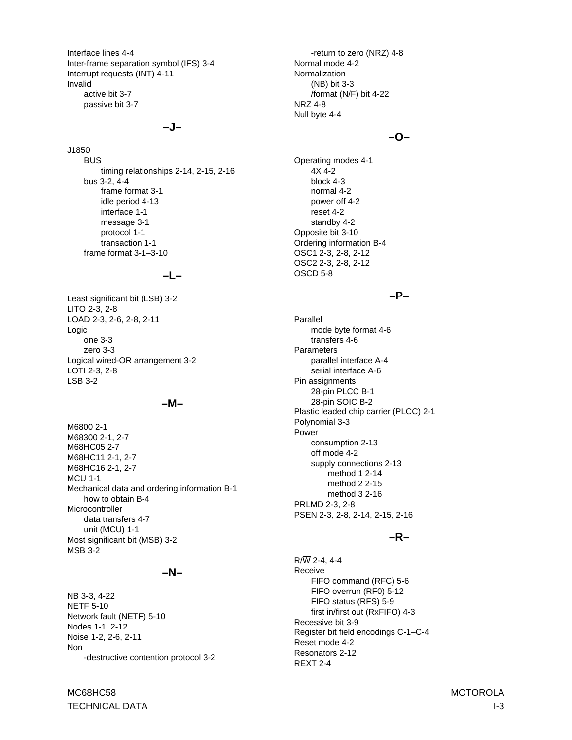Interface lines [4-4](#page-47-0) Inter-frame separation symbol (IFS) [3-4](#page-37-0) Interrupt requests (INT) [4-11](#page-54-0) Invalid active bit [3-7](#page-40-0) passive bit [3-7](#page-40-0)

### **–J–**

J1850 BUS timing relationships [2-14,](#page-29-0) [2-15,](#page-30-0) [2-16](#page-31-0) bus [3-2](#page-35-0), [4-4](#page-47-0) frame format [3-1](#page-34-0) idle period [4-13](#page-56-0) interface [1-1](#page-12-0) message [3-1](#page-34-0) protocol [1-1](#page-12-0) transaction [1-1](#page-12-0) frame format [3-1](#page-34-0)[–3-10](#page-43-0)

### **–L–**

Least significant bit (LSB) [3-2](#page-35-0) LITO [2-3,](#page-18-0) [2-8](#page-23-0) LOAD [2-3](#page-18-0), [2-6](#page-21-0), [2-8](#page-23-0), [2-11](#page-26-0) Logic one [3-3](#page-36-0) zero [3-3](#page-36-0) Logical wired-OR arrangement [3-2](#page-35-0) LOTI [2-3,](#page-18-0) [2-8](#page-23-0) LSB [3-2](#page-35-0)

#### **–M–**

M6800 [2-1](#page-16-0) M68300 [2-1](#page-16-0), [2-7](#page-22-0) M68HC05 [2-7](#page-22-0) M68HC11 [2-1](#page-16-0), [2-7](#page-22-0) M68HC16 [2-1](#page-16-0), [2-7](#page-22-0) MCU [1-1](#page-12-0) Mechanical data and ordering information [B-1](#page-90-0) how to obtain [B-4](#page-93-0) Microcontroller data transfers [4-7](#page-50-0) unit (MCU) [1-1](#page-12-0) Most significant bit (MSB) [3-2](#page-35-0) MSB [3-2](#page-35-0)

### **–N–**

NB [3-3](#page-36-0), [4-22](#page-65-0) NETF [5-10](#page-75-0) Network fault (NETF) [5-10](#page-75-0) Nodes [1-1,](#page-12-0) [2-12](#page-27-0) Noise [1-2,](#page-13-0) [2-6,](#page-21-0) [2-11](#page-26-0) Non -destructive contention protocol [3-2](#page-35-0)

MC68HC58 MOTOROLA TECHNICAL DATA I-3 ANNO 1-3 ANN ANN AN DATAIR ANN AN DAOINEACHAD ANN AN DAOINEACHAD I-3

-return to zero (NRZ) [4-8](#page-51-0) Normal mode [4-2](#page-45-0) Normalization (NB) bit [3-3](#page-36-0) /format (N/F) bit [4-22](#page-65-0) NRZ [4-8](#page-51-0) Null byte [4-4](#page-47-0)

#### **–O–**

Operating modes [4-1](#page-44-0) 4X [4-2](#page-45-0) block [4-3](#page-46-0) normal [4-2](#page-45-0) power off [4-2](#page-45-0) reset [4-2](#page-45-0) standby [4-2](#page-45-0) Opposite bit [3-10](#page-43-0) Ordering information [B-4](#page-93-0) OSC1 [2-3](#page-18-0), [2-8](#page-23-0), [2-12](#page-27-0) OSC2 [2-3](#page-18-0), [2-8](#page-23-0), [2-12](#page-27-0) OSCD [5-8](#page-73-0)

**–P–**

Parallel mode byte format [4-6](#page-49-0) transfers [4-6](#page-49-0) **Parameters** parallel interface [A-4](#page-83-0) serial interface [A-6](#page-85-0) Pin assignments 28-pin PLCC [B-1](#page-90-0) 28-pin SOIC [B-2](#page-91-0) Plastic leaded chip carrier (PLCC) [2-1](#page-16-0) Polynomial [3-3](#page-36-0) Power consumption [2-13](#page-28-0) off mode [4-2](#page-45-0) supply connections [2-13](#page-28-0) method 1 [2-14](#page-29-0) method 2 [2-15](#page-30-0) method 3 [2-16](#page-31-0) PRLMD [2-3](#page-18-0), [2-8](#page-23-0) PSEN [2-3](#page-18-0), [2-8](#page-23-0), [2-14](#page-29-0), [2-15](#page-30-0), [2-16](#page-31-0)

### **–R–**

 $R/\overline{W}$  [2-4,](#page-19-0) [4-4](#page-47-0) Receive FIFO command (RFC) [5-6](#page-71-0) FIFO overrun (RF0) [5-12](#page-77-0) FIFO status (RFS) [5-9](#page-74-0) first in/first out (RxFIFO) [4-3](#page-46-0) Recessive bit [3-9](#page-42-0) Register bit field encodings [C-1](#page-94-0)[–C-4](#page-97-0) Reset mode [4-2](#page-45-0) Resonators [2-12](#page-27-0) REXT [2-4](#page-19-0)